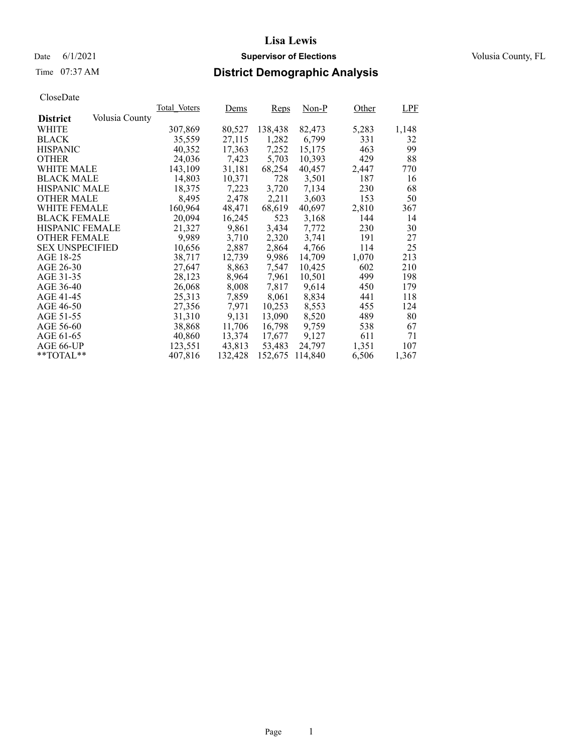Date 6/1/2021 **Supervisor of Elections Supervisor of Elections** Volusia County, FL

# Time 07:37 AM **District Demographic Analysis**

|                        |                | Total Voters | Dems    | <b>Reps</b> | Non-P   | Other | <b>LPF</b> |
|------------------------|----------------|--------------|---------|-------------|---------|-------|------------|
| <b>District</b>        | Volusia County |              |         |             |         |       |            |
| WHITE                  |                | 307,869      | 80,527  | 138,438     | 82,473  | 5,283 | 1,148      |
| <b>BLACK</b>           |                | 35,559       | 27,115  | 1,282       | 6,799   | 331   | 32         |
| <b>HISPANIC</b>        |                | 40,352       | 17,363  | 7,252       | 15,175  | 463   | 99         |
| <b>OTHER</b>           |                | 24,036       | 7,423   | 5,703       | 10,393  | 429   | 88         |
| WHITE MALE             |                | 143,109      | 31,181  | 68,254      | 40,457  | 2,447 | 770        |
| <b>BLACK MALE</b>      |                | 14,803       | 10,371  | 728         | 3,501   | 187   | 16         |
| <b>HISPANIC MALE</b>   |                | 18,375       | 7,223   | 3,720       | 7,134   | 230   | 68         |
| <b>OTHER MALE</b>      |                | 8,495        | 2,478   | 2,211       | 3,603   | 153   | 50         |
| WHITE FEMALE           |                | 160,964      | 48,471  | 68,619      | 40,697  | 2,810 | 367        |
| <b>BLACK FEMALE</b>    |                | 20,094       | 16,245  | 523         | 3,168   | 144   | 14         |
| <b>HISPANIC FEMALE</b> |                | 21,327       | 9,861   | 3,434       | 7,772   | 230   | 30         |
| <b>OTHER FEMALE</b>    |                | 9.989        | 3.710   | 2,320       | 3.741   | 191   | 27         |
| <b>SEX UNSPECIFIED</b> |                | 10,656       | 2,887   | 2,864       | 4,766   | 114   | 25         |
| AGE 18-25              |                | 38,717       | 12,739  | 9,986       | 14,709  | 1,070 | 213        |
| AGE 26-30              |                | 27,647       | 8,863   | 7,547       | 10.425  | 602   | 210        |
| AGE 31-35              |                | 28,123       | 8,964   | 7,961       | 10,501  | 499   | 198        |
| AGE 36-40              |                | 26,068       | 8,008   | 7,817       | 9,614   | 450   | 179        |
| AGE 41-45              |                | 25,313       | 7,859   | 8,061       | 8,834   | 441   | 118        |
| AGE 46-50              |                | 27,356       | 7,971   | 10,253      | 8,553   | 455   | 124        |
| AGE 51-55              |                | 31,310       | 9,131   | 13,090      | 8,520   | 489   | 80         |
| AGE 56-60              |                | 38,868       | 11,706  | 16,798      | 9,759   | 538   | 67         |
| AGE 61-65              |                | 40,860       | 13,374  | 17,677      | 9,127   | 611   | 71         |
| AGE 66-UP              |                | 123,551      | 43,813  | 53,483      | 24,797  | 1,351 | 107        |
| $*$ TOTAL $*$          |                | 407,816      | 132,428 | 152,675     | 114,840 | 6,506 | 1,367      |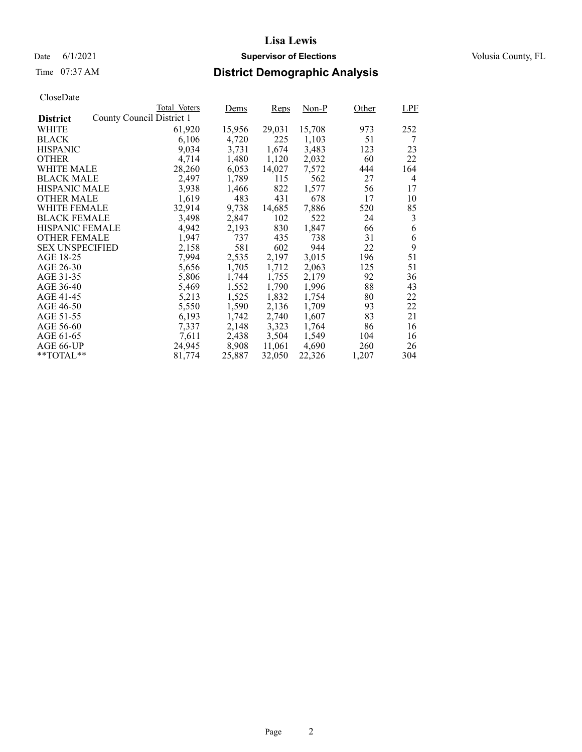# Time 07:37 AM **District Demographic Analysis**

|                        |                           | Total Voters | Dems   | Reps   | Non-P  | Other | <b>LPF</b> |
|------------------------|---------------------------|--------------|--------|--------|--------|-------|------------|
| <b>District</b>        | County Council District 1 |              |        |        |        |       |            |
| WHITE                  |                           | 61,920       | 15,956 | 29,031 | 15,708 | 973   | 252        |
| <b>BLACK</b>           |                           | 6,106        | 4,720  | 225    | 1,103  | 51    | 7          |
| <b>HISPANIC</b>        |                           | 9,034        | 3,731  | 1,674  | 3,483  | 123   | 23         |
| <b>OTHER</b>           |                           | 4,714        | 1,480  | 1,120  | 2,032  | 60    | 22         |
| WHITE MALE             |                           | 28,260       | 6,053  | 14,027 | 7,572  | 444   | 164        |
| <b>BLACK MALE</b>      |                           | 2,497        | 1,789  | 115    | 562    | 27    | 4          |
| <b>HISPANIC MALE</b>   |                           | 3,938        | 1,466  | 822    | 1,577  | 56    | 17         |
| <b>OTHER MALE</b>      |                           | 1,619        | 483    | 431    | 678    | 17    | 10         |
| <b>WHITE FEMALE</b>    |                           | 32,914       | 9,738  | 14,685 | 7,886  | 520   | 85         |
| <b>BLACK FEMALE</b>    |                           | 3,498        | 2,847  | 102    | 522    | 24    | 3          |
| <b>HISPANIC FEMALE</b> |                           | 4,942        | 2,193  | 830    | 1,847  | 66    | 6          |
| <b>OTHER FEMALE</b>    |                           | 1.947        | 737    | 435    | 738    | 31    | 6          |
| <b>SEX UNSPECIFIED</b> |                           | 2,158        | 581    | 602    | 944    | 22    | 9          |
| AGE 18-25              |                           | 7,994        | 2,535  | 2,197  | 3,015  | 196   | 51         |
| AGE 26-30              |                           | 5,656        | 1,705  | 1,712  | 2,063  | 125   | 51         |
| AGE 31-35              |                           | 5,806        | 1,744  | 1,755  | 2,179  | 92    | 36         |
| AGE 36-40              |                           | 5,469        | 1,552  | 1,790  | 1,996  | 88    | 43         |
| AGE 41-45              |                           | 5,213        | 1,525  | 1,832  | 1,754  | 80    | 22         |
| AGE 46-50              |                           | 5,550        | 1,590  | 2,136  | 1,709  | 93    | 22         |
| AGE 51-55              |                           | 6,193        | 1,742  | 2,740  | 1,607  | 83    | 21         |
| AGE 56-60              |                           | 7,337        | 2,148  | 3,323  | 1,764  | 86    | 16         |
| AGE 61-65              |                           | 7,611        | 2,438  | 3,504  | 1,549  | 104   | 16         |
| AGE 66-UP              |                           | 24,945       | 8,908  | 11,061 | 4,690  | 260   | 26         |
| $*$ $TOTAL**$          |                           | 81,774       | 25,887 | 32,050 | 22,326 | 1,207 | 304        |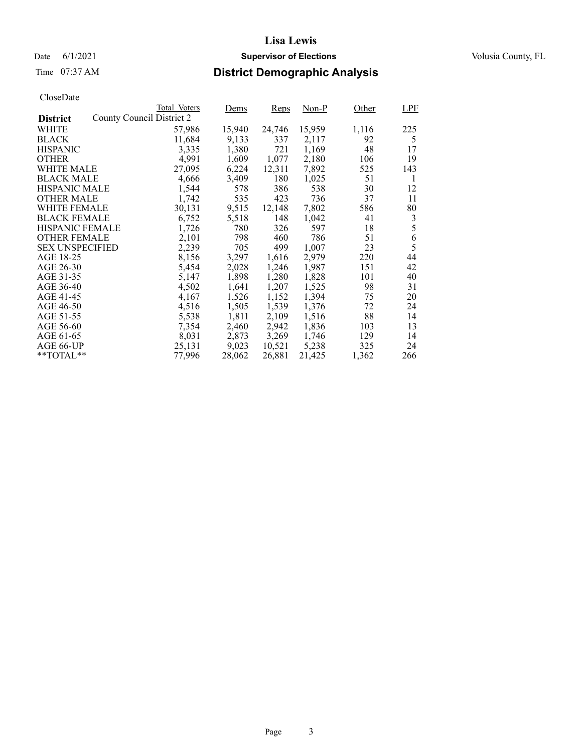# Time 07:37 AM **District Demographic Analysis**

|                                              | Total Voters | Dems   | Reps   | Non-P  | Other | LPF |
|----------------------------------------------|--------------|--------|--------|--------|-------|-----|
| County Council District 2<br><b>District</b> |              |        |        |        |       |     |
| WHITE                                        | 57,986       | 15,940 | 24,746 | 15,959 | 1,116 | 225 |
| <b>BLACK</b>                                 | 11,684       | 9,133  | 337    | 2,117  | 92    | 5   |
| <b>HISPANIC</b>                              | 3,335        | 1,380  | 721    | 1,169  | 48    | 17  |
| <b>OTHER</b>                                 | 4.991        | 1,609  | 1,077  | 2,180  | 106   | 19  |
| WHITE MALE                                   | 27,095       | 6,224  | 12,311 | 7,892  | 525   | 143 |
| <b>BLACK MALE</b>                            | 4,666        | 3,409  | 180    | 1,025  | 51    | 1   |
| <b>HISPANIC MALE</b>                         | 1,544        | 578    | 386    | 538    | 30    | 12  |
| <b>OTHER MALE</b>                            | 1,742        | 535    | 423    | 736    | 37    | 11  |
| WHITE FEMALE                                 | 30,131       | 9,515  | 12,148 | 7,802  | 586   | 80  |
| <b>BLACK FEMALE</b>                          | 6,752        | 5,518  | 148    | 1,042  | 41    | 3   |
| <b>HISPANIC FEMALE</b>                       | 1,726        | 780    | 326    | 597    | 18    | 5   |
| <b>OTHER FEMALE</b>                          | 2,101        | 798    | 460    | 786    | 51    | 6   |
| <b>SEX UNSPECIFIED</b>                       | 2,239        | 705    | 499    | 1,007  | 23    | 5   |
| AGE 18-25                                    | 8,156        | 3,297  | 1,616  | 2,979  | 220   | 44  |
| AGE 26-30                                    | 5,454        | 2,028  | 1,246  | 1,987  | 151   | 42  |
| AGE 31-35                                    | 5,147        | 1,898  | 1,280  | 1,828  | 101   | 40  |
| AGE 36-40                                    | 4,502        | 1,641  | 1,207  | 1,525  | 98    | 31  |
| AGE 41-45                                    | 4,167        | 1,526  | 1,152  | 1,394  | 75    | 20  |
| AGE 46-50                                    | 4,516        | 1,505  | 1,539  | 1,376  | 72    | 24  |
| AGE 51-55                                    | 5,538        | 1,811  | 2,109  | 1,516  | 88    | 14  |
| AGE 56-60                                    | 7,354        | 2,460  | 2,942  | 1,836  | 103   | 13  |
| AGE 61-65                                    | 8,031        | 2,873  | 3,269  | 1,746  | 129   | 14  |
| AGE 66-UP                                    | 25,131       | 9,023  | 10,521 | 5,238  | 325   | 24  |
| $*$ $TOTAL**$                                | 77,996       | 28,062 | 26,881 | 21,425 | 1,362 | 266 |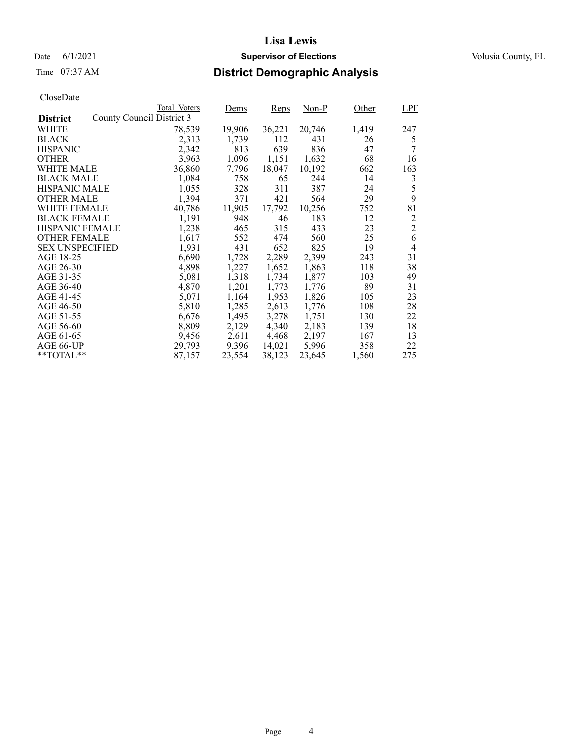### Date 6/1/2021 **Supervisor of Elections Supervisor of Elections** Volusia County, FL

# Time 07:37 AM **District Demographic Analysis**

|                        |                           | Total Voters | Dems   | <b>Reps</b> | Non-P  | Other | LPF            |
|------------------------|---------------------------|--------------|--------|-------------|--------|-------|----------------|
| <b>District</b>        | County Council District 3 |              |        |             |        |       |                |
| WHITE                  |                           | 78,539       | 19,906 | 36,221      | 20,746 | 1,419 | 247            |
| <b>BLACK</b>           |                           | 2,313        | 1,739  | 112         | 431    | 26    | 5              |
| <b>HISPANIC</b>        |                           | 2,342        | 813    | 639         | 836    | 47    | 7              |
| <b>OTHER</b>           |                           | 3,963        | 1,096  | 1,151       | 1,632  | 68    | 16             |
| WHITE MALE             |                           | 36,860       | 7,796  | 18,047      | 10,192 | 662   | 163            |
| <b>BLACK MALE</b>      |                           | 1,084        | 758    | 65          | 244    | 14    | 3              |
| <b>HISPANIC MALE</b>   |                           | 1,055        | 328    | 311         | 387    | 24    | 5              |
| <b>OTHER MALE</b>      |                           | 1,394        | 371    | 421         | 564    | 29    | 9              |
| <b>WHITE FEMALE</b>    |                           | 40,786       | 11,905 | 17,792      | 10,256 | 752   | 81             |
| <b>BLACK FEMALE</b>    |                           | 1,191        | 948    | 46          | 183    | 12    | 2              |
| HISPANIC FEMALE        |                           | 1,238        | 465    | 315         | 433    | 23    | $\overline{2}$ |
| <b>OTHER FEMALE</b>    |                           | 1,617        | 552    | 474         | 560    | 25    | 6              |
| <b>SEX UNSPECIFIED</b> |                           | 1,931        | 431    | 652         | 825    | 19    | 4              |
| AGE 18-25              |                           | 6,690        | 1,728  | 2,289       | 2,399  | 243   | 31             |
| AGE 26-30              |                           | 4,898        | 1,227  | 1,652       | 1,863  | 118   | 38             |
| AGE 31-35              |                           | 5,081        | 1,318  | 1,734       | 1,877  | 103   | 49             |
| AGE 36-40              |                           | 4,870        | 1,201  | 1,773       | 1,776  | 89    | 31             |
| AGE 41-45              |                           | 5,071        | 1,164  | 1,953       | 1,826  | 105   | 23             |
| AGE 46-50              |                           | 5,810        | 1,285  | 2,613       | 1,776  | 108   | 28             |
| AGE 51-55              |                           | 6,676        | 1,495  | 3,278       | 1,751  | 130   | 22             |
| AGE 56-60              |                           | 8,809        | 2,129  | 4,340       | 2,183  | 139   | 18             |
| AGE 61-65              |                           | 9,456        | 2,611  | 4,468       | 2,197  | 167   | 13             |
| AGE 66-UP              |                           | 29,793       | 9,396  | 14,021      | 5,996  | 358   | 22             |
| $*$ $TOTAL**$          |                           | 87,157       | 23,554 | 38,123      | 23,645 | 1,560 | 275            |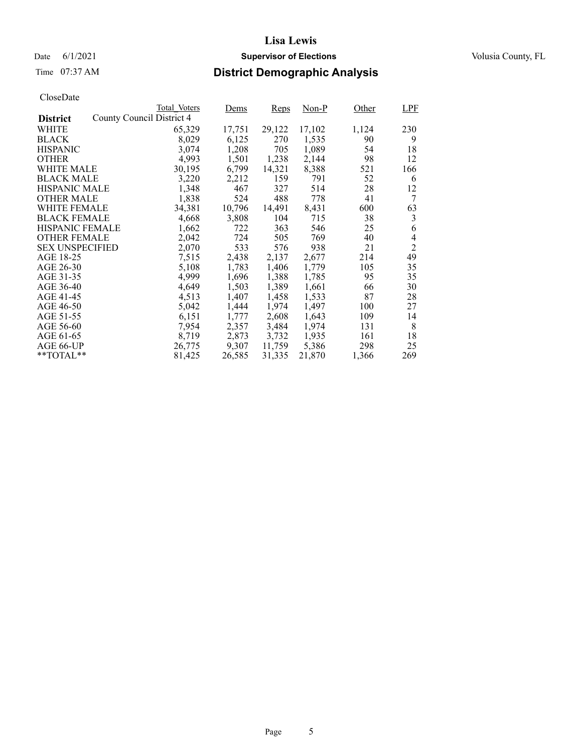# Time 07:37 AM **District Demographic Analysis**

|                        |                           | Total Voters | Dems   | Reps   | Non-P  | Other | <b>LPF</b>     |
|------------------------|---------------------------|--------------|--------|--------|--------|-------|----------------|
| <b>District</b>        | County Council District 4 |              |        |        |        |       |                |
| WHITE                  |                           | 65,329       | 17,751 | 29,122 | 17,102 | 1,124 | 230            |
| <b>BLACK</b>           |                           | 8,029        | 6,125  | 270    | 1,535  | 90    | 9              |
| <b>HISPANIC</b>        |                           | 3,074        | 1,208  | 705    | 1,089  | 54    | 18             |
| <b>OTHER</b>           |                           | 4,993        | 1,501  | 1,238  | 2,144  | 98    | 12             |
| WHITE MALE             |                           | 30,195       | 6,799  | 14,321 | 8,388  | 521   | 166            |
| <b>BLACK MALE</b>      |                           | 3,220        | 2,212  | 159    | 791    | 52    | 6              |
| <b>HISPANIC MALE</b>   |                           | 1,348        | 467    | 327    | 514    | 28    | 12             |
| <b>OTHER MALE</b>      |                           | 1,838        | 524    | 488    | 778    | 41    | 7              |
| <b>WHITE FEMALE</b>    |                           | 34,381       | 10,796 | 14,491 | 8,431  | 600   | 63             |
| <b>BLACK FEMALE</b>    |                           | 4,668        | 3,808  | 104    | 715    | 38    | 3              |
| <b>HISPANIC FEMALE</b> |                           | 1,662        | 722    | 363    | 546    | 25    | 6              |
| <b>OTHER FEMALE</b>    |                           | 2,042        | 724    | 505    | 769    | 40    | 4              |
| <b>SEX UNSPECIFIED</b> |                           | 2,070        | 533    | 576    | 938    | 21    | $\overline{2}$ |
| AGE 18-25              |                           | 7,515        | 2,438  | 2,137  | 2,677  | 214   | 49             |
| AGE 26-30              |                           | 5,108        | 1,783  | 1,406  | 1.779  | 105   | 35             |
| AGE 31-35              |                           | 4,999        | 1,696  | 1,388  | 1,785  | 95    | 35             |
| AGE 36-40              |                           | 4,649        | 1,503  | 1,389  | 1,661  | 66    | 30             |
| AGE 41-45              |                           | 4,513        | 1,407  | 1,458  | 1,533  | 87    | 28             |
| AGE 46-50              |                           | 5,042        | 1,444  | 1,974  | 1,497  | 100   | 27             |
| AGE 51-55              |                           | 6,151        | 1,777  | 2,608  | 1,643  | 109   | 14             |
| AGE 56-60              |                           | 7,954        | 2,357  | 3,484  | 1,974  | 131   | 8              |
| AGE 61-65              |                           | 8,719        | 2,873  | 3,732  | 1,935  | 161   | 18             |
| AGE 66-UP              |                           | 26,775       | 9,307  | 11,759 | 5,386  | 298   | 25             |
| $*$ $TOTAL**$          |                           | 81,425       | 26,585 | 31,335 | 21,870 | 1,366 | 269            |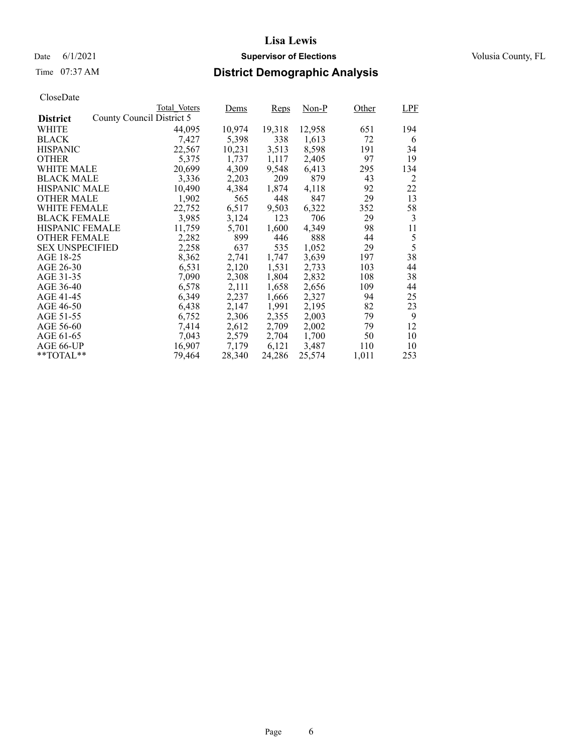### Date 6/1/2021 **Supervisor of Elections Supervisor of Elections** Volusia County, FL

# Time 07:37 AM **District Demographic Analysis**

|                        |                           | Total Voters | Dems   | Reps   | Non-P  | Other | <b>LPF</b> |
|------------------------|---------------------------|--------------|--------|--------|--------|-------|------------|
| <b>District</b>        | County Council District 5 |              |        |        |        |       |            |
| WHITE                  |                           | 44,095       | 10,974 | 19,318 | 12,958 | 651   | 194        |
| <b>BLACK</b>           |                           | 7,427        | 5,398  | 338    | 1,613  | 72    | 6          |
| <b>HISPANIC</b>        |                           | 22,567       | 10,231 | 3,513  | 8,598  | 191   | 34         |
| <b>OTHER</b>           |                           | 5,375        | 1,737  | 1,117  | 2,405  | 97    | 19         |
| WHITE MALE             |                           | 20,699       | 4,309  | 9,548  | 6,413  | 295   | 134        |
| <b>BLACK MALE</b>      |                           | 3,336        | 2,203  | 209    | 879    | 43    | 2          |
| <b>HISPANIC MALE</b>   |                           | 10,490       | 4,384  | 1,874  | 4,118  | 92    | 22         |
| <b>OTHER MALE</b>      |                           | 1,902        | 565    | 448    | 847    | 29    | 13         |
| <b>WHITE FEMALE</b>    |                           | 22,752       | 6,517  | 9,503  | 6,322  | 352   | 58         |
| <b>BLACK FEMALE</b>    |                           | 3,985        | 3,124  | 123    | 706    | 29    | 3          |
| <b>HISPANIC FEMALE</b> |                           | 11,759       | 5,701  | 1,600  | 4,349  | 98    | 11         |
| <b>OTHER FEMALE</b>    |                           | 2,282        | 899    | 446    | 888    | 44    | 5          |
| <b>SEX UNSPECIFIED</b> |                           | 2,258        | 637    | 535    | 1,052  | 29    | 5          |
| AGE 18-25              |                           | 8,362        | 2,741  | 1,747  | 3,639  | 197   | 38         |
| AGE 26-30              |                           | 6,531        | 2,120  | 1,531  | 2,733  | 103   | 44         |
| AGE 31-35              |                           | 7,090        | 2,308  | 1,804  | 2,832  | 108   | 38         |
| AGE 36-40              |                           | 6,578        | 2,111  | 1,658  | 2,656  | 109   | 44         |
| AGE 41-45              |                           | 6,349        | 2,237  | 1,666  | 2,327  | 94    | 25         |
| AGE 46-50              |                           | 6,438        | 2,147  | 1,991  | 2,195  | 82    | 23         |
| AGE 51-55              |                           | 6,752        | 2,306  | 2,355  | 2,003  | 79    | 9          |
| AGE 56-60              |                           | 7,414        | 2,612  | 2,709  | 2,002  | 79    | 12         |
| AGE 61-65              |                           | 7,043        | 2,579  | 2,704  | 1,700  | 50    | 10         |
| AGE 66-UP              |                           | 16,907       | 7,179  | 6,121  | 3,487  | 110   | 10         |
| $*$ $TOTAL**$          |                           | 79.464       | 28,340 | 24,286 | 25,574 | 1,011 | 253        |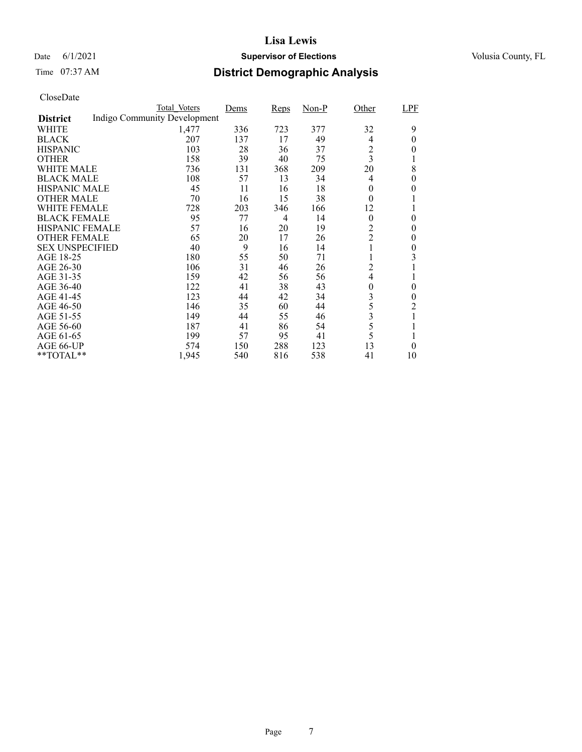### Date 6/1/2021 **Supervisor of Elections Supervisor of Elections** Volusia County, FL

# Time 07:37 AM **District Demographic Analysis**

|                        | Total Voters                 | Dems | Reps | $Non-P$ | Other          | LPF      |
|------------------------|------------------------------|------|------|---------|----------------|----------|
| <b>District</b>        | Indigo Community Development |      |      |         |                |          |
| WHITE                  | 1,477                        | 336  | 723  | 377     | 32             | 9        |
| <b>BLACK</b>           | 207                          | 137  | 17   | 49      | 4              | $\theta$ |
| <b>HISPANIC</b>        | 103                          | 28   | 36   | 37      | $\overline{c}$ | 0        |
| <b>OTHER</b>           | 158                          | 39   | 40   | 75      | 3              |          |
| WHITE MALE             | 736                          | 131  | 368  | 209     | 20             | 8        |
| <b>BLACK MALE</b>      | 108                          | 57   | 13   | 34      | $\overline{4}$ | 0        |
| <b>HISPANIC MALE</b>   | 45                           | 11   | 16   | 18      | $\theta$       | 0        |
| <b>OTHER MALE</b>      | 70                           | 16   | 15   | 38      | $\theta$       |          |
| <b>WHITE FEMALE</b>    | 728                          | 203  | 346  | 166     | 12             |          |
| <b>BLACK FEMALE</b>    | 95                           | 77   | 4    | 14      | $\theta$       | $\theta$ |
| <b>HISPANIC FEMALE</b> | 57                           | 16   | 20   | 19      | $\overline{c}$ | 0        |
| <b>OTHER FEMALE</b>    | 65                           | 20   | 17   | 26      | $\overline{c}$ | $\theta$ |
| <b>SEX UNSPECIFIED</b> | 40                           | 9    | 16   | 14      |                | $\theta$ |
| AGE 18-25              | 180                          | 55   | 50   | 71      |                | 3        |
| AGE 26-30              | 106                          | 31   | 46   | 26      | 2              | 1        |
| AGE 31-35              | 159                          | 42   | 56   | 56      | 4              |          |
| AGE 36-40              | 122                          | 41   | 38   | 43      | 0              | 0        |
| AGE 41-45              | 123                          | 44   | 42   | 34      | 3              | $\theta$ |
| AGE 46-50              | 146                          | 35   | 60   | 44      | 5              | 2        |
| AGE 51-55              | 149                          | 44   | 55   | 46      | 3              |          |
| AGE 56-60              | 187                          | 41   | 86   | 54      | 5              |          |
| AGE 61-65              | 199                          | 57   | 95   | 41      | 5              |          |
| AGE 66-UP              | 574                          | 150  | 288  | 123     | 13             | 0        |
| **TOTAL**              | 1,945                        | 540  | 816  | 538     | 41             | 10       |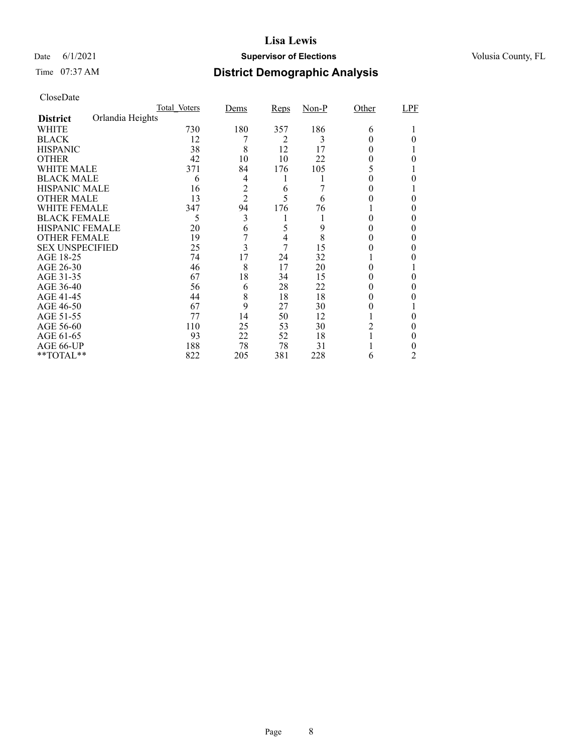### Date 6/1/2021 **Supervisor of Elections Supervisor of Elections** Volusia County, FL

# Time 07:37 AM **District Demographic Analysis**

|                        |                  | Total Voters | Dems           | Reps           | $Non-P$ | Other    | LPF |
|------------------------|------------------|--------------|----------------|----------------|---------|----------|-----|
| <b>District</b>        | Orlandia Heights |              |                |                |         |          |     |
| WHITE                  |                  | 730          | 180            | 357            | 186     | 6        |     |
| <b>BLACK</b>           |                  | 12           |                | 2              | 3       |          |     |
| <b>HISPANIC</b>        |                  | 38           | 8              | 12             | 17      | 0        |     |
| <b>OTHER</b>           |                  | 42           | 10             | 10             | 22      |          |     |
| WHITE MALE             |                  | 371          | 84             | 176            | 105     | 5        |     |
| <b>BLACK MALE</b>      |                  | 6            | 4              | l              |         |          |     |
| <b>HISPANIC MALE</b>   |                  | 16           | $\overline{c}$ | 6              |         |          |     |
| <b>OTHER MALE</b>      |                  | 13           | $\overline{2}$ | 5              | 6       |          | 0   |
| WHITE FEMALE           |                  | 347          | 94             | 176            | 76      |          |     |
| <b>BLACK FEMALE</b>    |                  | 5            | 3              | 1              |         | 0        | 0   |
| HISPANIC FEMALE        |                  | 20           | 6              | 5              | 9       |          |     |
| <b>OTHER FEMALE</b>    |                  | 19           |                | $\overline{4}$ | 8       | 0        |     |
| <b>SEX UNSPECIFIED</b> |                  | 25           | 3              | 7              | 15      |          |     |
| AGE 18-25              |                  | 74           | 17             | 24             | 32      |          |     |
| AGE 26-30              |                  | 46           | 8              | 17             | 20      | $^{(1)}$ |     |
| AGE 31-35              |                  | 67           | 18             | 34             | 15      |          |     |
| AGE 36-40              |                  | 56           | 6              | 28             | 22      |          | 0   |
| AGE 41-45              |                  | 44           | 8              | 18             | 18      |          |     |
| AGE 46-50              |                  | 67           | 9              | 27             | 30      |          |     |
| AGE 51-55              |                  | 77           | 14             | 50             | 12      |          |     |
| AGE 56-60              |                  | 110          | 25             | 53             | 30      | 2        |     |
| AGE 61-65              |                  | 93           | 22             | 52             | 18      |          | 0   |
| AGE 66-UP              |                  | 188          | 78             | 78             | 31      |          |     |
| **TOTAL**              |                  | 822          | 205            | 381            | 228     | 6        | 2   |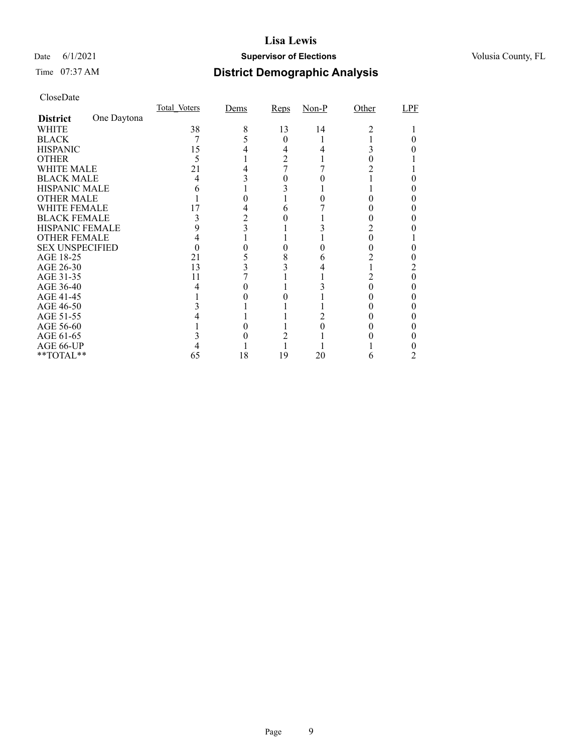### Date 6/1/2021 **Supervisor of Elections Supervisor of Elections** Volusia County, FL

# Time 07:37 AM **District Demographic Analysis**

|                        |             | Total Voters | Dems | Reps | $Non-P$ | Other | LPF |
|------------------------|-------------|--------------|------|------|---------|-------|-----|
| <b>District</b>        | One Daytona |              |      |      |         |       |     |
| WHITE                  |             | 38           | 8    | 13   | 14      | 2     |     |
| <b>BLACK</b>           |             |              |      | 0    |         |       |     |
| <b>HISPANIC</b>        |             | 15           |      | 4    |         |       |     |
| <b>OTHER</b>           |             | 5            |      | 2    |         |       |     |
| WHITE MALE             |             | 21           |      |      |         |       |     |
| <b>BLACK MALE</b>      |             | 4            |      |      |         |       |     |
| <b>HISPANIC MALE</b>   |             |              |      |      |         |       |     |
| <b>OTHER MALE</b>      |             |              |      |      |         |       |     |
| WHITE FEMALE           |             | 17           |      |      |         |       |     |
| <b>BLACK FEMALE</b>    |             | 3            |      |      |         |       |     |
| <b>HISPANIC FEMALE</b> |             |              | 3    |      |         |       |     |
| <b>OTHER FEMALE</b>    |             |              |      |      |         |       |     |
| <b>SEX UNSPECIFIED</b> |             |              |      |      |         |       |     |
| AGE 18-25              |             | 21           |      | 8    |         |       |     |
| AGE 26-30              |             | 13           |      |      |         |       |     |
| AGE 31-35              |             | 11           |      |      |         |       |     |
| AGE 36-40              |             | 4            |      |      |         |       |     |
| AGE 41-45              |             |              |      |      |         |       |     |
| AGE 46-50              |             |              |      |      |         |       |     |
| AGE 51-55              |             |              |      |      |         |       |     |
| AGE 56-60              |             |              |      |      |         |       |     |
| AGE 61-65              |             |              |      |      |         |       |     |
| AGE 66-UP              |             |              |      |      |         |       |     |
| **TOTAL**              |             | 65           | 18   | 19   | 20      | 6     |     |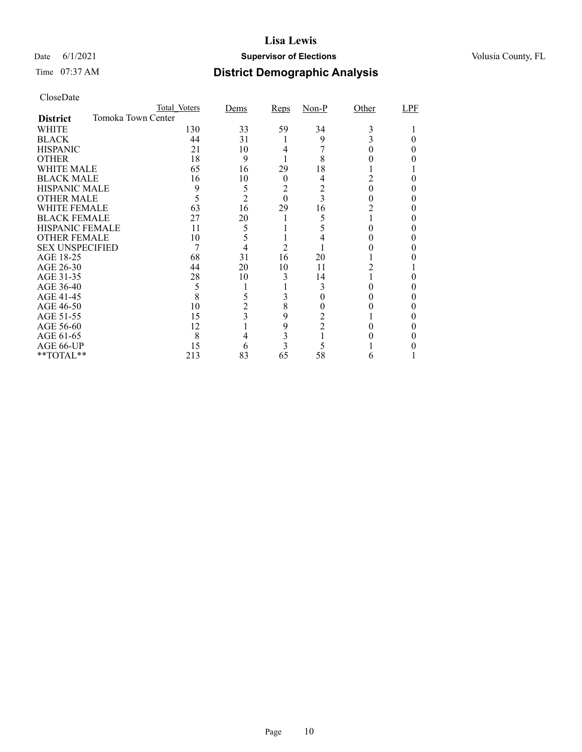### Date 6/1/2021 **Supervisor of Elections Supervisor of Elections** Volusia County, FL

# Time 07:37 AM **District Demographic Analysis**

|                        | Total Voters       | Dems                    | Reps           | $Non-P$ | Other | LPF |
|------------------------|--------------------|-------------------------|----------------|---------|-------|-----|
| <b>District</b>        | Tomoka Town Center |                         |                |         |       |     |
| WHITE                  | 130                | 33                      | 59             | 34      | 3     |     |
| <b>BLACK</b>           | 44                 | 31                      |                | 9       |       |     |
| <b>HISPANIC</b>        | 21                 | 10                      | 4              |         |       |     |
| <b>OTHER</b>           | 18                 | 9                       |                | 8       |       |     |
| WHITE MALE             | 65                 | 16                      | 29             | 18      |       |     |
| <b>BLACK MALE</b>      | 16                 | 10                      | $\theta$       | 4       | 2     |     |
| <b>HISPANIC MALE</b>   | 9                  | 5                       | 2              | 2       |       |     |
| <b>OTHER MALE</b>      | 5                  | $\overline{2}$          | $\overline{0}$ | 3       |       |     |
| <b>WHITE FEMALE</b>    | 63                 | 16                      | 29             | 16      |       |     |
| <b>BLACK FEMALE</b>    | 27                 | 20                      |                | 5       |       |     |
| <b>HISPANIC FEMALE</b> | 11                 | 5                       |                | 5       |       |     |
| <b>OTHER FEMALE</b>    | 10                 | 5                       |                |         |       |     |
| <b>SEX UNSPECIFIED</b> | 7                  | 4                       | $\overline{2}$ |         |       |     |
| AGE 18-25              | 68                 | 31                      | 16             | 20      |       |     |
| AGE 26-30              | 44                 | 20                      | 10             | 11      | 2     |     |
| AGE 31-35              | 28                 | 10                      | 3              | 14      |       |     |
| AGE 36-40              | 5                  |                         |                | 3       |       |     |
| AGE 41-45              | 8                  | 5                       |                |         |       |     |
| AGE 46-50              | 10                 | $\overline{c}$          | 8              |         |       |     |
| AGE 51-55              | 15                 | $\overline{\mathbf{3}}$ | 9              |         |       |     |
| AGE 56-60              | 12                 |                         | 9              | 2       |       |     |
| AGE 61-65              | 8                  | 4                       | 3              |         |       |     |
| AGE 66-UP              | 15                 | 6                       | 3              | 5       |       |     |
| **TOTAL**              | 213                | 83                      | 65             | 58      | 6     |     |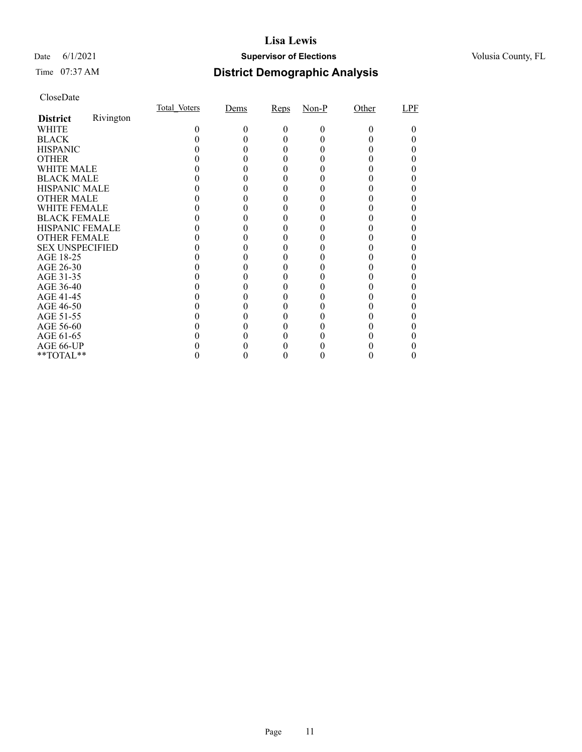### Date 6/1/2021 **Supervisor of Elections Supervisor of Elections** Volusia County, FL

# Time 07:37 AM **District Demographic Analysis**

|                        |           | Total Voters | Dems | Reps         | $Non-P$ | Other | LPF |
|------------------------|-----------|--------------|------|--------------|---------|-------|-----|
| <b>District</b>        | Rivington |              |      |              |         |       |     |
| WHITE                  |           |              |      | $\mathbf{0}$ | 0       | 0     |     |
| <b>BLACK</b>           |           |              |      |              |         |       |     |
| <b>HISPANIC</b>        |           |              |      |              |         |       |     |
| <b>OTHER</b>           |           |              |      |              |         |       |     |
| WHITE MALE             |           |              |      |              |         |       |     |
| <b>BLACK MALE</b>      |           |              |      |              |         |       |     |
| <b>HISPANIC MALE</b>   |           |              |      |              |         |       |     |
| <b>OTHER MALE</b>      |           |              |      |              |         |       |     |
| <b>WHITE FEMALE</b>    |           |              |      |              |         |       |     |
| <b>BLACK FEMALE</b>    |           |              |      |              |         |       |     |
| HISPANIC FEMALE        |           |              |      |              |         |       |     |
| <b>OTHER FEMALE</b>    |           |              |      |              |         |       |     |
| <b>SEX UNSPECIFIED</b> |           |              |      |              |         |       |     |
| AGE 18-25              |           |              |      |              |         |       |     |
| AGE 26-30              |           |              |      |              |         |       |     |
| AGE 31-35              |           |              |      |              |         |       |     |
| AGE 36-40              |           |              |      |              |         |       |     |
| AGE 41-45              |           |              |      |              |         |       |     |
| AGE 46-50              |           |              |      |              |         |       |     |
| AGE 51-55              |           |              |      |              |         |       |     |
| AGE 56-60              |           |              |      |              |         |       |     |
| AGE 61-65              |           |              |      |              |         |       |     |
| AGE 66-UP              |           |              |      |              |         |       |     |
| **TOTAL**              |           |              |      |              |         |       |     |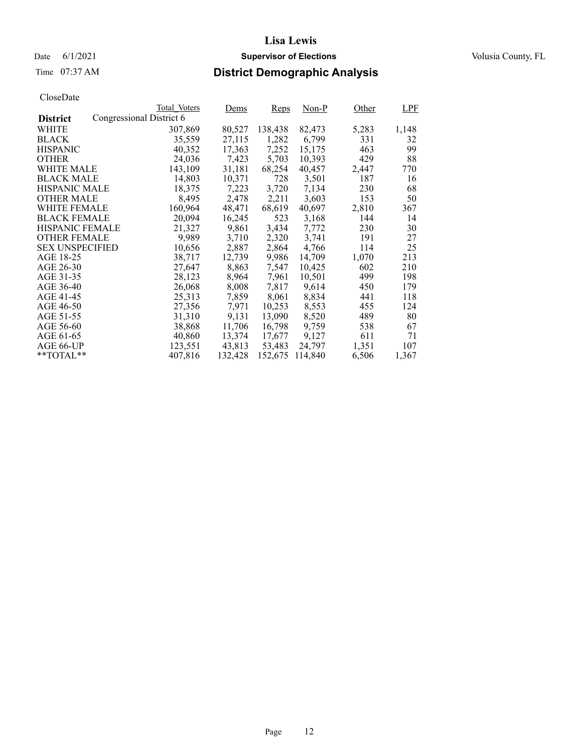Date 6/1/2021 **Supervisor of Elections Supervisor of Elections** Volusia County, FL

# Time 07:37 AM **District Demographic Analysis**

|                        |                          | Total Voters | <u>Dems</u> | Reps    | Non-P   | Other | <b>LPF</b> |
|------------------------|--------------------------|--------------|-------------|---------|---------|-------|------------|
| <b>District</b>        | Congressional District 6 |              |             |         |         |       |            |
| WHITE                  |                          | 307,869      | 80,527      | 138,438 | 82,473  | 5,283 | 1,148      |
| <b>BLACK</b>           |                          | 35,559       | 27,115      | 1,282   | 6,799   | 331   | 32         |
| <b>HISPANIC</b>        |                          | 40,352       | 17,363      | 7,252   | 15,175  | 463   | 99         |
| <b>OTHER</b>           |                          | 24,036       | 7,423       | 5,703   | 10,393  | 429   | 88         |
| WHITE MALE             |                          | 143.109      | 31,181      | 68,254  | 40.457  | 2,447 | 770        |
| <b>BLACK MALE</b>      |                          | 14,803       | 10,371      | 728     | 3,501   | 187   | 16         |
| <b>HISPANIC MALE</b>   |                          | 18,375       | 7,223       | 3,720   | 7,134   | 230   | 68         |
| <b>OTHER MALE</b>      |                          | 8,495        | 2,478       | 2,211   | 3,603   | 153   | 50         |
| <b>WHITE FEMALE</b>    |                          | 160,964      | 48,471      | 68,619  | 40,697  | 2,810 | 367        |
| <b>BLACK FEMALE</b>    |                          | 20,094       | 16,245      | 523     | 3,168   | 144   | 14         |
| HISPANIC FEMALE        |                          | 21,327       | 9,861       | 3,434   | 7,772   | 230   | 30         |
| <b>OTHER FEMALE</b>    |                          | 9.989        | 3,710       | 2,320   | 3.741   | 191   | 27         |
| <b>SEX UNSPECIFIED</b> |                          | 10,656       | 2,887       | 2,864   | 4,766   | 114   | 25         |
| AGE 18-25              |                          | 38,717       | 12,739      | 9,986   | 14,709  | 1,070 | 213        |
| AGE 26-30              |                          | 27,647       | 8,863       | 7,547   | 10,425  | 602   | 210        |
| AGE 31-35              |                          | 28,123       | 8,964       | 7,961   | 10,501  | 499   | 198        |
| AGE 36-40              |                          | 26,068       | 8,008       | 7,817   | 9,614   | 450   | 179        |
| AGE 41-45              |                          | 25,313       | 7,859       | 8,061   | 8,834   | 441   | 118        |
| AGE 46-50              |                          | 27,356       | 7,971       | 10,253  | 8,553   | 455   | 124        |
| AGE 51-55              |                          | 31,310       | 9,131       | 13,090  | 8,520   | 489   | 80         |
| AGE 56-60              |                          | 38,868       | 11,706      | 16,798  | 9.759   | 538   | 67         |
| AGE 61-65              |                          | 40,860       | 13,374      | 17,677  | 9,127   | 611   | 71         |
| AGE 66-UP              |                          | 123,551      | 43,813      | 53,483  | 24,797  | 1,351 | 107        |
| $*$ TOTAL $*$          |                          | 407,816      | 132,428     | 152,675 | 114,840 | 6,506 | 1,367      |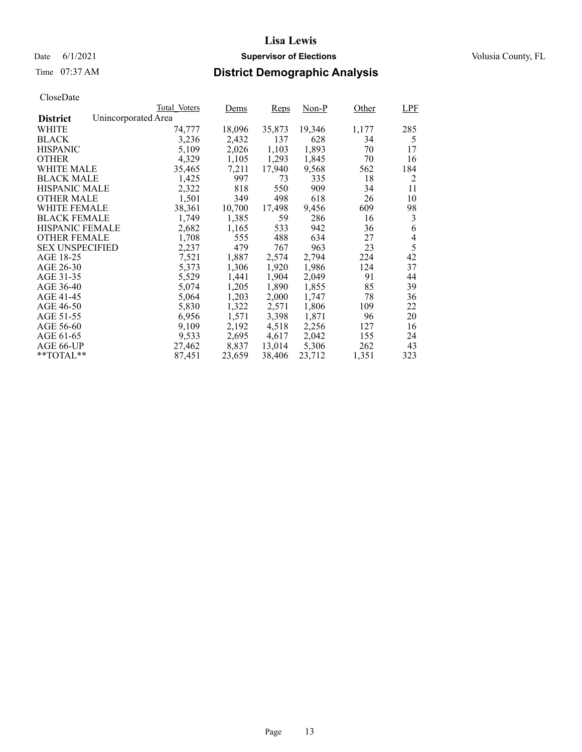# Time 07:37 AM **District Demographic Analysis**

|                        |                     | Total Voters | Dems   | Reps   | Non-P  | Other | <b>LPF</b> |
|------------------------|---------------------|--------------|--------|--------|--------|-------|------------|
| <b>District</b>        | Unincorporated Area |              |        |        |        |       |            |
| WHITE                  |                     | 74,777       | 18,096 | 35,873 | 19,346 | 1,177 | 285        |
| <b>BLACK</b>           |                     | 3,236        | 2,432  | 137    | 628    | 34    | 5          |
| <b>HISPANIC</b>        |                     | 5,109        | 2,026  | 1,103  | 1,893  | 70    | 17         |
| <b>OTHER</b>           |                     | 4,329        | 1,105  | 1,293  | 1,845  | 70    | 16         |
| WHITE MALE             |                     | 35,465       | 7,211  | 17,940 | 9,568  | 562   | 184        |
| <b>BLACK MALE</b>      |                     | 1,425        | 997    | 73     | 335    | 18    | 2          |
| <b>HISPANIC MALE</b>   |                     | 2,322        | 818    | 550    | 909    | 34    | 11         |
| <b>OTHER MALE</b>      |                     | 1,501        | 349    | 498    | 618    | 26    | 10         |
| <b>WHITE FEMALE</b>    |                     | 38,361       | 10,700 | 17,498 | 9,456  | 609   | 98         |
| <b>BLACK FEMALE</b>    |                     | 1,749        | 1,385  | 59     | 286    | 16    | 3          |
| <b>HISPANIC FEMALE</b> |                     | 2,682        | 1,165  | 533    | 942    | 36    | 6          |
| <b>OTHER FEMALE</b>    |                     | 1,708        | 555    | 488    | 634    | 27    | 4          |
| <b>SEX UNSPECIFIED</b> |                     | 2,237        | 479    | 767    | 963    | 23    | 5          |
| AGE 18-25              |                     | 7,521        | 1,887  | 2,574  | 2,794  | 224   | 42         |
| AGE 26-30              |                     | 5,373        | 1,306  | 1,920  | 1,986  | 124   | 37         |
| AGE 31-35              |                     | 5,529        | 1,441  | 1,904  | 2,049  | 91    | 44         |
| AGE 36-40              |                     | 5,074        | 1,205  | 1,890  | 1,855  | 85    | 39         |
| AGE 41-45              |                     | 5,064        | 1,203  | 2,000  | 1,747  | 78    | 36         |
| AGE 46-50              |                     | 5,830        | 1,322  | 2,571  | 1,806  | 109   | 22         |
| AGE 51-55              |                     | 6,956        | 1,571  | 3,398  | 1,871  | 96    | 20         |
| AGE 56-60              |                     | 9,109        | 2,192  | 4,518  | 2,256  | 127   | 16         |
| AGE 61-65              |                     | 9,533        | 2,695  | 4,617  | 2,042  | 155   | 24         |
| AGE 66-UP              |                     | 27,462       | 8,837  | 13,014 | 5,306  | 262   | 43         |
| $*$ $TOTAL**$          |                     | 87,451       | 23,659 | 38,406 | 23,712 | 1,351 | 323        |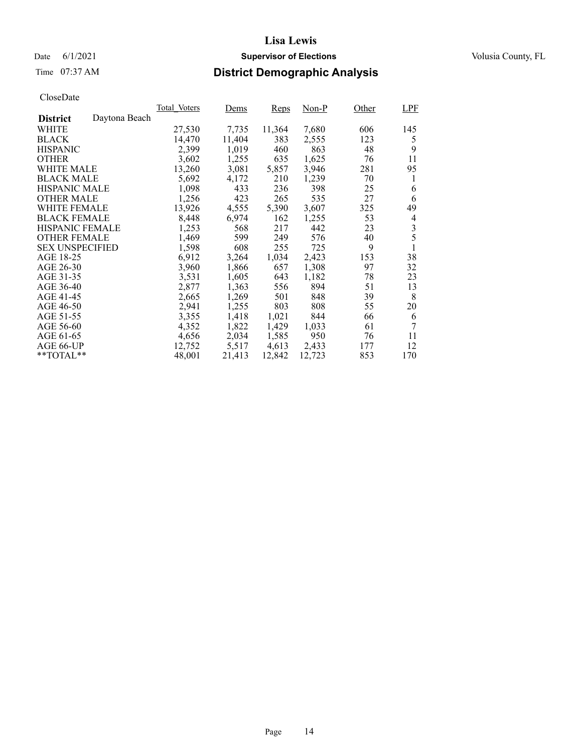Date 6/1/2021 **Supervisor of Elections Supervisor of Elections** Volusia County, FL

# Time 07:37 AM **District Demographic Analysis**

|                        |               | Total Voters | Dems   | Reps   | Non-P  | Other | LPF |
|------------------------|---------------|--------------|--------|--------|--------|-------|-----|
| <b>District</b>        | Daytona Beach |              |        |        |        |       |     |
| WHITE                  |               | 27,530       | 7,735  | 11,364 | 7,680  | 606   | 145 |
| <b>BLACK</b>           |               | 14,470       | 11,404 | 383    | 2,555  | 123   | 5   |
| <b>HISPANIC</b>        |               | 2,399        | 1,019  | 460    | 863    | 48    | 9   |
| <b>OTHER</b>           |               | 3,602        | 1,255  | 635    | 1,625  | 76    | 11  |
| WHITE MALE             |               | 13,260       | 3,081  | 5,857  | 3,946  | 281   | 95  |
| <b>BLACK MALE</b>      |               | 5,692        | 4,172  | 210    | 1,239  | 70    | l   |
| <b>HISPANIC MALE</b>   |               | 1,098        | 433    | 236    | 398    | 25    | 6   |
| <b>OTHER MALE</b>      |               | 1,256        | 423    | 265    | 535    | 27    | 6   |
| WHITE FEMALE           |               | 13,926       | 4,555  | 5,390  | 3,607  | 325   | 49  |
| <b>BLACK FEMALE</b>    |               | 8,448        | 6,974  | 162    | 1,255  | 53    | 4   |
| <b>HISPANIC FEMALE</b> |               | 1,253        | 568    | 217    | 442    | 23    | 3   |
| <b>OTHER FEMALE</b>    |               | 1,469        | 599    | 249    | 576    | 40    | 5   |
| <b>SEX UNSPECIFIED</b> |               | 1,598        | 608    | 255    | 725    | 9     |     |
| AGE 18-25              |               | 6,912        | 3,264  | 1,034  | 2,423  | 153   | 38  |
| AGE 26-30              |               | 3,960        | 1,866  | 657    | 1,308  | 97    | 32  |
| AGE 31-35              |               | 3,531        | 1,605  | 643    | 1,182  | 78    | 23  |
| AGE 36-40              |               | 2,877        | 1,363  | 556    | 894    | 51    | 13  |
| AGE 41-45              |               | 2,665        | 1,269  | 501    | 848    | 39    | 8   |
| AGE 46-50              |               | 2,941        | 1,255  | 803    | 808    | 55    | 20  |
| AGE 51-55              |               | 3,355        | 1,418  | 1,021  | 844    | 66    | 6   |
| AGE 56-60              |               | 4,352        | 1,822  | 1,429  | 1,033  | 61    | 7   |
| AGE 61-65              |               | 4,656        | 2,034  | 1,585  | 950    | 76    | 11  |
| AGE 66-UP              |               | 12,752       | 5,517  | 4,613  | 2,433  | 177   | 12  |
| $*$ $TOTAL**$          |               | 48,001       | 21,413 | 12,842 | 12,723 | 853   | 170 |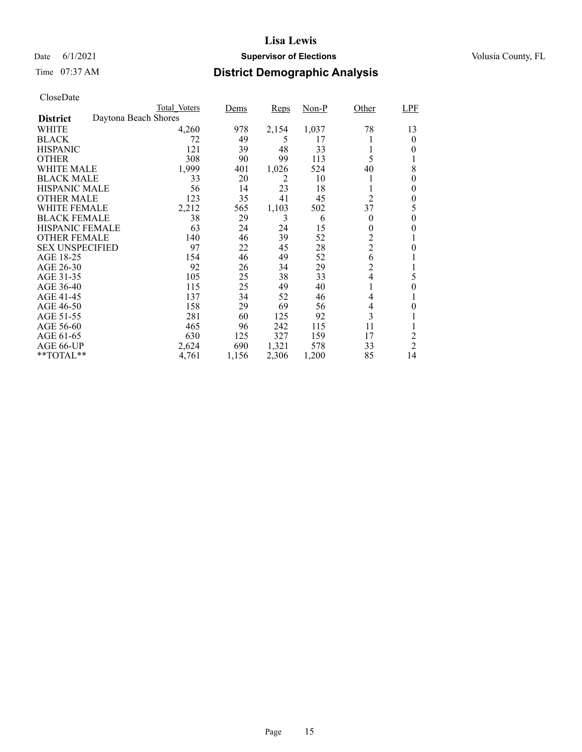### Date 6/1/2021 **Supervisor of Elections Supervisor of Elections** Volusia County, FL

# Time 07:37 AM **District Demographic Analysis**

|                        |                      | Total Voters | Dems  | Reps  | <u>Non-P</u> | Other          | LPF            |
|------------------------|----------------------|--------------|-------|-------|--------------|----------------|----------------|
| <b>District</b>        | Daytona Beach Shores |              |       |       |              |                |                |
| WHITE                  |                      | 4,260        | 978   | 2,154 | 1,037        | 78             | 13             |
| <b>BLACK</b>           |                      | 72           | 49    | 5     | 17           |                | $\overline{0}$ |
| <b>HISPANIC</b>        |                      | 121          | 39    | 48    | 33           |                | 0              |
| <b>OTHER</b>           |                      | 308          | 90    | 99    | 113          | 5              |                |
| WHITE MALE             |                      | 1,999        | 401   | 1,026 | 524          | 40             | 8              |
| <b>BLACK MALE</b>      |                      | 33           | 20    | 2     | 10           |                | 0              |
| <b>HISPANIC MALE</b>   |                      | 56           | 14    | 23    | 18           |                | 0              |
| <b>OTHER MALE</b>      |                      | 123          | 35    | 41    | 45           | 2              | 0              |
| WHITE FEMALE           |                      | 2,212        | 565   | 1,103 | 502          | 37             | 5              |
| <b>BLACK FEMALE</b>    |                      | 38           | 29    | 3     | 6            | $\theta$       | 0              |
| <b>HISPANIC FEMALE</b> |                      | 63           | 24    | 24    | 15           | 0              | 0              |
| <b>OTHER FEMALE</b>    |                      | 140          | 46    | 39    | 52           | $\overline{c}$ |                |
| <b>SEX UNSPECIFIED</b> |                      | 97           | 22    | 45    | 28           | $\overline{c}$ | $\theta$       |
| AGE 18-25              |                      | 154          | 46    | 49    | 52           | 6              |                |
| AGE 26-30              |                      | 92           | 26    | 34    | 29           | $\overline{2}$ | 1              |
| AGE 31-35              |                      | 105          | 25    | 38    | 33           | 4              | 5              |
| AGE 36-40              |                      | 115          | 25    | 49    | 40           |                | 0              |
| AGE 41-45              |                      | 137          | 34    | 52    | 46           | 4              |                |
| AGE 46-50              |                      | 158          | 29    | 69    | 56           | 4              | $\theta$       |
| AGE 51-55              |                      | 281          | 60    | 125   | 92           | 3              |                |
| AGE 56-60              |                      | 465          | 96    | 242   | 115          | 11             |                |
| AGE 61-65              |                      | 630          | 125   | 327   | 159          | 17             | $\overline{c}$ |
| AGE 66-UP              |                      | 2,624        | 690   | 1,321 | 578          | 33             | $\overline{2}$ |
| **TOTAL**              |                      | 4,761        | 1,156 | 2,306 | 1,200        | 85             | 14             |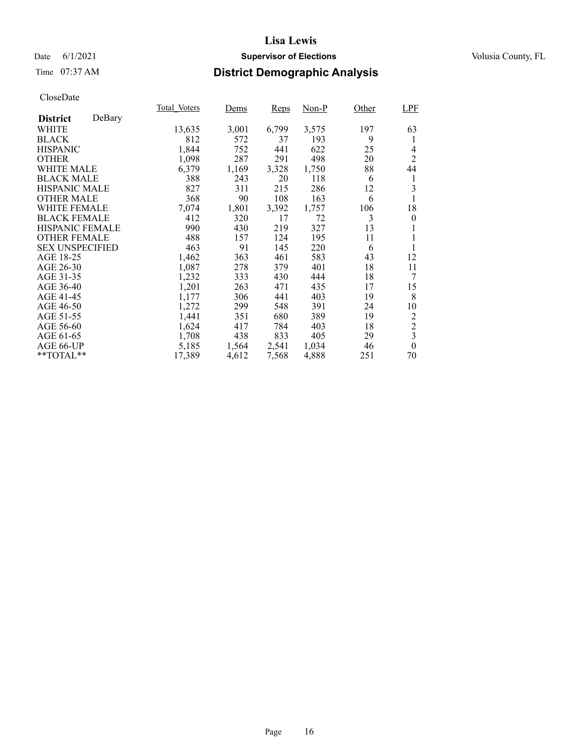### Date 6/1/2021 **Supervisor of Elections Supervisor of Elections** Volusia County, FL

# Time 07:37 AM **District Demographic Analysis**

|                        |        | Total Voters | Dems  | Reps  | Non-P | Other | <b>LPF</b>              |
|------------------------|--------|--------------|-------|-------|-------|-------|-------------------------|
| <b>District</b>        | DeBary |              |       |       |       |       |                         |
| WHITE                  |        | 13,635       | 3,001 | 6,799 | 3,575 | 197   | 63                      |
| <b>BLACK</b>           |        | 812          | 572   | 37    | 193   | 9     | 1                       |
| <b>HISPANIC</b>        |        | 1,844        | 752   | 441   | 622   | 25    | 4                       |
| <b>OTHER</b>           |        | 1,098        | 287   | 291   | 498   | 20    | $\overline{2}$          |
| WHITE MALE             |        | 6,379        | 1,169 | 3,328 | 1,750 | 88    | 44                      |
| <b>BLACK MALE</b>      |        | 388          | 243   | 20    | 118   | 6     | 1                       |
| <b>HISPANIC MALE</b>   |        | 827          | 311   | 215   | 286   | 12    | 3                       |
| <b>OTHER MALE</b>      |        | 368          | 90    | 108   | 163   | 6     | 1                       |
| WHITE FEMALE           |        | 7,074        | 1,801 | 3,392 | 1,757 | 106   | 18                      |
| <b>BLACK FEMALE</b>    |        | 412          | 320   | 17    | 72    | 3     | $\theta$                |
| HISPANIC FEMALE        |        | 990          | 430   | 219   | 327   | 13    |                         |
| <b>OTHER FEMALE</b>    |        | 488          | 157   | 124   | 195   | 11    | 1                       |
| <b>SEX UNSPECIFIED</b> |        | 463          | 91    | 145   | 220   | 6     | 1                       |
| AGE 18-25              |        | 1,462        | 363   | 461   | 583   | 43    | 12                      |
| AGE 26-30              |        | 1,087        | 278   | 379   | 401   | 18    | 11                      |
| AGE 31-35              |        | 1,232        | 333   | 430   | 444   | 18    | 7                       |
| AGE 36-40              |        | 1,201        | 263   | 471   | 435   | 17    | 15                      |
| AGE 41-45              |        | 1,177        | 306   | 441   | 403   | 19    | 8                       |
| AGE 46-50              |        | 1,272        | 299   | 548   | 391   | 24    | 10                      |
| AGE 51-55              |        | 1,441        | 351   | 680   | 389   | 19    | $\overline{c}$          |
| AGE 56-60              |        | 1,624        | 417   | 784   | 403   | 18    | $\overline{c}$          |
| AGE 61-65              |        | 1,708        | 438   | 833   | 405   | 29    | $\overline{\mathbf{3}}$ |
| AGE 66-UP              |        | 5,185        | 1,564 | 2,541 | 1,034 | 46    | $\boldsymbol{0}$        |
| **TOTAL**              |        | 17,389       | 4,612 | 7,568 | 4,888 | 251   | 70                      |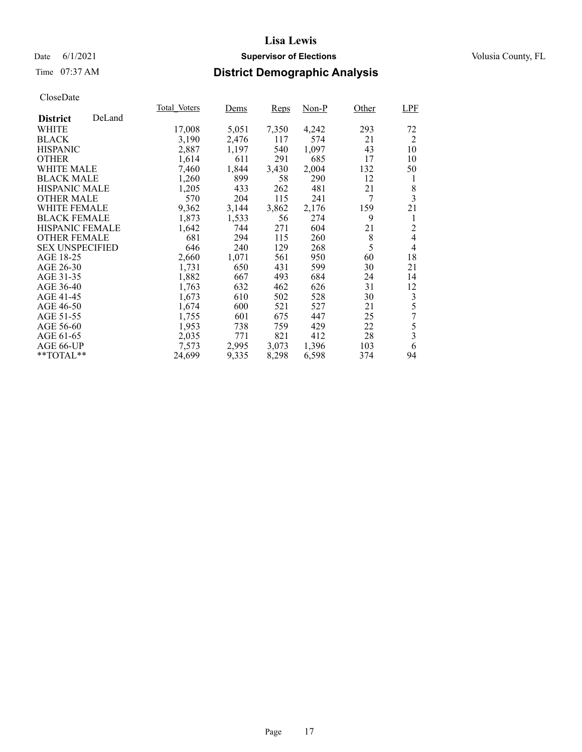### Date 6/1/2021 **Supervisor of Elections Supervisor of Elections** Volusia County, FL

### Time 07:37 AM **District Demographic Analysis**

|                        |        | Total Voters | Dems  | Reps  | Non-P | Other | LPF                     |
|------------------------|--------|--------------|-------|-------|-------|-------|-------------------------|
| <b>District</b>        | DeLand |              |       |       |       |       |                         |
| WHITE                  |        | 17,008       | 5,051 | 7,350 | 4,242 | 293   | 72                      |
| <b>BLACK</b>           |        | 3,190        | 2,476 | 117   | 574   | 21    | 2                       |
| <b>HISPANIC</b>        |        | 2,887        | 1,197 | 540   | 1,097 | 43    | 10                      |
| <b>OTHER</b>           |        | 1,614        | 611   | 291   | 685   | 17    | 10                      |
| WHITE MALE             |        | 7,460        | 1,844 | 3,430 | 2,004 | 132   | 50                      |
| <b>BLACK MALE</b>      |        | 1,260        | 899   | 58    | 290   | 12    | 1                       |
| <b>HISPANIC MALE</b>   |        | 1,205        | 433   | 262   | 481   | 21    | 8                       |
| <b>OTHER MALE</b>      |        | 570          | 204   | 115   | 241   | 7     | $\overline{\mathbf{3}}$ |
| <b>WHITE FEMALE</b>    |        | 9,362        | 3,144 | 3,862 | 2,176 | 159   | 21                      |
| <b>BLACK FEMALE</b>    |        | 1,873        | 1,533 | 56    | 274   | 9     | 1                       |
| HISPANIC FEMALE        |        | 1,642        | 744   | 271   | 604   | 21    | $\overline{c}$          |
| <b>OTHER FEMALE</b>    |        | 681          | 294   | 115   | 260   | 8     | $\overline{4}$          |
| <b>SEX UNSPECIFIED</b> |        | 646          | 240   | 129   | 268   | 5     | 4                       |
| AGE 18-25              |        | 2,660        | 1,071 | 561   | 950   | 60    | 18                      |
| AGE 26-30              |        | 1,731        | 650   | 431   | 599   | 30    | 21                      |
| AGE 31-35              |        | 1,882        | 667   | 493   | 684   | 24    | 14                      |
| AGE 36-40              |        | 1,763        | 632   | 462   | 626   | 31    | 12                      |
| AGE 41-45              |        | 1,673        | 610   | 502   | 528   | 30    | 3                       |
| AGE 46-50              |        | 1,674        | 600   | 521   | 527   | 21    | 5                       |
| AGE 51-55              |        | 1,755        | 601   | 675   | 447   | 25    | 7                       |
| AGE 56-60              |        | 1,953        | 738   | 759   | 429   | 22    | 5                       |
| AGE 61-65              |        | 2,035        | 771   | 821   | 412   | 28    | 3                       |
| AGE 66-UP              |        | 7,573        | 2,995 | 3,073 | 1,396 | 103   | 6                       |
| **TOTAL**              |        | 24,699       | 9,335 | 8,298 | 6,598 | 374   | 94                      |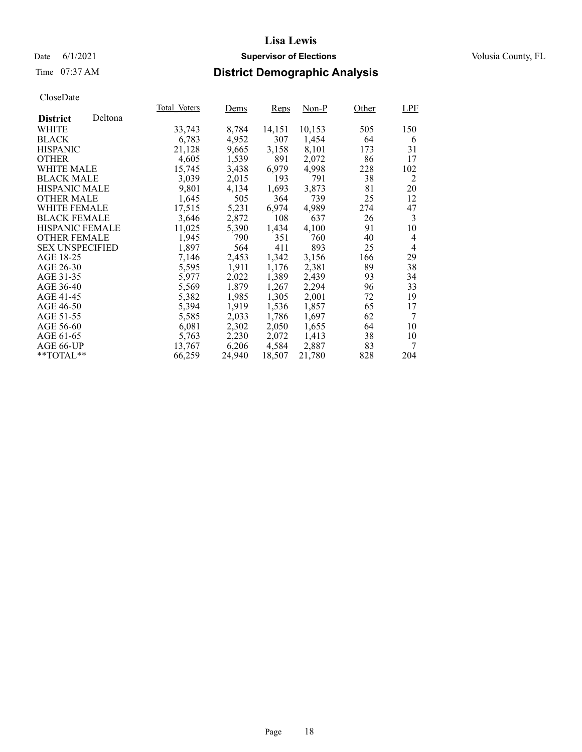### Date 6/1/2021 **Supervisor of Elections Supervisor of Elections** Volusia County, FL

# Time 07:37 AM **District Demographic Analysis**

|                        |         | Total Voters | Dems   | Reps   | Non-P  | Other | <b>LPF</b> |
|------------------------|---------|--------------|--------|--------|--------|-------|------------|
| <b>District</b>        | Deltona |              |        |        |        |       |            |
| WHITE                  |         | 33,743       | 8,784  | 14,151 | 10,153 | 505   | 150        |
| <b>BLACK</b>           |         | 6,783        | 4,952  | 307    | 1,454  | 64    | 6          |
| <b>HISPANIC</b>        |         | 21,128       | 9,665  | 3,158  | 8,101  | 173   | 31         |
| <b>OTHER</b>           |         | 4,605        | 1,539  | 891    | 2,072  | 86    | 17         |
| WHITE MALE             |         | 15.745       | 3,438  | 6.979  | 4,998  | 228   | 102        |
| <b>BLACK MALE</b>      |         | 3,039        | 2,015  | 193    | 791    | 38    | 2          |
| <b>HISPANIC MALE</b>   |         | 9,801        | 4,134  | 1,693  | 3,873  | 81    | 20         |
| <b>OTHER MALE</b>      |         | 1,645        | 505    | 364    | 739    | 25    | 12         |
| <b>WHITE FEMALE</b>    |         | 17,515       | 5,231  | 6,974  | 4,989  | 274   | 47         |
| <b>BLACK FEMALE</b>    |         | 3,646        | 2,872  | 108    | 637    | 26    | 3          |
| HISPANIC FEMALE        |         | 11,025       | 5,390  | 1,434  | 4,100  | 91    | 10         |
| <b>OTHER FEMALE</b>    |         | 1,945        | 790    | 351    | 760    | 40    | 4          |
| <b>SEX UNSPECIFIED</b> |         | 1,897        | 564    | 411    | 893    | 25    | 4          |
| AGE 18-25              |         | 7,146        | 2,453  | 1,342  | 3,156  | 166   | 29         |
| AGE 26-30              |         | 5,595        | 1,911  | 1,176  | 2,381  | 89    | 38         |
| AGE 31-35              |         | 5,977        | 2,022  | 1,389  | 2,439  | 93    | 34         |
| AGE 36-40              |         | 5,569        | 1,879  | 1,267  | 2,294  | 96    | 33         |
| AGE 41-45              |         | 5,382        | 1,985  | 1,305  | 2,001  | 72    | 19         |
| AGE 46-50              |         | 5,394        | 1,919  | 1,536  | 1,857  | 65    | 17         |
| AGE 51-55              |         | 5,585        | 2,033  | 1,786  | 1,697  | 62    | 7          |
| AGE 56-60              |         | 6,081        | 2,302  | 2,050  | 1,655  | 64    | 10         |
| AGE 61-65              |         | 5,763        | 2,230  | 2,072  | 1,413  | 38    | 10         |
| AGE 66-UP              |         | 13,767       | 6,206  | 4,584  | 2,887  | 83    | 7          |
| $*$ TOTAL $*$          |         | 66,259       | 24,940 | 18,507 | 21,780 | 828   | 204        |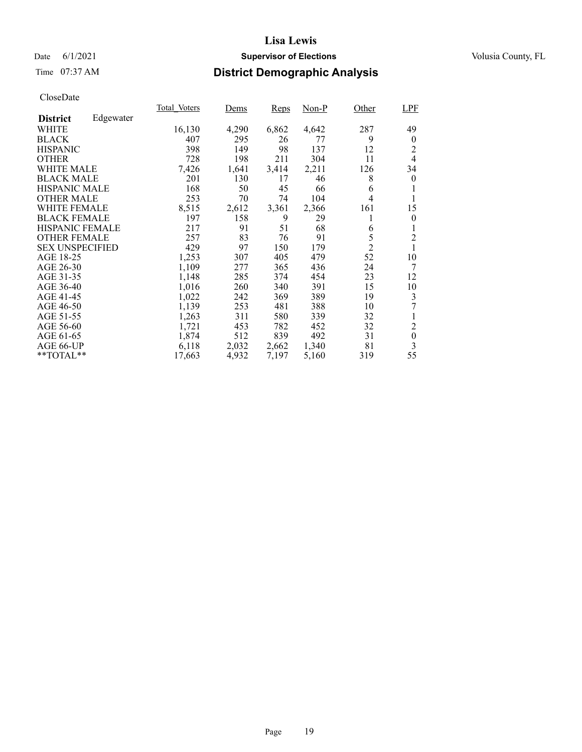### Date 6/1/2021 **Supervisor of Elections Supervisor of Elections** Volusia County, FL

# Time 07:37 AM **District Demographic Analysis**

|                        |           | Total Voters | Dems  | Reps  | Non-P | Other          | LPF              |
|------------------------|-----------|--------------|-------|-------|-------|----------------|------------------|
| <b>District</b>        | Edgewater |              |       |       |       |                |                  |
| WHITE                  |           | 16,130       | 4,290 | 6,862 | 4,642 | 287            | 49               |
| <b>BLACK</b>           |           | 407          | 295   | 26    | 77    | 9              | $\theta$         |
| <b>HISPANIC</b>        |           | 398          | 149   | 98    | 137   | 12             | 2                |
| <b>OTHER</b>           |           | 728          | 198   | 211   | 304   | 11             | 4                |
| WHITE MALE             |           | 7,426        | 1,641 | 3,414 | 2,211 | 126            | 34               |
| <b>BLACK MALE</b>      |           | 201          | 130   | 17    | 46    | 8              | $\theta$         |
| <b>HISPANIC MALE</b>   |           | 168          | 50    | 45    | 66    | 6              |                  |
| <b>OTHER MALE</b>      |           | 253          | 70    | 74    | 104   | 4              |                  |
| <b>WHITE FEMALE</b>    |           | 8,515        | 2,612 | 3,361 | 2,366 | 161            | 15               |
| <b>BLACK FEMALE</b>    |           | 197          | 158   | 9     | 29    | 1              | $\theta$         |
| <b>HISPANIC FEMALE</b> |           | 217          | 91    | 51    | 68    | 6              | 1                |
| <b>OTHER FEMALE</b>    |           | 257          | 83    | 76    | 91    | 5              | $\overline{2}$   |
| <b>SEX UNSPECIFIED</b> |           | 429          | 97    | 150   | 179   | $\overline{2}$ | 1                |
| AGE 18-25              |           | 1,253        | 307   | 405   | 479   | 52             | 10               |
| AGE 26-30              |           | 1,109        | 277   | 365   | 436   | 24             | 7                |
| AGE 31-35              |           | 1,148        | 285   | 374   | 454   | 23             | 12               |
| AGE 36-40              |           | 1,016        | 260   | 340   | 391   | 15             | 10               |
| AGE 41-45              |           | 1,022        | 242   | 369   | 389   | 19             | 3                |
| AGE 46-50              |           | 1,139        | 253   | 481   | 388   | 10             | 7                |
| AGE 51-55              |           | 1,263        | 311   | 580   | 339   | 32             |                  |
| AGE 56-60              |           | 1,721        | 453   | 782   | 452   | 32             | $\overline{2}$   |
| AGE 61-65              |           | 1,874        | 512   | 839   | 492   | 31             | $\boldsymbol{0}$ |
| AGE 66-UP              |           | 6,118        | 2,032 | 2,662 | 1,340 | 81             | 3                |
| $*$ $TOTAL**$          |           | 17,663       | 4,932 | 7,197 | 5,160 | 319            | 55               |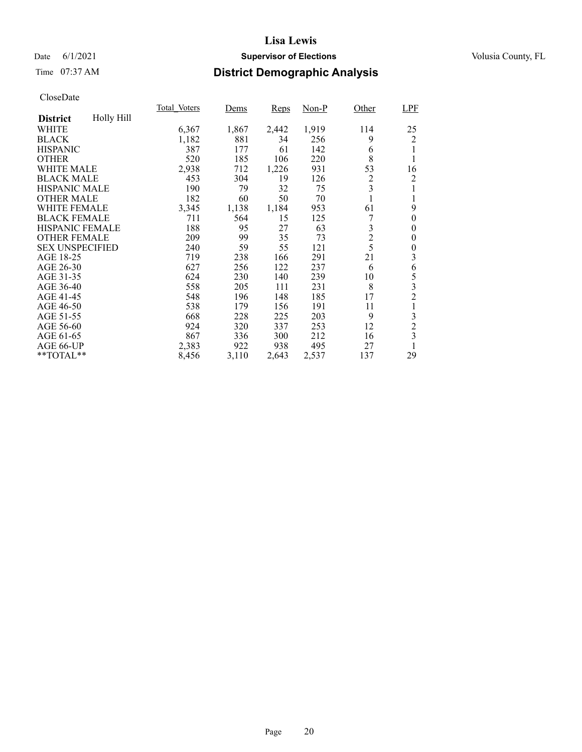### Date 6/1/2021 **Supervisor of Elections Supervisor of Elections** Volusia County, FL

# Time 07:37 AM **District Demographic Analysis**

|                        |            | Total Voters | Dems  | Reps  | $Non-P$ | Other          | LPF                     |
|------------------------|------------|--------------|-------|-------|---------|----------------|-------------------------|
| <b>District</b>        | Holly Hill |              |       |       |         |                |                         |
| WHITE                  |            | 6,367        | 1,867 | 2,442 | 1,919   | 114            | 25                      |
| <b>BLACK</b>           |            | 1,182        | 881   | 34    | 256     | 9              | 2                       |
| <b>HISPANIC</b>        |            | 387          | 177   | 61    | 142     | 6              |                         |
| <b>OTHER</b>           |            | 520          | 185   | 106   | 220     | 8              |                         |
| WHITE MALE             |            | 2,938        | 712   | 1,226 | 931     | 53             | 16                      |
| <b>BLACK MALE</b>      |            | 453          | 304   | 19    | 126     | $\overline{2}$ | 2                       |
| <b>HISPANIC MALE</b>   |            | 190          | 79    | 32    | 75      | 3              |                         |
| <b>OTHER MALE</b>      |            | 182          | 60    | 50    | 70      | 1              | 1                       |
| <b>WHITE FEMALE</b>    |            | 3,345        | 1,138 | 1,184 | 953     | 61             | 9                       |
| <b>BLACK FEMALE</b>    |            | 711          | 564   | 15    | 125     | 7              | $\boldsymbol{0}$        |
| <b>HISPANIC FEMALE</b> |            | 188          | 95    | 27    | 63      | 3              | $\overline{0}$          |
| <b>OTHER FEMALE</b>    |            | 209          | 99    | 35    | 73      | $\overline{c}$ | 0                       |
| <b>SEX UNSPECIFIED</b> |            | 240          | 59    | 55    | 121     | 5              | 0                       |
| AGE 18-25              |            | 719          | 238   | 166   | 291     | 21             | 3                       |
| AGE 26-30              |            | 627          | 256   | 122   | 237     | 6              | 6                       |
| AGE 31-35              |            | 624          | 230   | 140   | 239     | 10             | 5                       |
| AGE 36-40              |            | 558          | 205   | 111   | 231     | 8              | 3                       |
| AGE 41-45              |            | 548          | 196   | 148   | 185     | 17             | $\overline{2}$          |
| AGE 46-50              |            | 538          | 179   | 156   | 191     | 11             |                         |
| AGE 51-55              |            | 668          | 228   | 225   | 203     | 9              | 3                       |
| AGE 56-60              |            | 924          | 320   | 337   | 253     | 12             | $\overline{c}$          |
| AGE 61-65              |            | 867          | 336   | 300   | 212     | 16             | $\overline{\mathbf{3}}$ |
| AGE 66-UP              |            | 2,383        | 922   | 938   | 495     | 27             |                         |
| **TOTAL**              |            | 8,456        | 3,110 | 2,643 | 2,537   | 137            | 29                      |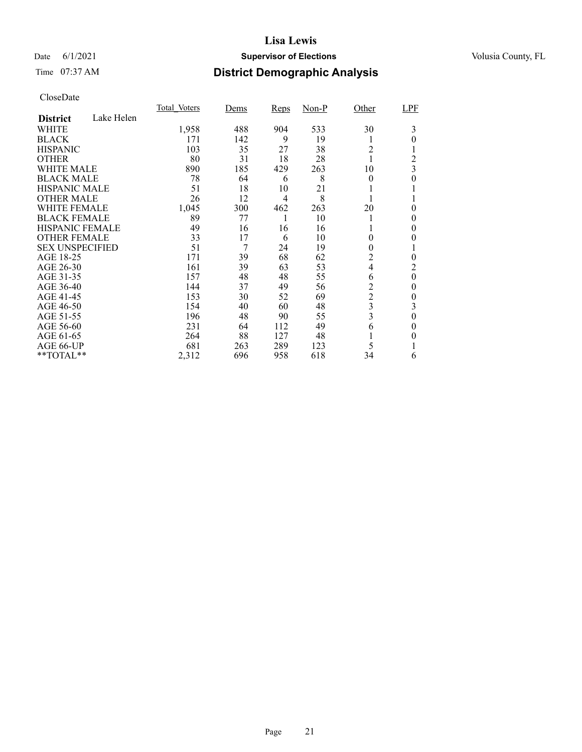### Date 6/1/2021 **Supervisor of Elections Supervisor of Elections** Volusia County, FL

# Time 07:37 AM **District Demographic Analysis**

|                        |            | Total Voters | Dems | Reps           | $Non-P$ | Other          | LPF            |
|------------------------|------------|--------------|------|----------------|---------|----------------|----------------|
| <b>District</b>        | Lake Helen |              |      |                |         |                |                |
| WHITE                  |            | 1,958        | 488  | 904            | 533     | 30             | 3              |
| <b>BLACK</b>           |            | 171          | 142  | 9              | 19      |                | 0              |
| <b>HISPANIC</b>        |            | 103          | 35   | 27             | 38      | $\overline{c}$ |                |
| <b>OTHER</b>           |            | 80           | 31   | 18             | 28      |                | 2              |
| WHITE MALE             |            | 890          | 185  | 429            | 263     | 10             | 3              |
| <b>BLACK MALE</b>      |            | 78           | 64   | 6              | 8       | $\theta$       | 0              |
| <b>HISPANIC MALE</b>   |            | 51           | 18   | 10             | 21      |                |                |
| <b>OTHER MALE</b>      |            | 26           | 12   | $\overline{4}$ | 8       |                |                |
| <b>WHITE FEMALE</b>    |            | 1,045        | 300  | 462            | 263     | 20             | 0              |
| <b>BLACK FEMALE</b>    |            | 89           | 77   |                | 10      |                | 0              |
| HISPANIC FEMALE        |            | 49           | 16   | 16             | 16      |                | 0              |
| <b>OTHER FEMALE</b>    |            | 33           | 17   | 6              | 10      | $\theta$       | 0              |
| <b>SEX UNSPECIFIED</b> |            | 51           | 7    | 24             | 19      | $\theta$       |                |
| AGE 18-25              |            | 171          | 39   | 68             | 62      | 2              | 0              |
| AGE 26-30              |            | 161          | 39   | 63             | 53      | 4              | 2              |
| AGE 31-35              |            | 157          | 48   | 48             | 55      | 6              | $\overline{0}$ |
| AGE 36-40              |            | 144          | 37   | 49             | 56      | $\overline{c}$ | 0              |
| AGE 41-45              |            | 153          | 30   | 52             | 69      | $\overline{c}$ | 0              |
| AGE 46-50              |            | 154          | 40   | 60             | 48      | 3              | 3              |
| AGE 51-55              |            | 196          | 48   | 90             | 55      | 3              | $\theta$       |
| AGE 56-60              |            | 231          | 64   | 112            | 49      | 6              | 0              |
| AGE 61-65              |            | 264          | 88   | 127            | 48      |                | 0              |
| AGE 66-UP              |            | 681          | 263  | 289            | 123     | 5              |                |
| **TOTAL**              |            | 2,312        | 696  | 958            | 618     | 34             | 6              |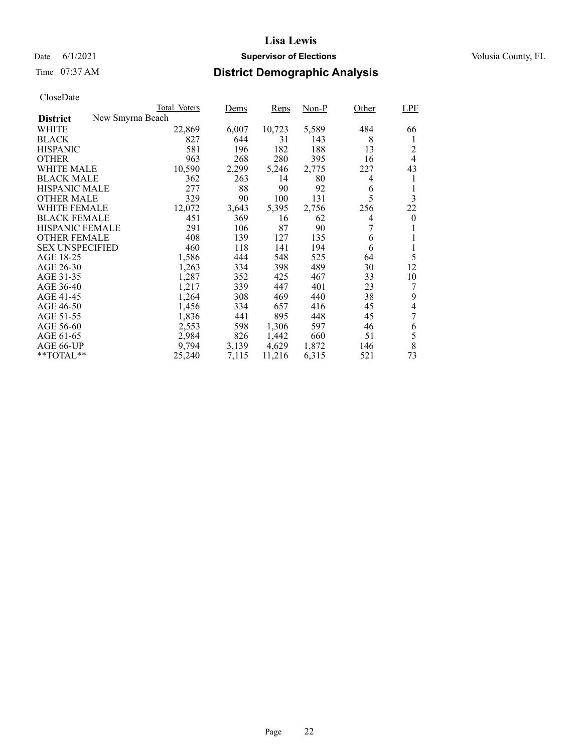### Date 6/1/2021 **Supervisor of Elections Supervisor of Elections** Volusia County, FL

# Time 07:37 AM **District Demographic Analysis**

|                                     | Total Voters | Dems  | Reps   | Non-P | Other | <b>LPF</b> |
|-------------------------------------|--------------|-------|--------|-------|-------|------------|
| New Smyrna Beach<br><b>District</b> |              |       |        |       |       |            |
| WHITE                               | 22,869       | 6,007 | 10,723 | 5,589 | 484   | 66         |
| <b>BLACK</b>                        | 827          | 644   | 31     | 143   | 8     | 1          |
| <b>HISPANIC</b>                     | 581          | 196   | 182    | 188   | 13    | 2          |
| <b>OTHER</b>                        | 963          | 268   | 280    | 395   | 16    | 4          |
| WHITE MALE                          | 10,590       | 2,299 | 5,246  | 2,775 | 227   | 43         |
| <b>BLACK MALE</b>                   | 362          | 263   | 14     | 80    | 4     | 1          |
| <b>HISPANIC MALE</b>                | 277          | 88    | 90     | 92    | 6     | 1          |
| <b>OTHER MALE</b>                   | 329          | 90    | 100    | 131   | 5     | 3          |
| WHITE FEMALE                        | 12,072       | 3,643 | 5,395  | 2,756 | 256   | 22         |
| <b>BLACK FEMALE</b>                 | 451          | 369   | 16     | 62    | 4     | $\theta$   |
| <b>HISPANIC FEMALE</b>              | 291          | 106   | 87     | 90    | 7     | 1          |
| <b>OTHER FEMALE</b>                 | 408          | 139   | 127    | 135   | 6     | 1          |
| <b>SEX UNSPECIFIED</b>              | 460          | 118   | 141    | 194   | 6     | 1          |
| AGE 18-25                           | 1,586        | 444   | 548    | 525   | 64    | 5          |
| AGE 26-30                           | 1,263        | 334   | 398    | 489   | 30    | 12         |
| AGE 31-35                           | 1,287        | 352   | 425    | 467   | 33    | 10         |
| AGE 36-40                           | 1,217        | 339   | 447    | 401   | 23    | 7          |
| AGE 41-45                           | 1,264        | 308   | 469    | 440   | 38    | 9          |
| AGE 46-50                           | 1,456        | 334   | 657    | 416   | 45    | 4          |
| AGE 51-55                           | 1,836        | 441   | 895    | 448   | 45    | 7          |
| AGE 56-60                           | 2,553        | 598   | 1,306  | 597   | 46    | 6          |
| AGE 61-65                           | 2,984        | 826   | 1,442  | 660   | 51    | 5          |
| AGE 66-UP                           | 9,794        | 3,139 | 4,629  | 1,872 | 146   | 8          |
| $*$ $TOTAL**$                       | 25,240       | 7,115 | 11,216 | 6,315 | 521   | 73         |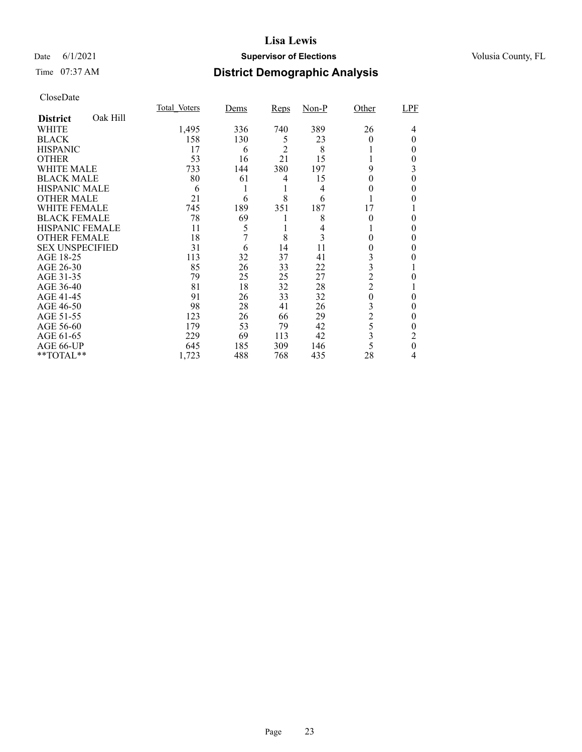### Date 6/1/2021 **Supervisor of Elections Supervisor of Elections** Volusia County, FL

# Time 07:37 AM **District Demographic Analysis**

|                        |          | Total Voters | Dems | Reps           | $Non-P$ | Other          | LPF |
|------------------------|----------|--------------|------|----------------|---------|----------------|-----|
| <b>District</b>        | Oak Hill |              |      |                |         |                |     |
| WHITE                  |          | 1,495        | 336  | 740            | 389     | 26             | 4   |
| <b>BLACK</b>           |          | 158          | 130  | 5              | 23      | 0              | 0   |
| <b>HISPANIC</b>        |          | 17           | 6    | $\mathfrak{D}$ | 8       |                | 0   |
| <b>OTHER</b>           |          | 53           | 16   | 21             | 15      |                | 0   |
| WHITE MALE             |          | 733          | 144  | 380            | 197     | 9              | 3   |
| <b>BLACK MALE</b>      |          | 80           | 61   | 4              | 15      | 0              | 0   |
| <b>HISPANIC MALE</b>   |          | 6            |      |                | 4       | 0              | 0   |
| <b>OTHER MALE</b>      |          | 21           | 6    | 8              | 6       |                | 0   |
| <b>WHITE FEMALE</b>    |          | 745          | 189  | 351            | 187     | 17             |     |
| <b>BLACK FEMALE</b>    |          | 78           | 69   |                | 8       | $\theta$       | 0   |
| <b>HISPANIC FEMALE</b> |          | 11           | 5    |                | 4       |                | 0   |
| <b>OTHER FEMALE</b>    |          | 18           | 7    | 8              | 3       | 0              | 0   |
| <b>SEX UNSPECIFIED</b> |          | 31           | 6    | 14             | 11      | 0              | 0   |
| AGE 18-25              |          | 113          | 32   | 37             | 41      | 3              |     |
| AGE 26-30              |          | 85           | 26   | 33             | 22      | 3              |     |
| AGE 31-35              |          | 79           | 25   | 25             | 27      | $\overline{2}$ | 0   |
| AGE 36-40              |          | 81           | 18   | 32             | 28      | $\overline{c}$ |     |
| AGE 41-45              |          | 91           | 26   | 33             | 32      | $\theta$       | 0   |
| AGE 46-50              |          | 98           | 28   | 41             | 26      | 3              | 0   |
| AGE 51-55              |          | 123          | 26   | 66             | 29      | $\overline{c}$ | 0   |
| AGE 56-60              |          | 179          | 53   | 79             | 42      | 5              | 0   |
| AGE 61-65              |          | 229          | 69   | 113            | 42      | 3              | 2   |
| AGE 66-UP              |          | 645          | 185  | 309            | 146     | 5              | 0   |
| **TOTAL**              |          | 1,723        | 488  | 768            | 435     | 28             | 4   |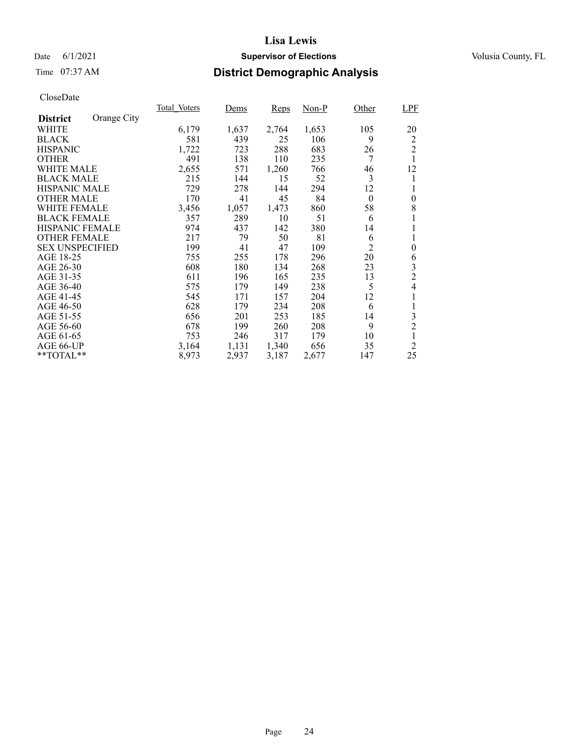### Date 6/1/2021 **Supervisor of Elections Supervisor of Elections** Volusia County, FL

# Time 07:37 AM **District Demographic Analysis**

|                        |             | Total Voters | Dems  | Reps  | $Non-P$ | Other          | LPF            |
|------------------------|-------------|--------------|-------|-------|---------|----------------|----------------|
| <b>District</b>        | Orange City |              |       |       |         |                |                |
| WHITE                  |             | 6,179        | 1,637 | 2,764 | 1,653   | 105            | 20             |
| <b>BLACK</b>           |             | 581          | 439   | 25    | 106     | 9              | 2              |
| <b>HISPANIC</b>        |             | 1,722        | 723   | 288   | 683     | 26             | $\overline{2}$ |
| <b>OTHER</b>           |             | 491          | 138   | 110   | 235     | 7              | 1              |
| WHITE MALE             |             | 2,655        | 571   | 1,260 | 766     | 46             | 12             |
| <b>BLACK MALE</b>      |             | 215          | 144   | 15    | 52      | 3              | 1              |
| <b>HISPANIC MALE</b>   |             | 729          | 278   | 144   | 294     | 12             |                |
| <b>OTHER MALE</b>      |             | 170          | 41    | 45    | 84      | $\overline{0}$ | $\overline{0}$ |
| <b>WHITE FEMALE</b>    |             | 3,456        | 1,057 | 1,473 | 860     | 58             | 8              |
| <b>BLACK FEMALE</b>    |             | 357          | 289   | 10    | 51      | 6              | 1              |
| HISPANIC FEMALE        |             | 974          | 437   | 142   | 380     | 14             |                |
| <b>OTHER FEMALE</b>    |             | 217          | 79    | 50    | 81      | 6              | 1              |
| <b>SEX UNSPECIFIED</b> |             | 199          | 41    | 47    | 109     | $\overline{c}$ | $\overline{0}$ |
| AGE 18-25              |             | 755          | 255   | 178   | 296     | 20             | 6              |
| AGE 26-30              |             | 608          | 180   | 134   | 268     | 23             | 3              |
| AGE 31-35              |             | 611          | 196   | 165   | 235     | 13             | $\overline{2}$ |
| AGE 36-40              |             | 575          | 179   | 149   | 238     | 5              | 4              |
| AGE 41-45              |             | 545          | 171   | 157   | 204     | 12             | 1              |
| AGE 46-50              |             | 628          | 179   | 234   | 208     | 6              | 1              |
| AGE 51-55              |             | 656          | 201   | 253   | 185     | 14             | 3              |
| AGE 56-60              |             | 678          | 199   | 260   | 208     | 9              | $\overline{2}$ |
| AGE 61-65              |             | 753          | 246   | 317   | 179     | 10             | 1              |
| AGE 66-UP              |             | 3,164        | 1,131 | 1,340 | 656     | 35             | $\overline{2}$ |
| **TOTAL**              |             | 8,973        | 2,937 | 3,187 | 2,677   | 147            | 25             |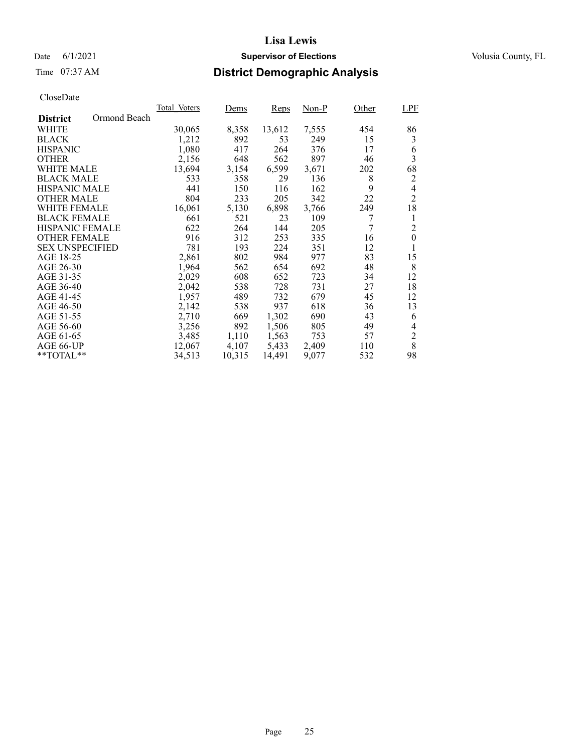### Date 6/1/2021 **Supervisor of Elections Supervisor of Elections** Volusia County, FL

# Time 07:37 AM **District Demographic Analysis**

|                                 | Total Voters | Dems   | Reps   | Non-P | Other          | <b>LPF</b>       |
|---------------------------------|--------------|--------|--------|-------|----------------|------------------|
| Ormond Beach<br><b>District</b> |              |        |        |       |                |                  |
| WHITE                           | 30,065       | 8,358  | 13,612 | 7,555 | 454            | 86               |
| <b>BLACK</b>                    | 1,212        | 892    | 53     | 249   | 15             | 3                |
| <b>HISPANIC</b>                 | 1,080        | 417    | 264    | 376   | 17             | 6                |
| <b>OTHER</b>                    | 2,156        | 648    | 562    | 897   | 46             | 3                |
| WHITE MALE                      | 13,694       | 3,154  | 6,599  | 3,671 | 202            | 68               |
| <b>BLACK MALE</b>               | 533          | 358    | 29     | 136   | 8              | 2                |
| <b>HISPANIC MALE</b>            | 441          | 150    | 116    | 162   | 9              | 4                |
| <b>OTHER MALE</b>               | 804          | 233    | 205    | 342   | 22             | $\overline{2}$   |
| <b>WHITE FEMALE</b>             | 16,061       | 5,130  | 6,898  | 3,766 | 249            | 18               |
| <b>BLACK FEMALE</b>             | 661          | 521    | 23     | 109   | 7              | 1                |
| <b>HISPANIC FEMALE</b>          | 622          | 264    | 144    | 205   | $\overline{7}$ | $\overline{2}$   |
| <b>OTHER FEMALE</b>             | 916          | 312    | 253    | 335   | 16             | $\boldsymbol{0}$ |
| <b>SEX UNSPECIFIED</b>          | 781          | 193    | 224    | 351   | 12             | 1                |
| AGE 18-25                       | 2,861        | 802    | 984    | 977   | 83             | 15               |
| AGE 26-30                       | 1,964        | 562    | 654    | 692   | 48             | 8                |
| AGE 31-35                       | 2,029        | 608    | 652    | 723   | 34             | 12               |
| AGE 36-40                       | 2,042        | 538    | 728    | 731   | 27             | 18               |
| AGE 41-45                       | 1,957        | 489    | 732    | 679   | 45             | 12               |
| AGE 46-50                       | 2,142        | 538    | 937    | 618   | 36             | 13               |
| AGE 51-55                       | 2,710        | 669    | 1,302  | 690   | 43             | 6                |
| AGE 56-60                       | 3,256        | 892    | 1,506  | 805   | 49             | 4                |
| AGE 61-65                       | 3,485        | 1,110  | 1,563  | 753   | 57             | $\overline{2}$   |
| AGE 66-UP                       | 12,067       | 4,107  | 5,433  | 2,409 | 110            | 8                |
| $*$ $TOTAL**$                   | 34,513       | 10,315 | 14,491 | 9,077 | 532            | 98               |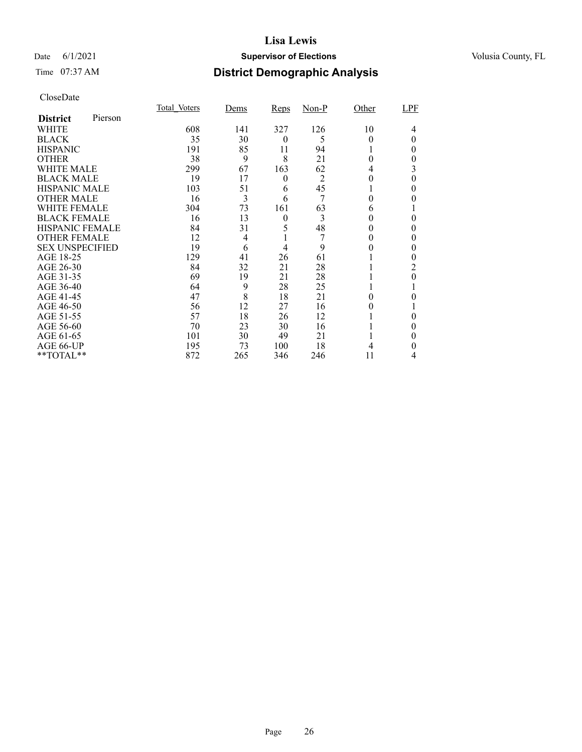### Date 6/1/2021 **Supervisor of Elections Supervisor of Elections** Volusia County, FL

# Time 07:37 AM **District Demographic Analysis**

|                        |         | Total Voters | Dems           | Reps     | $Non-P$        | Other    | LPF |
|------------------------|---------|--------------|----------------|----------|----------------|----------|-----|
| <b>District</b>        | Pierson |              |                |          |                |          |     |
| WHITE                  |         | 608          | 141            | 327      | 126            | 10       | 4   |
| <b>BLACK</b>           |         | 35           | 30             | $\theta$ | 5              | 0        | 0   |
| <b>HISPANIC</b>        |         | 191          | 85             | 11       | 94             |          | 0   |
| <b>OTHER</b>           |         | 38           | 9              | 8        | 21             | $\Omega$ | 0   |
| WHITE MALE             |         | 299          | 67             | 163      | 62             | 4        | 3   |
| <b>BLACK MALE</b>      |         | 19           | 17             | 0        | $\overline{2}$ | 0        | 0   |
| <b>HISPANIC MALE</b>   |         | 103          | 51             | 6        | 45             |          | 0   |
| <b>OTHER MALE</b>      |         | 16           | 3              | 6        | 7              | 0        | 0   |
| <b>WHITE FEMALE</b>    |         | 304          | 73             | 161      | 63             | 6        |     |
| <b>BLACK FEMALE</b>    |         | 16           | 13             | $\theta$ | 3              | 0        | 0   |
| <b>HISPANIC FEMALE</b> |         | 84           | 31             | 5        | 48             |          | 0   |
| <b>OTHER FEMALE</b>    |         | 12           | $\overline{4}$ |          |                | 0        | 0   |
| <b>SEX UNSPECIFIED</b> |         | 19           | 6              | 4        | 9              |          | 0   |
| AGE 18-25              |         | 129          | 41             | 26       | 61             |          |     |
| AGE 26-30              |         | 84           | 32             | 21       | 28             |          | 2   |
| AGE 31-35              |         | 69           | 19             | 21       | 28             |          | 0   |
| AGE 36-40              |         | 64           | 9              | 28       | 25             |          |     |
| AGE 41-45              |         | 47           | 8              | 18       | 21             |          |     |
| AGE 46-50              |         | 56           | 12             | 27       | 16             |          |     |
| AGE 51-55              |         | 57           | 18             | 26       | 12             |          |     |
| AGE 56-60              |         | 70           | 23             | 30       | 16             |          | 0   |
| AGE 61-65              |         | 101          | 30             | 49       | 21             |          | 0   |
| AGE 66-UP              |         | 195          | 73             | 100      | 18             |          | 0   |
| **TOTAL**              |         | 872          | 265            | 346      | 246            | 11       | 4   |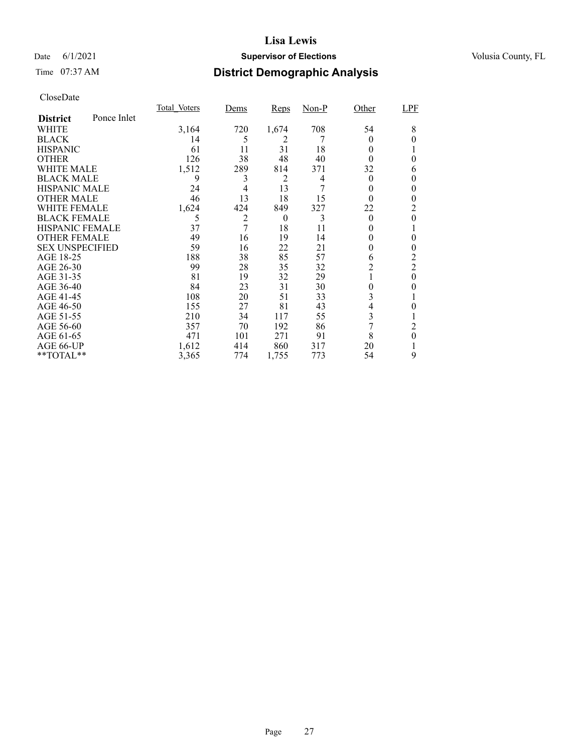### Date 6/1/2021 **Supervisor of Elections Supervisor of Elections** Volusia County, FL

# Time 07:37 AM **District Demographic Analysis**

|                        |             | Total Voters | <u>Dems</u> | <b>Reps</b> | $Non-P$ | Other    | <b>LPF</b>     |
|------------------------|-------------|--------------|-------------|-------------|---------|----------|----------------|
| <b>District</b>        | Ponce Inlet |              |             |             |         |          |                |
| WHITE                  |             | 3,164        | 720         | 1,674       | 708     | 54       | 8              |
| <b>BLACK</b>           |             | 14           | 5           | 2           |         | $\Omega$ | 0              |
| <b>HISPANIC</b>        |             | 61           | 11          | 31          | 18      | 0        |                |
| <b>OTHER</b>           |             | 126          | 38          | 48          | 40      | 0        | 0              |
| WHITE MALE             |             | 1,512        | 289         | 814         | 371     | 32       | 6              |
| <b>BLACK MALE</b>      |             | 9            | 3           | 2           | 4       | $\theta$ | 0              |
| <b>HISPANIC MALE</b>   |             | 24           | 4           | 13          | 7       | 0        | 0              |
| <b>OTHER MALE</b>      |             | 46           | 13          | 18          | 15      | 0        | 0              |
| <b>WHITE FEMALE</b>    |             | 1,624        | 424         | 849         | 327     | 22       | 2              |
| <b>BLACK FEMALE</b>    |             | 5            | 2           | $\theta$    | 3       | $\theta$ | 0              |
| <b>HISPANIC FEMALE</b> |             | 37           | 7           | 18          | 11      | $_{0}$   |                |
| <b>OTHER FEMALE</b>    |             | 49           | 16          | 19          | 14      | $\theta$ | 0              |
| <b>SEX UNSPECIFIED</b> |             | 59           | 16          | 22          | 21      | $_{0}$   | 0              |
| AGE 18-25              |             | 188          | 38          | 85          | 57      | 6        | 2              |
| AGE 26-30              |             | 99           | 28          | 35          | 32      | 2        | $\overline{2}$ |
| AGE 31-35              |             | 81           | 19          | 32          | 29      |          | 0              |
| AGE 36-40              |             | 84           | 23          | 31          | 30      | 0        | 0              |
| AGE 41-45              |             | 108          | 20          | 51          | 33      | 3        |                |
| AGE 46-50              |             | 155          | 27          | 81          | 43      | 4        | 0              |
| AGE 51-55              |             | 210          | 34          | 117         | 55      | 3        |                |
| AGE 56-60              |             | 357          | 70          | 192         | 86      | 7        | 2              |
| AGE 61-65              |             | 471          | 101         | 271         | 91      | 8        | 0              |
| AGE 66-UP              |             | 1,612        | 414         | 860         | 317     | 20       |                |
| **TOTAL**              |             | 3,365        | 774         | 1,755       | 773     | 54       | 9              |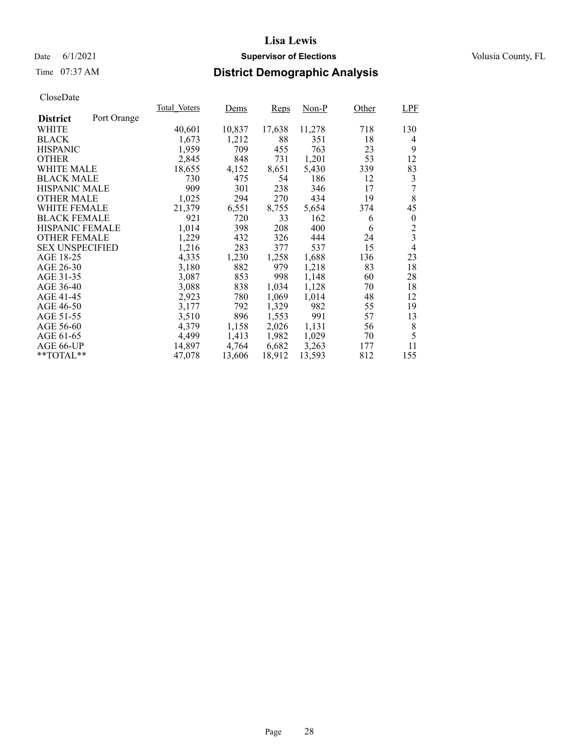### Date 6/1/2021 **Supervisor of Elections Supervisor of Elections** Volusia County, FL

# Time 07:37 AM **District Demographic Analysis**

|                        |             | Total Voters | Dems   | Reps   | Non-P  | Other | LPF              |
|------------------------|-------------|--------------|--------|--------|--------|-------|------------------|
| <b>District</b>        | Port Orange |              |        |        |        |       |                  |
| WHITE                  |             | 40,601       | 10,837 | 17,638 | 11,278 | 718   | 130              |
| <b>BLACK</b>           |             | 1,673        | 1,212  | 88     | 351    | 18    | 4                |
| <b>HISPANIC</b>        |             | 1,959        | 709    | 455    | 763    | 23    | 9                |
| <b>OTHER</b>           |             | 2,845        | 848    | 731    | 1,201  | 53    | 12               |
| WHITE MALE             |             | 18,655       | 4,152  | 8,651  | 5,430  | 339   | 83               |
| <b>BLACK MALE</b>      |             | 730          | 475    | 54     | 186    | 12    | 3                |
| <b>HISPANIC MALE</b>   |             | 909          | 301    | 238    | 346    | 17    | 7                |
| <b>OTHER MALE</b>      |             | 1,025        | 294    | 270    | 434    | 19    | 8                |
| <b>WHITE FEMALE</b>    |             | 21,379       | 6,551  | 8,755  | 5,654  | 374   | 45               |
| <b>BLACK FEMALE</b>    |             | 921          | 720    | 33     | 162    | 6     | $\boldsymbol{0}$ |
| HISPANIC FEMALE        |             | 1,014        | 398    | 208    | 400    | 6     | $\overline{c}$   |
| <b>OTHER FEMALE</b>    |             | 1,229        | 432    | 326    | 444    | 24    | $\overline{3}$   |
| <b>SEX UNSPECIFIED</b> |             | 1,216        | 283    | 377    | 537    | 15    | $\overline{4}$   |
| AGE 18-25              |             | 4,335        | 1,230  | 1,258  | 1,688  | 136   | 23               |
| AGE 26-30              |             | 3,180        | 882    | 979    | 1,218  | 83    | 18               |
| AGE 31-35              |             | 3,087        | 853    | 998    | 1,148  | 60    | 28               |
| AGE 36-40              |             | 3,088        | 838    | 1,034  | 1,128  | 70    | 18               |
| AGE 41-45              |             | 2,923        | 780    | 1,069  | 1,014  | 48    | 12               |
| AGE 46-50              |             | 3,177        | 792    | 1,329  | 982    | 55    | 19               |
| AGE 51-55              |             | 3,510        | 896    | 1,553  | 991    | 57    | 13               |
| AGE 56-60              |             | 4,379        | 1,158  | 2,026  | 1,131  | 56    | 8                |
| AGE 61-65              |             | 4,499        | 1,413  | 1,982  | 1,029  | 70    | 5                |
| AGE 66-UP              |             | 14,897       | 4,764  | 6,682  | 3,263  | 177   | 11               |
| $*$ $TOTAL**$          |             | 47,078       | 13,606 | 18,912 | 13,593 | 812   | 155              |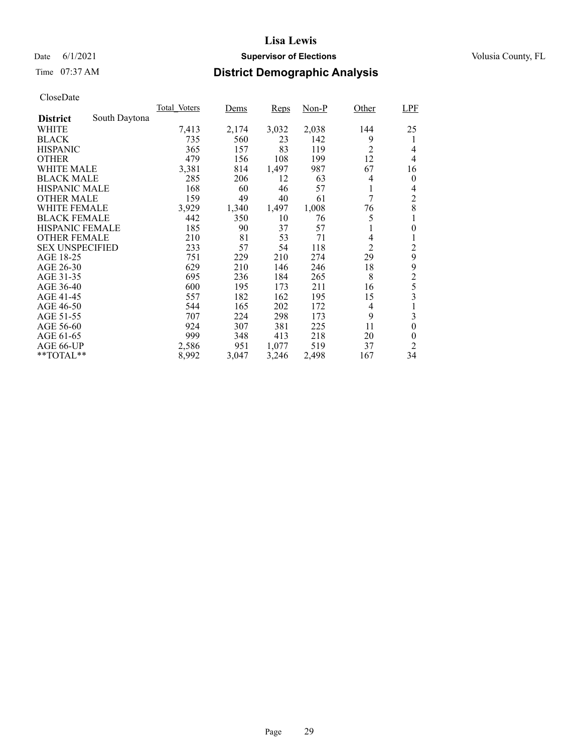### Date 6/1/2021 **Supervisor of Elections Supervisor of Elections** Volusia County, FL

# Time 07:37 AM **District Demographic Analysis**

|                        |               | Total Voters | Dems  | Reps  | Non-P | Other          | <b>LPF</b>       |
|------------------------|---------------|--------------|-------|-------|-------|----------------|------------------|
| <b>District</b>        | South Daytona |              |       |       |       |                |                  |
| WHITE                  |               | 7,413        | 2,174 | 3,032 | 2,038 | 144            | 25               |
| <b>BLACK</b>           |               | 735          | 560   | 23    | 142   | 9              | 1                |
| <b>HISPANIC</b>        |               | 365          | 157   | 83    | 119   | $\overline{2}$ | 4                |
| <b>OTHER</b>           |               | 479          | 156   | 108   | 199   | 12             | 4                |
| WHITE MALE             |               | 3,381        | 814   | 1,497 | 987   | 67             | 16               |
| <b>BLACK MALE</b>      |               | 285          | 206   | 12    | 63    | 4              | $\theta$         |
| <b>HISPANIC MALE</b>   |               | 168          | 60    | 46    | 57    | 1              | 4                |
| <b>OTHER MALE</b>      |               | 159          | 49    | 40    | 61    | 7              | $\overline{c}$   |
| WHITE FEMALE           |               | 3,929        | 1,340 | 1,497 | 1,008 | 76             | 8                |
| <b>BLACK FEMALE</b>    |               | 442          | 350   | 10    | 76    | 5              |                  |
| <b>HISPANIC FEMALE</b> |               | 185          | 90    | 37    | 57    | 1              | $\boldsymbol{0}$ |
| <b>OTHER FEMALE</b>    |               | 210          | 81    | 53    | 71    | 4              | 1                |
| <b>SEX UNSPECIFIED</b> |               | 233          | 57    | 54    | 118   | $\overline{2}$ | $\overline{c}$   |
| AGE 18-25              |               | 751          | 229   | 210   | 274   | 29             | 9                |
| AGE 26-30              |               | 629          | 210   | 146   | 246   | 18             | 9                |
| AGE 31-35              |               | 695          | 236   | 184   | 265   | 8              | $\overline{c}$   |
| AGE 36-40              |               | 600          | 195   | 173   | 211   | 16             | 5                |
| AGE 41-45              |               | 557          | 182   | 162   | 195   | 15             | 3                |
| AGE 46-50              |               | 544          | 165   | 202   | 172   | 4              |                  |
| AGE 51-55              |               | 707          | 224   | 298   | 173   | 9              | 3                |
| AGE 56-60              |               | 924          | 307   | 381   | 225   | 11             | $\boldsymbol{0}$ |
| AGE 61-65              |               | 999          | 348   | 413   | 218   | 20             | $\theta$         |
| AGE 66-UP              |               | 2,586        | 951   | 1,077 | 519   | 37             | $\overline{2}$   |
| $*$ $TOTAL**$          |               | 8,992        | 3,047 | 3,246 | 2,498 | 167            | 34               |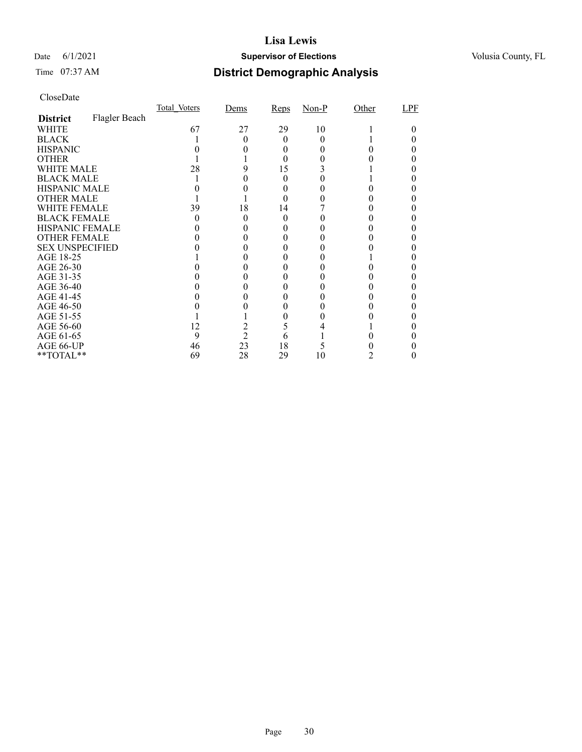### Date 6/1/2021 **Supervisor of Elections Supervisor of Elections** Volusia County, FL

# Time 07:37 AM **District Demographic Analysis**

|                        |               | Total Voters | Dems           | Reps   | $Non-P$ | Other | LPF |
|------------------------|---------------|--------------|----------------|--------|---------|-------|-----|
| <b>District</b>        | Flagler Beach |              |                |        |         |       |     |
| WHITE                  |               | 67           | 27             | 29     | 10      |       |     |
| <b>BLACK</b>           |               |              |                | 0      |         |       |     |
| <b>HISPANIC</b>        |               |              |                | $_{0}$ |         |       |     |
| <b>OTHER</b>           |               |              |                |        |         |       |     |
| WHITE MALE             |               | 28           |                | 15     |         |       |     |
| <b>BLACK MALE</b>      |               |              |                |        |         |       |     |
| <b>HISPANIC MALE</b>   |               |              |                |        |         |       |     |
| <b>OTHER MALE</b>      |               |              |                |        |         |       |     |
| WHITE FEMALE           |               | 39           | 18             | 14     |         |       |     |
| <b>BLACK FEMALE</b>    |               |              |                | 0      |         |       |     |
| HISPANIC FEMALE        |               |              |                |        |         |       |     |
| <b>OTHER FEMALE</b>    |               |              |                |        |         |       |     |
| <b>SEX UNSPECIFIED</b> |               |              |                |        |         |       |     |
| AGE 18-25              |               |              |                |        |         |       |     |
| AGE 26-30              |               |              |                |        |         |       |     |
| AGE 31-35              |               |              |                |        |         |       |     |
| AGE 36-40              |               |              |                |        |         |       |     |
| AGE 41-45              |               |              |                |        |         |       |     |
| AGE 46-50              |               |              |                |        |         |       |     |
| AGE 51-55              |               |              |                |        |         |       |     |
| AGE 56-60              |               | 12           |                |        |         |       |     |
| AGE 61-65              |               | 9            | $\overline{c}$ | 6      |         |       |     |
| AGE 66-UP              |               | 46           | 23             | 18     |         |       |     |
| **TOTAL**              |               | 69           | 28             | 29     | 10      |       |     |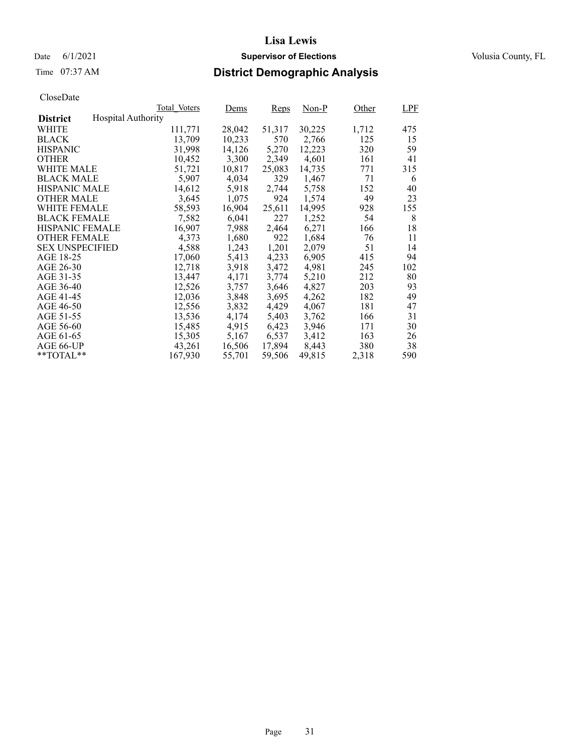Date 6/1/2021 **Supervisor of Elections Supervisor of Elections** Volusia County, FL

# Time 07:37 AM **District Demographic Analysis**

|                        |                           | Total Voters | Dems   | <b>Reps</b> | Non-P  | Other | LPF |
|------------------------|---------------------------|--------------|--------|-------------|--------|-------|-----|
| <b>District</b>        | <b>Hospital Authority</b> |              |        |             |        |       |     |
| WHITE                  |                           | 111,771      | 28,042 | 51,317      | 30,225 | 1,712 | 475 |
| <b>BLACK</b>           |                           | 13,709       | 10,233 | 570         | 2,766  | 125   | 15  |
| <b>HISPANIC</b>        |                           | 31,998       | 14,126 | 5,270       | 12,223 | 320   | 59  |
| <b>OTHER</b>           |                           | 10,452       | 3,300  | 2,349       | 4,601  | 161   | 41  |
| WHITE MALE             |                           | 51.721       | 10,817 | 25,083      | 14,735 | 771   | 315 |
| <b>BLACK MALE</b>      |                           | 5,907        | 4,034  | 329         | 1,467  | 71    | 6   |
| <b>HISPANIC MALE</b>   |                           | 14,612       | 5,918  | 2,744       | 5,758  | 152   | 40  |
| <b>OTHER MALE</b>      |                           | 3,645        | 1,075  | 924         | 1,574  | 49    | 23  |
| <b>WHITE FEMALE</b>    |                           | 58,593       | 16,904 | 25,611      | 14,995 | 928   | 155 |
| <b>BLACK FEMALE</b>    |                           | 7,582        | 6,041  | 227         | 1,252  | 54    | 8   |
| <b>HISPANIC FEMALE</b> |                           | 16,907       | 7,988  | 2,464       | 6,271  | 166   | 18  |
| <b>OTHER FEMALE</b>    |                           | 4.373        | 1,680  | 922         | 1.684  | 76    | 11  |
| <b>SEX UNSPECIFIED</b> |                           | 4,588        | 1,243  | 1,201       | 2,079  | 51    | 14  |
| AGE 18-25              |                           | 17,060       | 5,413  | 4,233       | 6,905  | 415   | 94  |
| AGE 26-30              |                           | 12,718       | 3,918  | 3,472       | 4.981  | 245   | 102 |
| AGE 31-35              |                           | 13,447       | 4,171  | 3,774       | 5,210  | 212   | 80  |
| AGE 36-40              |                           | 12,526       | 3,757  | 3,646       | 4,827  | 203   | 93  |
| AGE 41-45              |                           | 12,036       | 3,848  | 3,695       | 4,262  | 182   | 49  |
| AGE 46-50              |                           | 12,556       | 3,832  | 4,429       | 4,067  | 181   | 47  |
| AGE 51-55              |                           | 13,536       | 4,174  | 5,403       | 3,762  | 166   | 31  |
| AGE 56-60              |                           | 15,485       | 4,915  | 6,423       | 3,946  | 171   | 30  |
| AGE 61-65              |                           | 15,305       | 5,167  | 6,537       | 3,412  | 163   | 26  |
| AGE 66-UP              |                           | 43,261       | 16,506 | 17,894      | 8,443  | 380   | 38  |
| $*$ TOTAL $*$          |                           | 167,930      | 55,701 | 59,506      | 49,815 | 2,318 | 590 |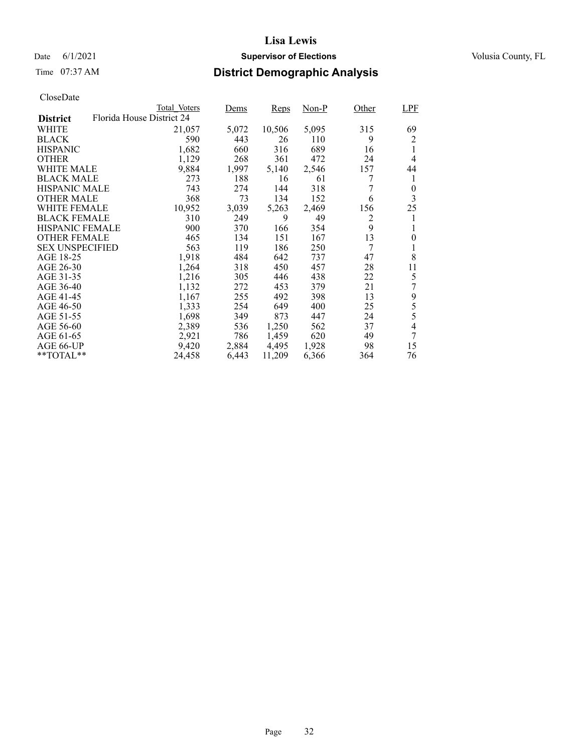### Date 6/1/2021 **Supervisor of Elections Supervisor of Elections** Volusia County, FL

# Time 07:37 AM **District Demographic Analysis**

|                        |                           | Total Voters | Dems  | Reps   | Non-P | Other | LPF            |
|------------------------|---------------------------|--------------|-------|--------|-------|-------|----------------|
| <b>District</b>        | Florida House District 24 |              |       |        |       |       |                |
| WHITE                  |                           | 21,057       | 5,072 | 10,506 | 5,095 | 315   | 69             |
| <b>BLACK</b>           |                           | 590          | 443   | 26     | 110   | 9     | 2              |
| <b>HISPANIC</b>        |                           | 1,682        | 660   | 316    | 689   | 16    | 1              |
| <b>OTHER</b>           |                           | 1,129        | 268   | 361    | 472   | 24    | 4              |
| WHITE MALE             |                           | 9,884        | 1,997 | 5,140  | 2,546 | 157   | 44             |
| <b>BLACK MALE</b>      |                           | 273          | 188   | 16     | 61    |       | 1              |
| <b>HISPANIC MALE</b>   |                           | 743          | 274   | 144    | 318   |       | 0              |
| <b>OTHER MALE</b>      |                           | 368          | 73    | 134    | 152   | 6     | 3              |
| WHITE FEMALE           |                           | 10,952       | 3,039 | 5,263  | 2,469 | 156   | 25             |
| <b>BLACK FEMALE</b>    |                           | 310          | 249   | 9      | 49    | 2     | 1              |
| <b>HISPANIC FEMALE</b> |                           | 900          | 370   | 166    | 354   | 9     | 1              |
| <b>OTHER FEMALE</b>    |                           | 465          | 134   | 151    | 167   | 13    | $\overline{0}$ |
| <b>SEX UNSPECIFIED</b> |                           | 563          | 119   | 186    | 250   | 7     | 1              |
| AGE 18-25              |                           | 1,918        | 484   | 642    | 737   | 47    | 8              |
| AGE 26-30              |                           | 1,264        | 318   | 450    | 457   | 28    | 11             |
| AGE 31-35              |                           | 1,216        | 305   | 446    | 438   | 22    | 5              |
| AGE 36-40              |                           | 1,132        | 272   | 453    | 379   | 21    | 7              |
| AGE 41-45              |                           | 1,167        | 255   | 492    | 398   | 13    | 9              |
| AGE 46-50              |                           | 1,333        | 254   | 649    | 400   | 25    | 5              |
| AGE 51-55              |                           | 1,698        | 349   | 873    | 447   | 24    | 5              |
| AGE 56-60              |                           | 2,389        | 536   | 1,250  | 562   | 37    | 4              |
| AGE 61-65              |                           | 2,921        | 786   | 1,459  | 620   | 49    | 7              |
| AGE 66-UP              |                           | 9,420        | 2,884 | 4,495  | 1,928 | 98    | 15             |
| $*$ $TOTAL**$          |                           | 24,458       | 6,443 | 11,209 | 6,366 | 364   | 76             |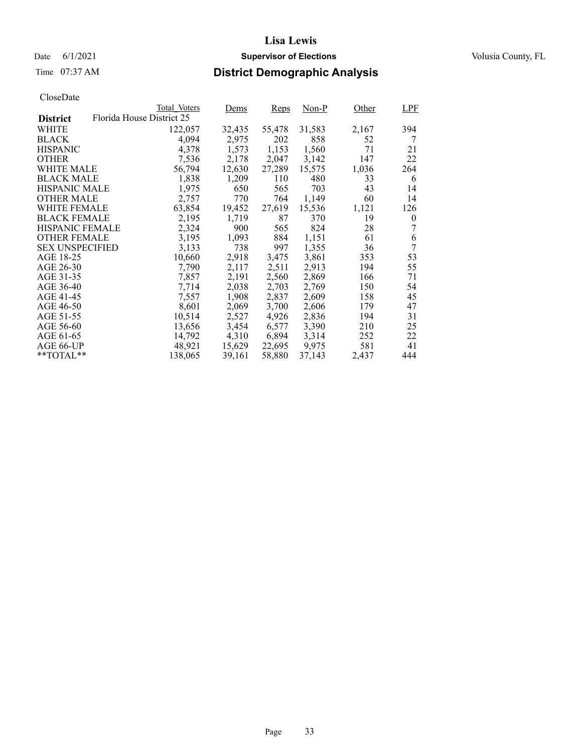# Time 07:37 AM **District Demographic Analysis**

|                        |                           | Total Voters | Dems   | Reps   | $Non-P$ | Other | LPF      |
|------------------------|---------------------------|--------------|--------|--------|---------|-------|----------|
| <b>District</b>        | Florida House District 25 |              |        |        |         |       |          |
| WHITE                  |                           | 122,057      | 32,435 | 55,478 | 31,583  | 2,167 | 394      |
| <b>BLACK</b>           |                           | 4,094        | 2,975  | 202    | 858     | 52    | 7        |
| <b>HISPANIC</b>        |                           | 4,378        | 1,573  | 1,153  | 1,560   | 71    | 21       |
| <b>OTHER</b>           |                           | 7,536        | 2,178  | 2,047  | 3,142   | 147   | 22       |
| WHITE MALE             |                           | 56,794       | 12,630 | 27,289 | 15,575  | 1,036 | 264      |
| <b>BLACK MALE</b>      |                           | 1,838        | 1,209  | 110    | 480     | 33    | 6        |
| <b>HISPANIC MALE</b>   |                           | 1,975        | 650    | 565    | 703     | 43    | 14       |
| <b>OTHER MALE</b>      |                           | 2,757        | 770    | 764    | 1,149   | 60    | 14       |
| WHITE FEMALE           |                           | 63,854       | 19,452 | 27,619 | 15,536  | 1,121 | 126      |
| <b>BLACK FEMALE</b>    |                           | 2,195        | 1,719  | 87     | 370     | 19    | $\theta$ |
| <b>HISPANIC FEMALE</b> |                           | 2,324        | 900    | 565    | 824     | 28    | 7        |
| <b>OTHER FEMALE</b>    |                           | 3,195        | 1,093  | 884    | 1,151   | 61    | 6        |
| <b>SEX UNSPECIFIED</b> |                           | 3,133        | 738    | 997    | 1,355   | 36    | 7        |
| AGE 18-25              |                           | 10,660       | 2,918  | 3,475  | 3,861   | 353   | 53       |
| AGE 26-30              |                           | 7,790        | 2,117  | 2,511  | 2,913   | 194   | 55       |
| AGE 31-35              |                           | 7,857        | 2,191  | 2,560  | 2,869   | 166   | 71       |
| AGE 36-40              |                           | 7,714        | 2,038  | 2,703  | 2,769   | 150   | 54       |
| AGE 41-45              |                           | 7,557        | 1,908  | 2,837  | 2,609   | 158   | 45       |
| AGE 46-50              |                           | 8,601        | 2,069  | 3,700  | 2,606   | 179   | 47       |
| AGE 51-55              |                           | 10,514       | 2,527  | 4,926  | 2,836   | 194   | 31       |
| AGE 56-60              |                           | 13,656       | 3,454  | 6,577  | 3,390   | 210   | 25       |
| AGE 61-65              |                           | 14,792       | 4,310  | 6,894  | 3,314   | 252   | 22       |
| AGE 66-UP              |                           | 48,921       | 15,629 | 22,695 | 9,975   | 581   | 41       |
| $*$ $TOTAL**$          |                           | 138,065      | 39,161 | 58,880 | 37,143  | 2,437 | 444      |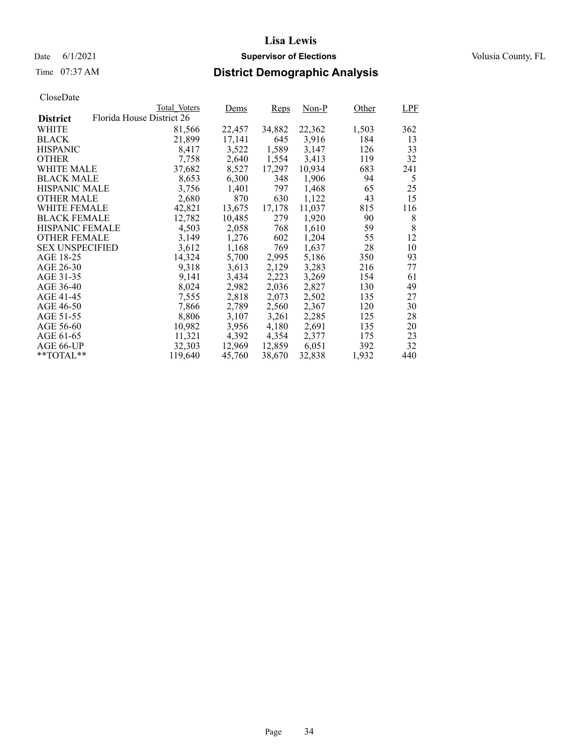### Date 6/1/2021 **Supervisor of Elections Supervisor of Elections** Volusia County, FL

# Time 07:37 AM **District Demographic Analysis**

|                        |                           | Total Voters | Dems   | Reps   | $Non-P$ | Other | LPF |
|------------------------|---------------------------|--------------|--------|--------|---------|-------|-----|
| <b>District</b>        | Florida House District 26 |              |        |        |         |       |     |
| WHITE                  |                           | 81,566       | 22,457 | 34,882 | 22,362  | 1,503 | 362 |
| <b>BLACK</b>           |                           | 21,899       | 17,141 | 645    | 3,916   | 184   | 13  |
| <b>HISPANIC</b>        |                           | 8,417        | 3,522  | 1,589  | 3,147   | 126   | 33  |
| <b>OTHER</b>           |                           | 7,758        | 2,640  | 1,554  | 3,413   | 119   | 32  |
| WHITE MALE             |                           | 37,682       | 8,527  | 17,297 | 10.934  | 683   | 241 |
| <b>BLACK MALE</b>      |                           | 8,653        | 6,300  | 348    | 1,906   | 94    | 5   |
| <b>HISPANIC MALE</b>   |                           | 3,756        | 1,401  | 797    | 1,468   | 65    | 25  |
| <b>OTHER MALE</b>      |                           | 2,680        | 870    | 630    | 1,122   | 43    | 15  |
| WHITE FEMALE           |                           | 42,821       | 13,675 | 17,178 | 11,037  | 815   | 116 |
| <b>BLACK FEMALE</b>    |                           | 12,782       | 10,485 | 279    | 1,920   | 90    | 8   |
| <b>HISPANIC FEMALE</b> |                           | 4,503        | 2,058  | 768    | 1,610   | 59    | 8   |
| <b>OTHER FEMALE</b>    |                           | 3,149        | 1,276  | 602    | 1,204   | 55    | 12  |
| <b>SEX UNSPECIFIED</b> |                           | 3,612        | 1,168  | 769    | 1,637   | 28    | 10  |
| AGE 18-25              |                           | 14,324       | 5,700  | 2,995  | 5,186   | 350   | 93  |
| AGE 26-30              |                           | 9.318        | 3,613  | 2,129  | 3,283   | 216   | 77  |
| AGE 31-35              |                           | 9,141        | 3,434  | 2,223  | 3,269   | 154   | 61  |
| AGE 36-40              |                           | 8,024        | 2,982  | 2,036  | 2,827   | 130   | 49  |
| AGE 41-45              |                           | 7,555        | 2,818  | 2,073  | 2,502   | 135   | 27  |
| AGE 46-50              |                           | 7,866        | 2,789  | 2,560  | 2,367   | 120   | 30  |
| AGE 51-55              |                           | 8,806        | 3,107  | 3,261  | 2,285   | 125   | 28  |
| AGE 56-60              |                           | 10,982       | 3,956  | 4,180  | 2,691   | 135   | 20  |
| AGE 61-65              |                           | 11,321       | 4,392  | 4,354  | 2,377   | 175   | 23  |
| AGE 66-UP              |                           | 32,303       | 12,969 | 12,859 | 6,051   | 392   | 32  |
| $*$ $TOTAL**$          |                           | 119.640      | 45,760 | 38,670 | 32,838  | 1,932 | 440 |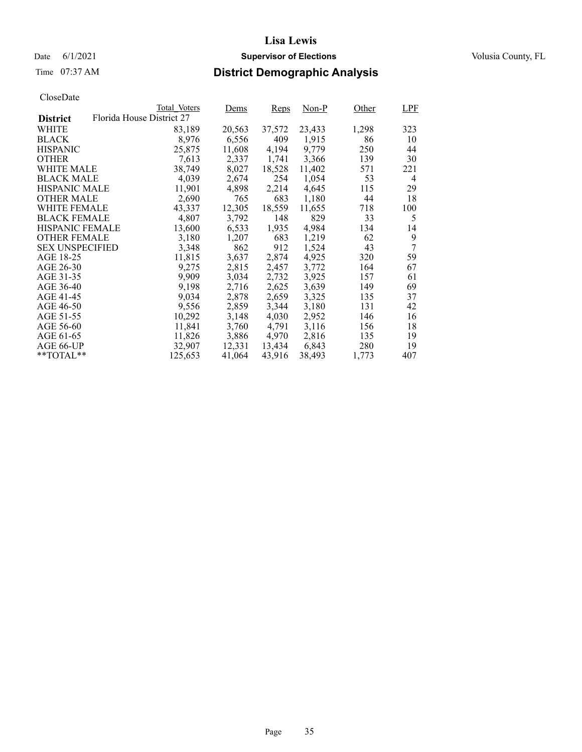# Time 07:37 AM **District Demographic Analysis**

|                        |                           | Total Voters | Dems   | Reps   | $Non-P$ | Other | LPF |
|------------------------|---------------------------|--------------|--------|--------|---------|-------|-----|
| <b>District</b>        | Florida House District 27 |              |        |        |         |       |     |
| WHITE                  |                           | 83,189       | 20,563 | 37,572 | 23,433  | 1,298 | 323 |
| <b>BLACK</b>           |                           | 8,976        | 6,556  | 409    | 1,915   | 86    | 10  |
| <b>HISPANIC</b>        |                           | 25,875       | 11,608 | 4,194  | 9,779   | 250   | 44  |
| <b>OTHER</b>           |                           | 7,613        | 2,337  | 1,741  | 3,366   | 139   | 30  |
| WHITE MALE             |                           | 38,749       | 8,027  | 18,528 | 11.402  | 571   | 221 |
| <b>BLACK MALE</b>      |                           | 4,039        | 2,674  | 254    | 1,054   | 53    | 4   |
| <b>HISPANIC MALE</b>   |                           | 11,901       | 4,898  | 2,214  | 4,645   | 115   | 29  |
| <b>OTHER MALE</b>      |                           | 2,690        | 765    | 683    | 1,180   | 44    | 18  |
| WHITE FEMALE           |                           | 43,337       | 12,305 | 18,559 | 11,655  | 718   | 100 |
| <b>BLACK FEMALE</b>    |                           | 4,807        | 3,792  | 148    | 829     | 33    | 5   |
| <b>HISPANIC FEMALE</b> |                           | 13,600       | 6,533  | 1,935  | 4,984   | 134   | 14  |
| <b>OTHER FEMALE</b>    |                           | 3,180        | 1,207  | 683    | 1,219   | 62    | 9   |
| <b>SEX UNSPECIFIED</b> |                           | 3,348        | 862    | 912    | 1,524   | 43    | 7   |
| AGE 18-25              |                           | 11,815       | 3,637  | 2,874  | 4,925   | 320   | 59  |
| AGE 26-30              |                           | 9,275        | 2,815  | 2,457  | 3,772   | 164   | 67  |
| AGE 31-35              |                           | 9,909        | 3,034  | 2,732  | 3,925   | 157   | 61  |
| AGE 36-40              |                           | 9,198        | 2,716  | 2,625  | 3,639   | 149   | 69  |
| AGE 41-45              |                           | 9,034        | 2,878  | 2,659  | 3,325   | 135   | 37  |
| AGE 46-50              |                           | 9,556        | 2,859  | 3,344  | 3,180   | 131   | 42  |
| AGE 51-55              |                           | 10,292       | 3,148  | 4,030  | 2,952   | 146   | 16  |
| AGE 56-60              |                           | 11,841       | 3,760  | 4,791  | 3,116   | 156   | 18  |
| AGE 61-65              |                           | 11,826       | 3,886  | 4,970  | 2,816   | 135   | 19  |
| AGE 66-UP              |                           | 32,907       | 12,331 | 13,434 | 6,843   | 280   | 19  |
| $*$ $TOTAL**$          |                           | 125,653      | 41,064 | 43,916 | 38,493  | 1,773 | 407 |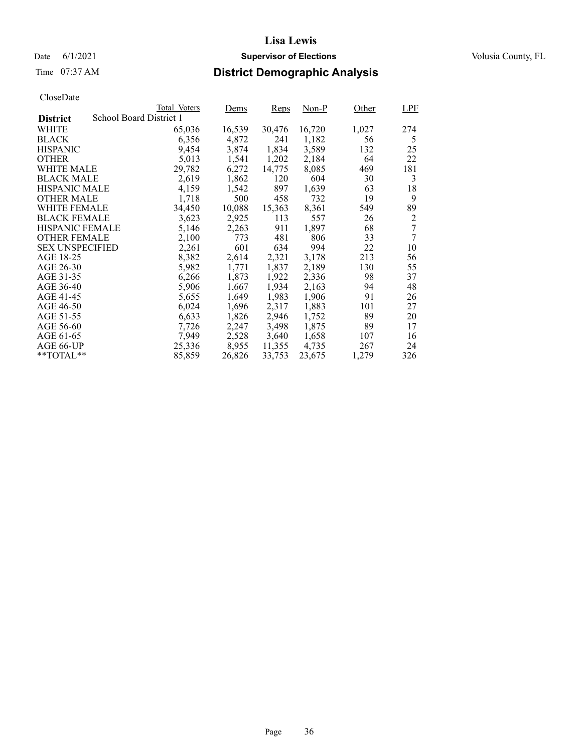### Date 6/1/2021 **Supervisor of Elections Supervisor of Elections** Volusia County, FL

# Time 07:37 AM **District Demographic Analysis**

|                        |                         | Total Voters | Dems   | Reps   | Non-P  | Other | LPF |
|------------------------|-------------------------|--------------|--------|--------|--------|-------|-----|
| <b>District</b>        | School Board District 1 |              |        |        |        |       |     |
| WHITE                  |                         | 65,036       | 16,539 | 30,476 | 16,720 | 1,027 | 274 |
| <b>BLACK</b>           |                         | 6,356        | 4,872  | 241    | 1,182  | 56    | 5   |
| <b>HISPANIC</b>        |                         | 9,454        | 3,874  | 1,834  | 3,589  | 132   | 25  |
| <b>OTHER</b>           |                         | 5,013        | 1,541  | 1,202  | 2,184  | 64    | 22  |
| WHITE MALE             |                         | 29,782       | 6,272  | 14,775 | 8,085  | 469   | 181 |
| <b>BLACK MALE</b>      |                         | 2,619        | 1,862  | 120    | 604    | 30    | 3   |
| <b>HISPANIC MALE</b>   |                         | 4,159        | 1,542  | 897    | 1,639  | 63    | 18  |
| <b>OTHER MALE</b>      |                         | 1,718        | 500    | 458    | 732    | 19    | 9   |
| <b>WHITE FEMALE</b>    |                         | 34,450       | 10,088 | 15,363 | 8,361  | 549   | 89  |
| <b>BLACK FEMALE</b>    |                         | 3,623        | 2,925  | 113    | 557    | 26    | 2   |
| <b>HISPANIC FEMALE</b> |                         | 5,146        | 2,263  | 911    | 1,897  | 68    | 7   |
| <b>OTHER FEMALE</b>    |                         | 2,100        | 773    | 481    | 806    | 33    | 7   |
| <b>SEX UNSPECIFIED</b> |                         | 2,261        | 601    | 634    | 994    | 22    | 10  |
| AGE 18-25              |                         | 8,382        | 2,614  | 2,321  | 3,178  | 213   | 56  |
| AGE 26-30              |                         | 5,982        | 1,771  | 1,837  | 2,189  | 130   | 55  |
| AGE 31-35              |                         | 6,266        | 1,873  | 1,922  | 2,336  | 98    | 37  |
| AGE 36-40              |                         | 5,906        | 1,667  | 1,934  | 2,163  | 94    | 48  |
| AGE 41-45              |                         | 5,655        | 1,649  | 1,983  | 1,906  | 91    | 26  |
| AGE 46-50              |                         | 6,024        | 1,696  | 2,317  | 1,883  | 101   | 27  |
| AGE 51-55              |                         | 6,633        | 1,826  | 2,946  | 1,752  | 89    | 20  |
| AGE 56-60              |                         | 7,726        | 2,247  | 3,498  | 1,875  | 89    | 17  |
| AGE 61-65              |                         | 7,949        | 2,528  | 3,640  | 1,658  | 107   | 16  |
| AGE 66-UP              |                         | 25,336       | 8,955  | 11,355 | 4,735  | 267   | 24  |
| $*$ TOTAL $*$          |                         | 85,859       | 26,826 | 33,753 | 23,675 | 1,279 | 326 |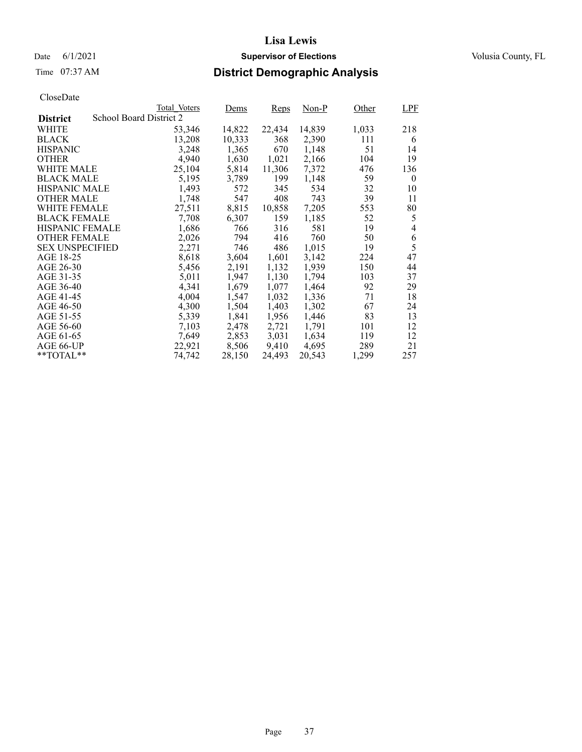### Date 6/1/2021 **Supervisor of Elections Supervisor of Elections** Volusia County, FL

# Time 07:37 AM **District Demographic Analysis**

|                        |                         | Total Voters | Dems   | Reps   | Non-P  | Other | LPF            |
|------------------------|-------------------------|--------------|--------|--------|--------|-------|----------------|
| <b>District</b>        | School Board District 2 |              |        |        |        |       |                |
| WHITE                  |                         | 53,346       | 14,822 | 22,434 | 14,839 | 1,033 | 218            |
| <b>BLACK</b>           |                         | 13,208       | 10,333 | 368    | 2,390  | 111   | 6              |
| <b>HISPANIC</b>        |                         | 3,248        | 1,365  | 670    | 1,148  | 51    | 14             |
| <b>OTHER</b>           |                         | 4,940        | 1,630  | 1,021  | 2,166  | 104   | 19             |
| WHITE MALE             |                         | 25,104       | 5,814  | 11,306 | 7,372  | 476   | 136            |
| <b>BLACK MALE</b>      |                         | 5,195        | 3,789  | 199    | 1,148  | 59    | $\mathbf{0}$   |
| <b>HISPANIC MALE</b>   |                         | 1,493        | 572    | 345    | 534    | 32    | 10             |
| <b>OTHER MALE</b>      |                         | 1,748        | 547    | 408    | 743    | 39    | 11             |
| <b>WHITE FEMALE</b>    |                         | 27,511       | 8,815  | 10,858 | 7,205  | 553   | 80             |
| <b>BLACK FEMALE</b>    |                         | 7,708        | 6,307  | 159    | 1,185  | 52    | 5              |
| HISPANIC FEMALE        |                         | 1,686        | 766    | 316    | 581    | 19    | $\overline{4}$ |
| <b>OTHER FEMALE</b>    |                         | 2,026        | 794    | 416    | 760    | 50    | 6              |
| <b>SEX UNSPECIFIED</b> |                         | 2,271        | 746    | 486    | 1,015  | 19    | 5              |
| AGE 18-25              |                         | 8,618        | 3,604  | 1,601  | 3,142  | 224   | 47             |
| AGE 26-30              |                         | 5,456        | 2,191  | 1,132  | 1.939  | 150   | 44             |
| AGE 31-35              |                         | 5,011        | 1,947  | 1,130  | 1,794  | 103   | 37             |
| AGE 36-40              |                         | 4,341        | 1,679  | 1,077  | 1,464  | 92    | 29             |
| AGE 41-45              |                         | 4,004        | 1,547  | 1,032  | 1,336  | 71    | 18             |
| AGE 46-50              |                         | 4,300        | 1,504  | 1,403  | 1,302  | 67    | 24             |
| AGE 51-55              |                         | 5,339        | 1,841  | 1,956  | 1,446  | 83    | 13             |
| AGE 56-60              |                         | 7,103        | 2,478  | 2,721  | 1,791  | 101   | 12             |
| AGE 61-65              |                         | 7,649        | 2,853  | 3,031  | 1,634  | 119   | 12             |
| AGE 66-UP              |                         | 22,921       | 8,506  | 9,410  | 4,695  | 289   | 21             |
| $*$ TOTAL $*$          |                         | 74,742       | 28,150 | 24,493 | 20,543 | 1,299 | 257            |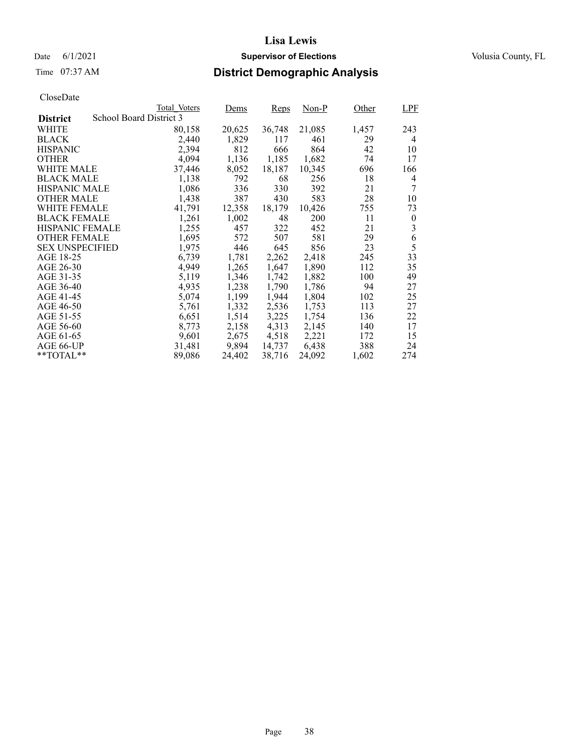# Time 07:37 AM **District Demographic Analysis**

|                        |                         | Total Voters | Dems   | Reps   | Non-P  | Other | LPF      |
|------------------------|-------------------------|--------------|--------|--------|--------|-------|----------|
| <b>District</b>        | School Board District 3 |              |        |        |        |       |          |
| WHITE                  |                         | 80,158       | 20,625 | 36,748 | 21,085 | 1,457 | 243      |
| <b>BLACK</b>           |                         | 2,440        | 1,829  | 117    | 461    | 29    | 4        |
| <b>HISPANIC</b>        |                         | 2,394        | 812    | 666    | 864    | 42    | 10       |
| <b>OTHER</b>           |                         | 4,094        | 1,136  | 1,185  | 1,682  | 74    | 17       |
| WHITE MALE             |                         | 37,446       | 8,052  | 18,187 | 10,345 | 696   | 166      |
| <b>BLACK MALE</b>      |                         | 1,138        | 792    | 68     | 256    | 18    | 4        |
| <b>HISPANIC MALE</b>   |                         | 1,086        | 336    | 330    | 392    | 21    | 7        |
| <b>OTHER MALE</b>      |                         | 1,438        | 387    | 430    | 583    | 28    | 10       |
| WHITE FEMALE           |                         | 41.791       | 12,358 | 18,179 | 10,426 | 755   | 73       |
| <b>BLACK FEMALE</b>    |                         | 1,261        | 1,002  | 48     | 200    | 11    | $\theta$ |
| <b>HISPANIC FEMALE</b> |                         | 1,255        | 457    | 322    | 452    | 21    | 3        |
| <b>OTHER FEMALE</b>    |                         | 1,695        | 572    | 507    | 581    | 29    | 6        |
| <b>SEX UNSPECIFIED</b> |                         | 1,975        | 446    | 645    | 856    | 23    | 5        |
| AGE 18-25              |                         | 6,739        | 1,781  | 2,262  | 2,418  | 245   | 33       |
| AGE 26-30              |                         | 4,949        | 1,265  | 1,647  | 1,890  | 112   | 35       |
| AGE 31-35              |                         | 5,119        | 1,346  | 1,742  | 1,882  | 100   | 49       |
| AGE 36-40              |                         | 4,935        | 1,238  | 1,790  | 1,786  | 94    | 27       |
| AGE 41-45              |                         | 5,074        | 1,199  | 1,944  | 1,804  | 102   | 25       |
| AGE 46-50              |                         | 5,761        | 1,332  | 2,536  | 1,753  | 113   | 27       |
| AGE 51-55              |                         | 6,651        | 1,514  | 3,225  | 1,754  | 136   | 22       |
| AGE 56-60              |                         | 8,773        | 2,158  | 4,313  | 2,145  | 140   | 17       |
| AGE 61-65              |                         | 9,601        | 2,675  | 4,518  | 2,221  | 172   | 15       |
| AGE 66-UP              |                         | 31,481       | 9,894  | 14,737 | 6,438  | 388   | 24       |
| $*$ $TOTAL**$          |                         | 89,086       | 24,402 | 38,716 | 24,092 | 1,602 | 274      |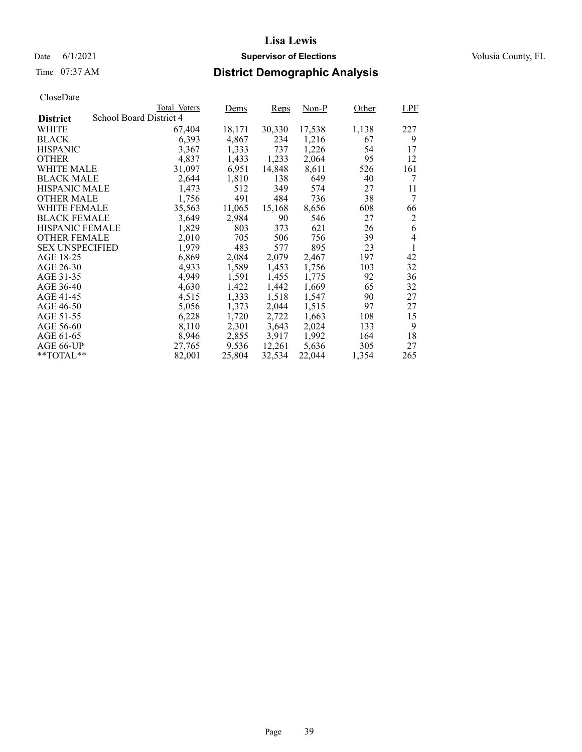# Time 07:37 AM **District Demographic Analysis**

|                        |                         | Total Voters | Dems   | Reps   | Non-P  | Other | LPF |
|------------------------|-------------------------|--------------|--------|--------|--------|-------|-----|
| <b>District</b>        | School Board District 4 |              |        |        |        |       |     |
| WHITE                  |                         | 67,404       | 18,171 | 30,330 | 17,538 | 1,138 | 227 |
| <b>BLACK</b>           |                         | 6,393        | 4,867  | 234    | 1,216  | 67    | 9   |
| <b>HISPANIC</b>        |                         | 3,367        | 1,333  | 737    | 1,226  | 54    | 17  |
| <b>OTHER</b>           |                         | 4,837        | 1,433  | 1,233  | 2,064  | 95    | 12  |
| WHITE MALE             |                         | 31,097       | 6,951  | 14,848 | 8,611  | 526   | 161 |
| <b>BLACK MALE</b>      |                         | 2,644        | 1,810  | 138    | 649    | 40    | 7   |
| <b>HISPANIC MALE</b>   |                         | 1,473        | 512    | 349    | 574    | 27    | 11  |
| <b>OTHER MALE</b>      |                         | 1,756        | 491    | 484    | 736    | 38    | 7   |
| <b>WHITE FEMALE</b>    |                         | 35,563       | 11,065 | 15,168 | 8,656  | 608   | 66  |
| <b>BLACK FEMALE</b>    |                         | 3,649        | 2,984  | 90     | 546    | 27    | 2   |
| <b>HISPANIC FEMALE</b> |                         | 1,829        | 803    | 373    | 621    | 26    | 6   |
| <b>OTHER FEMALE</b>    |                         | 2,010        | 705    | 506    | 756    | 39    | 4   |
| <b>SEX UNSPECIFIED</b> |                         | 1,979        | 483    | 577    | 895    | 23    | 1   |
| AGE 18-25              |                         | 6,869        | 2,084  | 2,079  | 2,467  | 197   | 42  |
| AGE 26-30              |                         | 4.933        | 1,589  | 1,453  | 1,756  | 103   | 32  |
| AGE 31-35              |                         | 4,949        | 1,591  | 1,455  | 1,775  | 92    | 36  |
| AGE 36-40              |                         | 4,630        | 1,422  | 1,442  | 1,669  | 65    | 32  |
| AGE 41-45              |                         | 4,515        | 1,333  | 1,518  | 1,547  | 90    | 27  |
| AGE 46-50              |                         | 5,056        | 1,373  | 2,044  | 1,515  | 97    | 27  |
| AGE 51-55              |                         | 6,228        | 1,720  | 2,722  | 1,663  | 108   | 15  |
| AGE 56-60              |                         | 8,110        | 2,301  | 3,643  | 2,024  | 133   | 9   |
| AGE 61-65              |                         | 8,946        | 2,855  | 3,917  | 1,992  | 164   | 18  |
| AGE 66-UP              |                         | 27,765       | 9,536  | 12,261 | 5,636  | 305   | 27  |
| $*$ $TOTAL**$          |                         | 82,001       | 25,804 | 32,534 | 22,044 | 1,354 | 265 |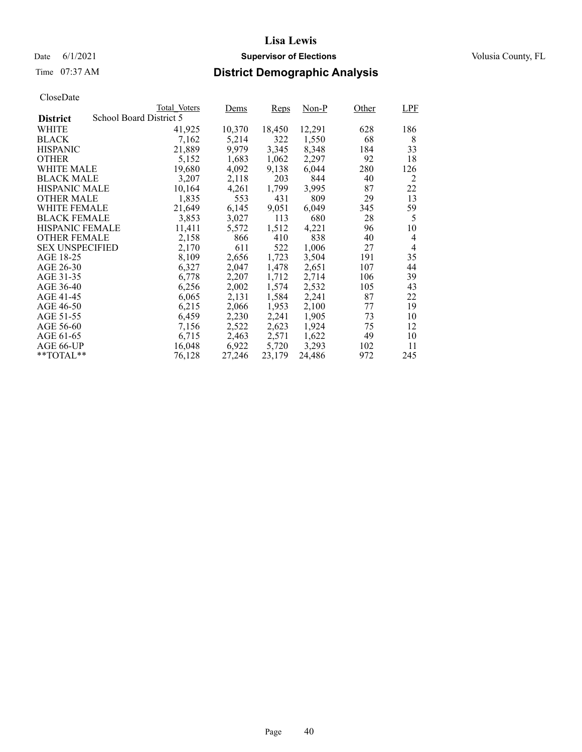### Date 6/1/2021 **Supervisor of Elections Supervisor of Elections** Volusia County, FL

# Time 07:37 AM **District Demographic Analysis**

|                        |                         | Total Voters | Dems   | Reps   | Non-P  | Other | <b>LPF</b>     |
|------------------------|-------------------------|--------------|--------|--------|--------|-------|----------------|
| <b>District</b>        | School Board District 5 |              |        |        |        |       |                |
| WHITE                  |                         | 41,925       | 10,370 | 18,450 | 12,291 | 628   | 186            |
| <b>BLACK</b>           |                         | 7,162        | 5,214  | 322    | 1,550  | 68    | 8              |
| <b>HISPANIC</b>        |                         | 21,889       | 9,979  | 3,345  | 8,348  | 184   | 33             |
| <b>OTHER</b>           |                         | 5,152        | 1,683  | 1,062  | 2,297  | 92    | 18             |
| WHITE MALE             |                         | 19,680       | 4,092  | 9,138  | 6.044  | 280   | 126            |
| <b>BLACK MALE</b>      |                         | 3,207        | 2,118  | 203    | 844    | 40    | 2              |
| <b>HISPANIC MALE</b>   |                         | 10,164       | 4,261  | 1,799  | 3,995  | 87    | 22             |
| <b>OTHER MALE</b>      |                         | 1,835        | 553    | 431    | 809    | 29    | 13             |
| <b>WHITE FEMALE</b>    |                         | 21,649       | 6,145  | 9,051  | 6,049  | 345   | 59             |
| <b>BLACK FEMALE</b>    |                         | 3,853        | 3,027  | 113    | 680    | 28    | 5              |
| <b>HISPANIC FEMALE</b> |                         | 11,411       | 5,572  | 1,512  | 4,221  | 96    | 10             |
| <b>OTHER FEMALE</b>    |                         | 2,158        | 866    | 410    | 838    | 40    | $\overline{4}$ |
| <b>SEX UNSPECIFIED</b> |                         | 2,170        | 611    | 522    | 1,006  | 27    | 4              |
| AGE 18-25              |                         | 8,109        | 2,656  | 1,723  | 3,504  | 191   | 35             |
| AGE 26-30              |                         | 6,327        | 2,047  | 1,478  | 2,651  | 107   | 44             |
| AGE 31-35              |                         | 6,778        | 2,207  | 1,712  | 2,714  | 106   | 39             |
| AGE 36-40              |                         | 6,256        | 2,002  | 1,574  | 2,532  | 105   | 43             |
| AGE 41-45              |                         | 6,065        | 2,131  | 1,584  | 2,241  | 87    | 22             |
| AGE 46-50              |                         | 6,215        | 2,066  | 1,953  | 2,100  | 77    | 19             |
| AGE 51-55              |                         | 6,459        | 2,230  | 2,241  | 1,905  | 73    | 10             |
| AGE 56-60              |                         | 7,156        | 2,522  | 2,623  | 1,924  | 75    | 12             |
| AGE 61-65              |                         | 6,715        | 2,463  | 2,571  | 1,622  | 49    | 10             |
| AGE 66-UP              |                         | 16,048       | 6,922  | 5,720  | 3,293  | 102   | 11             |
| $*$ $TOTAL**$          |                         | 76,128       | 27,246 | 23,179 | 24,486 | 972   | 245            |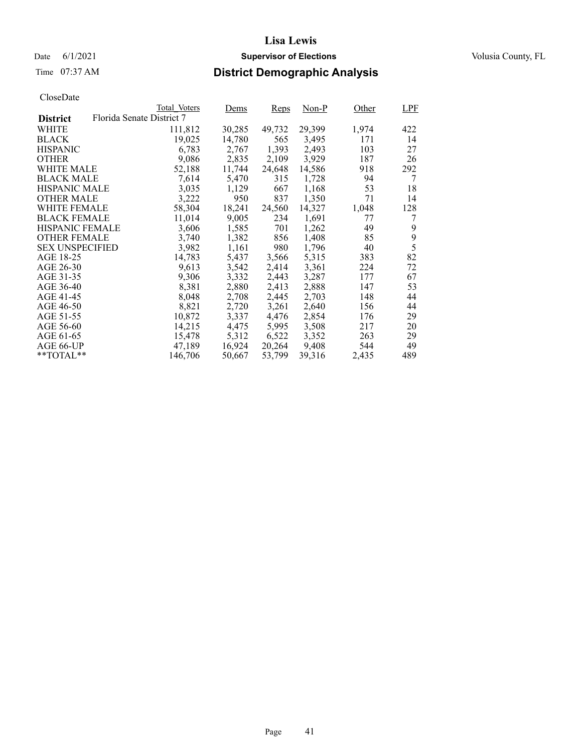Date 6/1/2021 **Supervisor of Elections Supervisor of Elections** Volusia County, FL

# Time 07:37 AM **District Demographic Analysis**

|                        |                           | Total Voters | Dems   | Reps   | Non-P  | Other | <b>LPF</b> |
|------------------------|---------------------------|--------------|--------|--------|--------|-------|------------|
| <b>District</b>        | Florida Senate District 7 |              |        |        |        |       |            |
| WHITE                  |                           | 111,812      | 30,285 | 49,732 | 29,399 | 1,974 | 422        |
| <b>BLACK</b>           |                           | 19,025       | 14,780 | 565    | 3,495  | 171   | 14         |
| <b>HISPANIC</b>        |                           | 6,783        | 2,767  | 1,393  | 2,493  | 103   | 27         |
| <b>OTHER</b>           |                           | 9,086        | 2,835  | 2,109  | 3,929  | 187   | 26         |
| WHITE MALE             |                           | 52,188       | 11,744 | 24,648 | 14,586 | 918   | 292        |
| <b>BLACK MALE</b>      |                           | 7,614        | 5,470  | 315    | 1,728  | 94    | 7          |
| <b>HISPANIC MALE</b>   |                           | 3,035        | 1,129  | 667    | 1,168  | 53    | 18         |
| <b>OTHER MALE</b>      |                           | 3,222        | 950    | 837    | 1,350  | 71    | 14         |
| <b>WHITE FEMALE</b>    |                           | 58,304       | 18,241 | 24,560 | 14,327 | 1,048 | 128        |
| <b>BLACK FEMALE</b>    |                           | 11,014       | 9,005  | 234    | 1,691  | 77    | 7          |
| <b>HISPANIC FEMALE</b> |                           | 3,606        | 1,585  | 701    | 1,262  | 49    | 9          |
| <b>OTHER FEMALE</b>    |                           | 3.740        | 1,382  | 856    | 1,408  | 85    | 9          |
| <b>SEX UNSPECIFIED</b> |                           | 3,982        | 1,161  | 980    | 1,796  | 40    | 5          |
| AGE 18-25              |                           | 14,783       | 5,437  | 3,566  | 5,315  | 383   | 82         |
| AGE 26-30              |                           | 9,613        | 3,542  | 2,414  | 3.361  | 224   | 72         |
| AGE 31-35              |                           | 9,306        | 3,332  | 2,443  | 3,287  | 177   | 67         |
| AGE 36-40              |                           | 8,381        | 2,880  | 2,413  | 2,888  | 147   | 53         |
| AGE 41-45              |                           | 8,048        | 2,708  | 2,445  | 2,703  | 148   | 44         |
| AGE 46-50              |                           | 8,821        | 2,720  | 3,261  | 2,640  | 156   | 44         |
| AGE 51-55              |                           | 10,872       | 3,337  | 4,476  | 2,854  | 176   | 29         |
| AGE 56-60              |                           | 14,215       | 4,475  | 5,995  | 3,508  | 217   | 20         |
| AGE 61-65              |                           | 15,478       | 5,312  | 6,522  | 3,352  | 263   | 29         |
| AGE 66-UP              |                           | 47,189       | 16,924 | 20,264 | 9,408  | 544   | 49         |
| $*$ $TOTAL**$          |                           | 146,706      | 50,667 | 53,799 | 39,316 | 2,435 | 489        |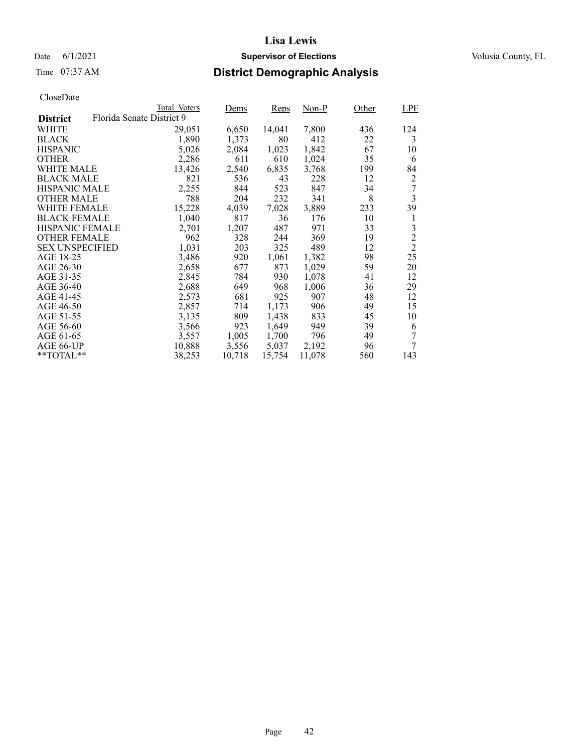### Date 6/1/2021 **Supervisor of Elections Supervisor of Elections** Volusia County, FL

# Time 07:37 AM **District Demographic Analysis**

|                        |                           | Total Voters | Dems   | Reps   | Non-P  | Other | LPF            |
|------------------------|---------------------------|--------------|--------|--------|--------|-------|----------------|
| <b>District</b>        | Florida Senate District 9 |              |        |        |        |       |                |
| WHITE                  |                           | 29,051       | 6,650  | 14,041 | 7,800  | 436   | 124            |
| <b>BLACK</b>           |                           | 1,890        | 1,373  | 80     | 412    | 22    | 3              |
| <b>HISPANIC</b>        |                           | 5,026        | 2,084  | 1,023  | 1,842  | 67    | 10             |
| <b>OTHER</b>           |                           | 2,286        | 611    | 610    | 1,024  | 35    | 6              |
| WHITE MALE             |                           | 13,426       | 2,540  | 6,835  | 3,768  | 199   | 84             |
| <b>BLACK MALE</b>      |                           | 821          | 536    | 43     | 228    | 12    | 2              |
| <b>HISPANIC MALE</b>   |                           | 2,255        | 844    | 523    | 847    | 34    |                |
| OTHER MALE             |                           | 788          | 204    | 232    | 341    | 8     | 3              |
| WHITE FEMALE           |                           | 15,228       | 4,039  | 7,028  | 3,889  | 233   | 39             |
| <b>BLACK FEMALE</b>    |                           | 1,040        | 817    | 36     | 176    | 10    | 1              |
| <b>HISPANIC FEMALE</b> |                           | 2,701        | 1,207  | 487    | 971    | 33    | 3              |
| <b>OTHER FEMALE</b>    |                           | 962          | 328    | 244    | 369    | 19    | $\overline{c}$ |
| <b>SEX UNSPECIFIED</b> |                           | 1,031        | 203    | 325    | 489    | 12    | $\overline{2}$ |
| AGE 18-25              |                           | 3,486        | 920    | 1,061  | 1,382  | 98    | 25             |
| AGE 26-30              |                           | 2,658        | 677    | 873    | 1,029  | 59    | 20             |
| AGE 31-35              |                           | 2,845        | 784    | 930    | 1,078  | 41    | 12             |
| AGE 36-40              |                           | 2,688        | 649    | 968    | 1,006  | 36    | 29             |
| AGE 41-45              |                           | 2,573        | 681    | 925    | 907    | 48    | 12             |
| AGE 46-50              |                           | 2,857        | 714    | 1,173  | 906    | 49    | 15             |
| AGE 51-55              |                           | 3,135        | 809    | 1,438  | 833    | 45    | 10             |
| AGE 56-60              |                           | 3,566        | 923    | 1,649  | 949    | 39    | 6              |
| AGE 61-65              |                           | 3,557        | 1,005  | 1,700  | 796    | 49    | 7              |
| AGE 66-UP              |                           | 10,888       | 3,556  | 5,037  | 2,192  | 96    | 7              |
| $*$ $TOTAL**$          |                           | 38,253       | 10,718 | 15,754 | 11,078 | 560   | 143            |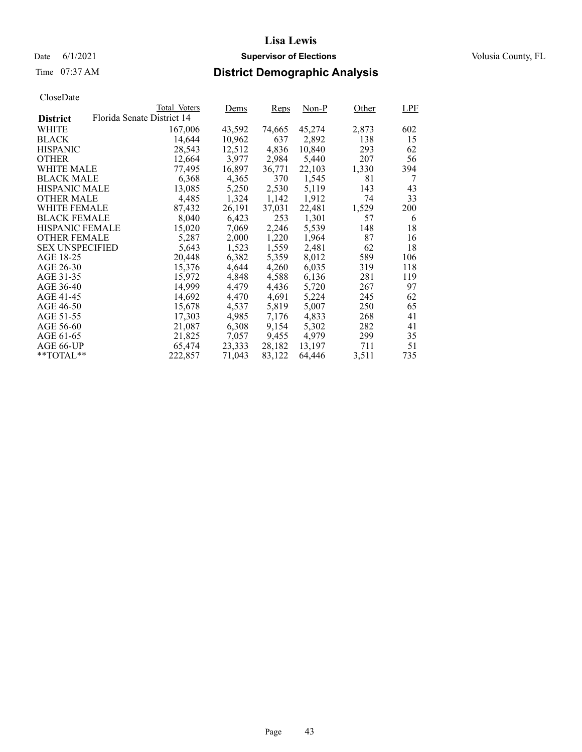Date 6/1/2021 **Supervisor of Elections Supervisor of Elections** Volusia County, FL

# Time 07:37 AM **District Demographic Analysis**

|                        |                            | Total Voters | Dems   | Reps   | $Non-P$ | Other | LPF |
|------------------------|----------------------------|--------------|--------|--------|---------|-------|-----|
| <b>District</b>        | Florida Senate District 14 |              |        |        |         |       |     |
| WHITE                  |                            | 167,006      | 43,592 | 74,665 | 45,274  | 2,873 | 602 |
| <b>BLACK</b>           |                            | 14,644       | 10,962 | 637    | 2,892   | 138   | 15  |
| <b>HISPANIC</b>        |                            | 28,543       | 12,512 | 4,836  | 10,840  | 293   | 62  |
| <b>OTHER</b>           |                            | 12,664       | 3,977  | 2,984  | 5,440   | 207   | 56  |
| WHITE MALE             |                            | 77,495       | 16,897 | 36,771 | 22,103  | 1,330 | 394 |
| <b>BLACK MALE</b>      |                            | 6,368        | 4,365  | 370    | 1,545   | 81    | 7   |
| <b>HISPANIC MALE</b>   |                            | 13,085       | 5,250  | 2,530  | 5,119   | 143   | 43  |
| <b>OTHER MALE</b>      |                            | 4,485        | 1,324  | 1,142  | 1,912   | 74    | 33  |
| <b>WHITE FEMALE</b>    |                            | 87,432       | 26,191 | 37,031 | 22,481  | 1,529 | 200 |
| <b>BLACK FEMALE</b>    |                            | 8,040        | 6,423  | 253    | 1,301   | 57    | 6   |
| <b>HISPANIC FEMALE</b> |                            | 15,020       | 7,069  | 2,246  | 5,539   | 148   | 18  |
| <b>OTHER FEMALE</b>    |                            | 5,287        | 2,000  | 1,220  | 1,964   | 87    | 16  |
| <b>SEX UNSPECIFIED</b> |                            | 5,643        | 1,523  | 1,559  | 2,481   | 62    | 18  |
| AGE 18-25              |                            | 20,448       | 6,382  | 5,359  | 8,012   | 589   | 106 |
| AGE 26-30              |                            | 15,376       | 4.644  | 4,260  | 6.035   | 319   | 118 |
| AGE 31-35              |                            | 15,972       | 4,848  | 4,588  | 6,136   | 281   | 119 |
| AGE 36-40              |                            | 14,999       | 4,479  | 4,436  | 5,720   | 267   | 97  |
| AGE 41-45              |                            | 14,692       | 4,470  | 4,691  | 5,224   | 245   | 62  |
| AGE 46-50              |                            | 15,678       | 4,537  | 5,819  | 5,007   | 250   | 65  |
| AGE 51-55              |                            | 17,303       | 4,985  | 7,176  | 4,833   | 268   | 41  |
| AGE 56-60              |                            | 21,087       | 6,308  | 9,154  | 5,302   | 282   | 41  |
| AGE 61-65              |                            | 21,825       | 7,057  | 9,455  | 4.979   | 299   | 35  |
| AGE 66-UP              |                            | 65,474       | 23,333 | 28,182 | 13,197  | 711   | 51  |
| $*$ $TOTAL**$          |                            | 222,857      | 71,043 | 83,122 | 64.446  | 3,511 | 735 |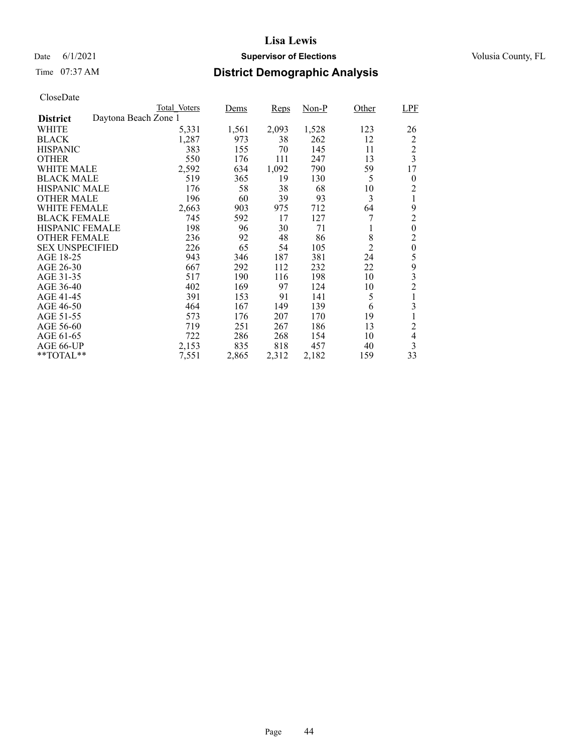### Date 6/1/2021 **Supervisor of Elections Supervisor of Elections** Volusia County, FL

# Time 07:37 AM **District Demographic Analysis**

|                        |                      | Total Voters | Dems  | Reps  | Non-P | Other          | <b>LPF</b>       |
|------------------------|----------------------|--------------|-------|-------|-------|----------------|------------------|
| <b>District</b>        | Daytona Beach Zone 1 |              |       |       |       |                |                  |
| WHITE                  |                      | 5,331        | 1,561 | 2,093 | 1,528 | 123            | 26               |
| <b>BLACK</b>           |                      | 1,287        | 973   | 38    | 262   | 12             | $\overline{c}$   |
| <b>HISPANIC</b>        |                      | 383          | 155   | 70    | 145   | 11             | $\overline{c}$   |
| <b>OTHER</b>           |                      | 550          | 176   | 111   | 247   | 13             | $\overline{3}$   |
| WHITE MALE             |                      | 2,592        | 634   | 1,092 | 790   | 59             | 17               |
| <b>BLACK MALE</b>      |                      | 519          | 365   | 19    | 130   | 5              | 0                |
| <b>HISPANIC MALE</b>   |                      | 176          | 58    | 38    | 68    | 10             | $\overline{c}$   |
| <b>OTHER MALE</b>      |                      | 196          | 60    | 39    | 93    | 3              | 1                |
| <b>WHITE FEMALE</b>    |                      | 2,663        | 903   | 975   | 712   | 64             | 9                |
| <b>BLACK FEMALE</b>    |                      | 745          | 592   | 17    | 127   | 7              | $\overline{c}$   |
| <b>HISPANIC FEMALE</b> |                      | 198          | 96    | 30    | 71    | 1              | $\overline{0}$   |
| <b>OTHER FEMALE</b>    |                      | 236          | 92    | 48    | 86    | 8              | $\overline{c}$   |
| <b>SEX UNSPECIFIED</b> |                      | 226          | 65    | 54    | 105   | $\overline{2}$ | $\boldsymbol{0}$ |
| AGE 18-25              |                      | 943          | 346   | 187   | 381   | 24             | 5                |
| AGE 26-30              |                      | 667          | 292   | 112   | 232   | 22             | 9                |
| AGE 31-35              |                      | 517          | 190   | 116   | 198   | 10             | 3                |
| AGE 36-40              |                      | 402          | 169   | 97    | 124   | 10             | $\overline{c}$   |
| AGE 41-45              |                      | 391          | 153   | 91    | 141   | 5              | $\mathbf{1}$     |
| AGE 46-50              |                      | 464          | 167   | 149   | 139   | 6              | 3                |
| AGE 51-55              |                      | 573          | 176   | 207   | 170   | 19             |                  |
| AGE 56-60              |                      | 719          | 251   | 267   | 186   | 13             | $\overline{2}$   |
| AGE 61-65              |                      | 722          | 286   | 268   | 154   | 10             | $\overline{4}$   |
| AGE 66-UP              |                      | 2,153        | 835   | 818   | 457   | 40             | 3                |
| $*$ $TOTAL**$          |                      | 7,551        | 2,865 | 2,312 | 2,182 | 159            | 33               |
|                        |                      |              |       |       |       |                |                  |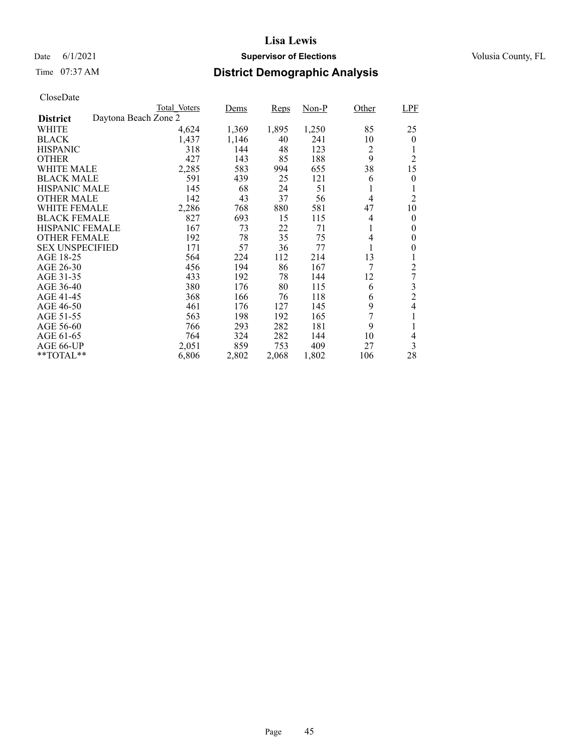### Date 6/1/2021 **Supervisor of Elections Supervisor of Elections** Volusia County, FL

# Time 07:37 AM **District Demographic Analysis**

|                        |                      | Total Voters | Dems  | Reps  | $Non-P$ | Other          | <b>LPF</b>     |
|------------------------|----------------------|--------------|-------|-------|---------|----------------|----------------|
| <b>District</b>        | Daytona Beach Zone 2 |              |       |       |         |                |                |
| WHITE                  |                      | 4,624        | 1,369 | 1,895 | 1,250   | 85             | 25             |
| <b>BLACK</b>           |                      | 1,437        | 1,146 | 40    | 241     | 10             | $\theta$       |
| <b>HISPANIC</b>        |                      | 318          | 144   | 48    | 123     | 2              | 1              |
| <b>OTHER</b>           |                      | 427          | 143   | 85    | 188     | 9              | $\overline{2}$ |
| <b>WHITE MALE</b>      |                      | 2,285        | 583   | 994   | 655     | 38             | 15             |
| <b>BLACK MALE</b>      |                      | 591          | 439   | 25    | 121     | 6              | 0              |
| <b>HISPANIC MALE</b>   |                      | 145          | 68    | 24    | 51      | 1              | 1              |
| <b>OTHER MALE</b>      |                      | 142          | 43    | 37    | 56      | $\overline{4}$ | $\overline{2}$ |
| WHITE FEMALE           |                      | 2,286        | 768   | 880   | 581     | 47             | 10             |
| <b>BLACK FEMALE</b>    |                      | 827          | 693   | 15    | 115     | 4              | $\theta$       |
| <b>HISPANIC FEMALE</b> |                      | 167          | 73    | 22    | 71      | 1              | 0              |
| <b>OTHER FEMALE</b>    |                      | 192          | 78    | 35    | 75      | 4              | 0              |
| <b>SEX UNSPECIFIED</b> |                      | 171          | 57    | 36    | 77      | 1              | 0              |
| AGE 18-25              |                      | 564          | 224   | 112   | 214     | 13             |                |
| AGE 26-30              |                      | 456          | 194   | 86    | 167     | 7              | 2              |
| AGE 31-35              |                      | 433          | 192   | 78    | 144     | 12             | 7              |
| AGE 36-40              |                      | 380          | 176   | 80    | 115     | 6              | 3              |
| AGE 41-45              |                      | 368          | 166   | 76    | 118     | 6              | $\overline{2}$ |
| AGE 46-50              |                      | 461          | 176   | 127   | 145     | 9              | 4              |
| AGE 51-55              |                      | 563          | 198   | 192   | 165     | 7              | 1              |
| AGE 56-60              |                      | 766          | 293   | 282   | 181     | 9              |                |
| AGE 61-65              |                      | 764          | 324   | 282   | 144     | 10             | 4              |
| AGE 66-UP              |                      | 2,051        | 859   | 753   | 409     | 27             | 3              |
| **TOTAL**              |                      | 6,806        | 2,802 | 2,068 | 1,802   | 106            | 28             |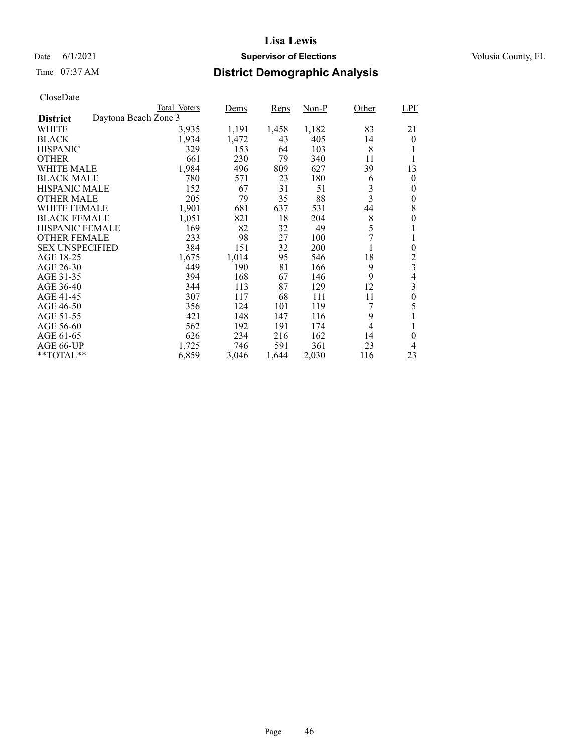### Date 6/1/2021 **Supervisor of Elections Supervisor of Elections** Volusia County, FL

# Time 07:37 AM **District Demographic Analysis**

|                        |                      | Total Voters | Dems  | Reps  | $Non-P$ | Other          | <b>LPF</b>       |
|------------------------|----------------------|--------------|-------|-------|---------|----------------|------------------|
| <b>District</b>        | Daytona Beach Zone 3 |              |       |       |         |                |                  |
| WHITE                  |                      | 3,935        | 1,191 | 1,458 | 1,182   | 83             | 21               |
| <b>BLACK</b>           |                      | 1,934        | 1,472 | 43    | 405     | 14             | $\theta$         |
| <b>HISPANIC</b>        |                      | 329          | 153   | 64    | 103     | 8              | 1                |
| <b>OTHER</b>           |                      | 661          | 230   | 79    | 340     | 11             | 1                |
| WHITE MALE             |                      | 1,984        | 496   | 809   | 627     | 39             | 13               |
| <b>BLACK MALE</b>      |                      | 780          | 571   | 23    | 180     | 6              | 0                |
| <b>HISPANIC MALE</b>   |                      | 152          | 67    | 31    | 51      | 3              | 0                |
| <b>OTHER MALE</b>      |                      | 205          | 79    | 35    | 88      | 3              | 0                |
| WHITE FEMALE           |                      | 1,901        | 681   | 637   | 531     | 44             | 8                |
| <b>BLACK FEMALE</b>    |                      | 1,051        | 821   | 18    | 204     | 8              | 0                |
| HISPANIC FEMALE        |                      | 169          | 82    | 32    | 49      | 5              | 1                |
| <b>OTHER FEMALE</b>    |                      | 233          | 98    | 27    | 100     | 7              | 1                |
| <b>SEX UNSPECIFIED</b> |                      | 384          | 151   | 32    | 200     | 1              | $\overline{0}$   |
| AGE 18-25              |                      | 1,675        | 1,014 | 95    | 546     | 18             | $\overline{c}$   |
| AGE 26-30              |                      | 449          | 190   | 81    | 166     | 9              | 3                |
| AGE 31-35              |                      | 394          | 168   | 67    | 146     | 9              | $\overline{4}$   |
| AGE 36-40              |                      | 344          | 113   | 87    | 129     | 12             | 3                |
| AGE 41-45              |                      | 307          | 117   | 68    | 111     | 11             | $\boldsymbol{0}$ |
| AGE 46-50              |                      | 356          | 124   | 101   | 119     |                | 5                |
| AGE 51-55              |                      | 421          | 148   | 147   | 116     | 9              |                  |
| AGE 56-60              |                      | 562          | 192   | 191   | 174     | $\overline{4}$ | 1                |
| AGE 61-65              |                      | 626          | 234   | 216   | 162     | 14             | $\theta$         |
| AGE 66-UP              |                      | 1,725        | 746   | 591   | 361     | 23             | 4                |
| **TOTAL**              |                      | 6,859        | 3,046 | 1,644 | 2,030   | 116            | 23               |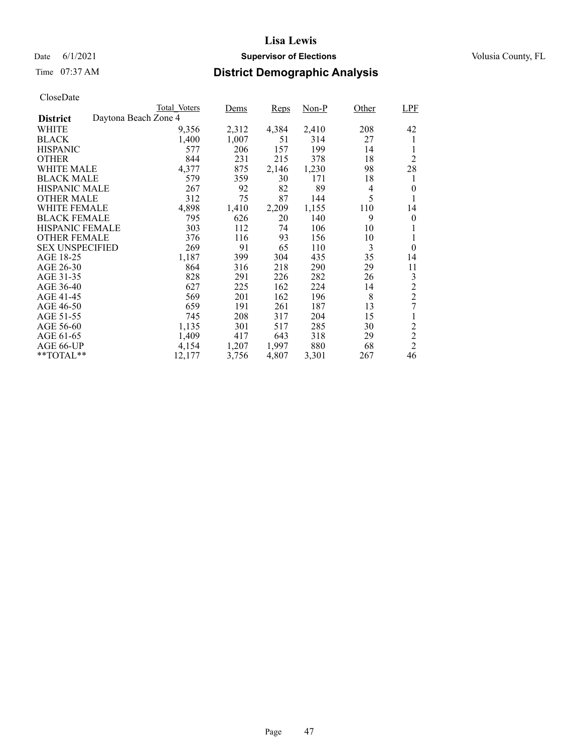### Date 6/1/2021 **Supervisor of Elections Supervisor of Elections** Volusia County, FL

# Time 07:37 AM **District Demographic Analysis**

|                        |                      | Total Voters | Dems  | Reps  | $Non-P$ | Other | <b>LPF</b>     |
|------------------------|----------------------|--------------|-------|-------|---------|-------|----------------|
| <b>District</b>        | Daytona Beach Zone 4 |              |       |       |         |       |                |
| WHITE                  |                      | 9,356        | 2,312 | 4,384 | 2,410   | 208   | 42             |
| <b>BLACK</b>           |                      | 1,400        | 1,007 | 51    | 314     | 27    | 1              |
| <b>HISPANIC</b>        |                      | 577          | 206   | 157   | 199     | 14    |                |
| <b>OTHER</b>           |                      | 844          | 231   | 215   | 378     | 18    | $\overline{2}$ |
| WHITE MALE             |                      | 4,377        | 875   | 2,146 | 1,230   | 98    | 28             |
| <b>BLACK MALE</b>      |                      | 579          | 359   | 30    | 171     | 18    | 1              |
| <b>HISPANIC MALE</b>   |                      | 267          | 92    | 82    | 89      | 4     | $\overline{0}$ |
| <b>OTHER MALE</b>      |                      | 312          | 75    | 87    | 144     | 5     | 1              |
| WHITE FEMALE           |                      | 4,898        | 1,410 | 2,209 | 1,155   | 110   | 14             |
| <b>BLACK FEMALE</b>    |                      | 795          | 626   | 20    | 140     | 9     | 0              |
| <b>HISPANIC FEMALE</b> |                      | 303          | 112   | 74    | 106     | 10    |                |
| <b>OTHER FEMALE</b>    |                      | 376          | 116   | 93    | 156     | 10    | 1              |
| <b>SEX UNSPECIFIED</b> |                      | 269          | 91    | 65    | 110     | 3     | $\theta$       |
| AGE 18-25              |                      | 1,187        | 399   | 304   | 435     | 35    | 14             |
| AGE 26-30              |                      | 864          | 316   | 218   | 290     | 29    | 11             |
| AGE 31-35              |                      | 828          | 291   | 226   | 282     | 26    | 3              |
| AGE 36-40              |                      | 627          | 225   | 162   | 224     | 14    | $\overline{c}$ |
| AGE 41-45              |                      | 569          | 201   | 162   | 196     | 8     | $\overline{2}$ |
| AGE 46-50              |                      | 659          | 191   | 261   | 187     | 13    | 7              |
| AGE 51-55              |                      | 745          | 208   | 317   | 204     | 15    | 1              |
| AGE 56-60              |                      | 1,135        | 301   | 517   | 285     | 30    | $\overline{c}$ |
| AGE 61-65              |                      | 1,409        | 417   | 643   | 318     | 29    | $\overline{2}$ |
| AGE 66-UP              |                      | 4,154        | 1,207 | 1,997 | 880     | 68    | $\overline{2}$ |
| $*$ $TOTAL**$          |                      | 12,177       | 3,756 | 4,807 | 3,301   | 267   | 46             |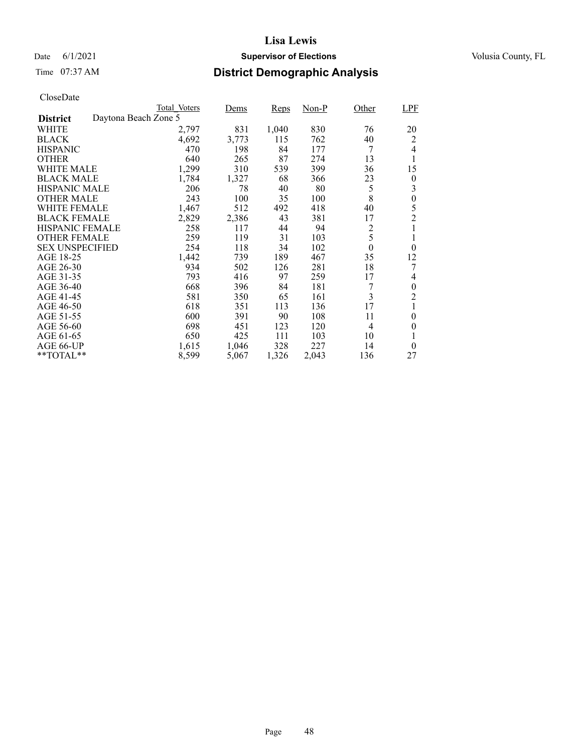### Date 6/1/2021 **Supervisor of Elections Supervisor of Elections** Volusia County, FL

# Time 07:37 AM **District Demographic Analysis**

|                        |                      | Total Voters | Dems  | Reps  | Non-P | Other          | <b>LPF</b>       |
|------------------------|----------------------|--------------|-------|-------|-------|----------------|------------------|
| <b>District</b>        | Daytona Beach Zone 5 |              |       |       |       |                |                  |
| WHITE                  |                      | 2,797        | 831   | 1,040 | 830   | 76             | 20               |
| <b>BLACK</b>           |                      | 4,692        | 3,773 | 115   | 762   | 40             | 2                |
| <b>HISPANIC</b>        |                      | 470          | 198   | 84    | 177   | 7              | $\overline{4}$   |
| <b>OTHER</b>           |                      | 640          | 265   | 87    | 274   | 13             | 1                |
| WHITE MALE             |                      | 1,299        | 310   | 539   | 399   | 36             | 15               |
| <b>BLACK MALE</b>      |                      | 1,784        | 1,327 | 68    | 366   | 23             | 0                |
| <b>HISPANIC MALE</b>   |                      | 206          | 78    | 40    | 80    | 5              | 3                |
| <b>OTHER MALE</b>      |                      | 243          | 100   | 35    | 100   | 8              | $\boldsymbol{0}$ |
| WHITE FEMALE           |                      | 1.467        | 512   | 492   | 418   | 40             | 5                |
| <b>BLACK FEMALE</b>    |                      | 2,829        | 2,386 | 43    | 381   | 17             | $\overline{2}$   |
| <b>HISPANIC FEMALE</b> |                      | 258          | 117   | 44    | 94    | 2              | 1                |
| <b>OTHER FEMALE</b>    |                      | 259          | 119   | 31    | 103   | 5              | 1                |
| <b>SEX UNSPECIFIED</b> |                      | 254          | 118   | 34    | 102   | $\theta$       | $\theta$         |
| AGE 18-25              |                      | 1,442        | 739   | 189   | 467   | 35             | 12               |
| AGE 26-30              |                      | 934          | 502   | 126   | 281   | 18             | 7                |
| AGE 31-35              |                      | 793          | 416   | 97    | 259   | 17             | 4                |
| AGE 36-40              |                      | 668          | 396   | 84    | 181   | 7              | 0                |
| AGE 41-45              |                      | 581          | 350   | 65    | 161   | 3              | $\overline{2}$   |
| AGE 46-50              |                      | 618          | 351   | 113   | 136   | 17             | 1                |
| AGE 51-55              |                      | 600          | 391   | 90    | 108   | 11             | 0                |
| AGE 56-60              |                      | 698          | 451   | 123   | 120   | $\overline{4}$ | 0                |
| AGE 61-65              |                      | 650          | 425   | 111   | 103   | 10             | 1                |
| AGE 66-UP              |                      | 1,615        | 1,046 | 328   | 227   | 14             | $\theta$         |
| $*$ $TOTAL**$          |                      | 8,599        | 5,067 | 1,326 | 2,043 | 136            | 27               |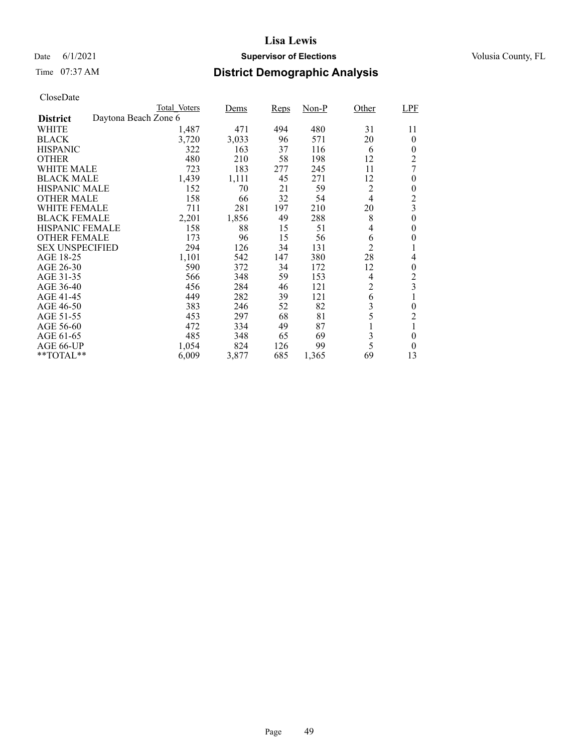### Date 6/1/2021 **Supervisor of Elections Supervisor of Elections** Volusia County, FL

# Time 07:37 AM **District Demographic Analysis**

|                        |                      | Total Voters | Dems  | Reps | Non-P | Other          | <b>LPF</b>     |
|------------------------|----------------------|--------------|-------|------|-------|----------------|----------------|
| <b>District</b>        | Daytona Beach Zone 6 |              |       |      |       |                |                |
| WHITE                  |                      | 1,487        | 471   | 494  | 480   | 31             | 11             |
| <b>BLACK</b>           |                      | 3,720        | 3,033 | 96   | 571   | 20             | $\theta$       |
| <b>HISPANIC</b>        |                      | 322          | 163   | 37   | 116   | 6              | $\theta$       |
| <b>OTHER</b>           |                      | 480          | 210   | 58   | 198   | 12             | 2              |
| WHITE MALE             |                      | 723          | 183   | 277  | 245   | 11             | 7              |
| <b>BLACK MALE</b>      |                      | 1,439        | 1,111 | 45   | 271   | 12             | 0              |
| <b>HISPANIC MALE</b>   |                      | 152          | 70    | 21   | 59    | 2              | 0              |
| <b>OTHER MALE</b>      |                      | 158          | 66    | 32   | 54    | $\overline{4}$ | $\overline{c}$ |
| WHITE FEMALE           |                      | 711          | 281   | 197  | 210   | 20             | $\overline{3}$ |
| <b>BLACK FEMALE</b>    |                      | 2,201        | 1,856 | 49   | 288   | 8              | 0              |
| <b>HISPANIC FEMALE</b> |                      | 158          | 88    | 15   | 51    | 4              | 0              |
| <b>OTHER FEMALE</b>    |                      | 173          | 96    | 15   | 56    | 6              | 0              |
| <b>SEX UNSPECIFIED</b> |                      | 294          | 126   | 34   | 131   | $\overline{c}$ | 1              |
| AGE 18-25              |                      | 1,101        | 542   | 147  | 380   | 28             | 4              |
| AGE 26-30              |                      | 590          | 372   | 34   | 172   | 12             | 0              |
| AGE 31-35              |                      | 566          | 348   | 59   | 153   | 4              | $\overline{c}$ |
| AGE 36-40              |                      | 456          | 284   | 46   | 121   | $\overline{c}$ | 3              |
| AGE 41-45              |                      | 449          | 282   | 39   | 121   | 6              | 1              |
| AGE 46-50              |                      | 383          | 246   | 52   | 82    | 3              | 0              |
| AGE 51-55              |                      | 453          | 297   | 68   | 81    | 5              | $\overline{2}$ |
| AGE 56-60              |                      | 472          | 334   | 49   | 87    | 1              | 1              |
| AGE 61-65              |                      | 485          | 348   | 65   | 69    | 3              | 0              |
| AGE 66-UP              |                      | 1,054        | 824   | 126  | 99    | 5              | $\theta$       |
| $*$ $TOTAL**$          |                      | 6,009        | 3,877 | 685  | 1,365 | 69             | 13             |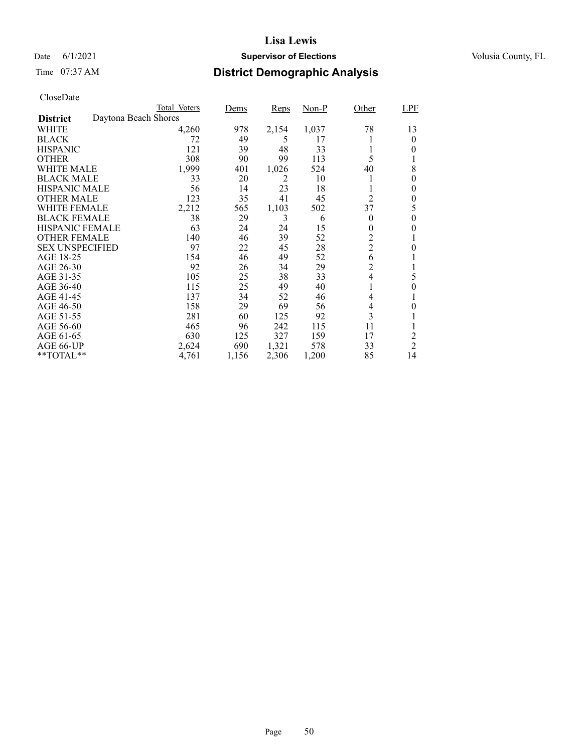### Date 6/1/2021 **Supervisor of Elections Supervisor of Elections** Volusia County, FL

# Time 07:37 AM **District Demographic Analysis**

|                                         | Total Voters | Dems  | Reps  | Non-P | Other            | LPF              |
|-----------------------------------------|--------------|-------|-------|-------|------------------|------------------|
| Daytona Beach Shores<br><b>District</b> |              |       |       |       |                  |                  |
| WHITE                                   | 4,260        | 978   | 2,154 | 1,037 | 78               | 13               |
| <b>BLACK</b>                            | 72           | 49    | 5     | 17    |                  | $\theta$         |
| <b>HISPANIC</b>                         | 121          | 39    | 48    | 33    |                  | 0                |
| <b>OTHER</b>                            | 308          | 90    | 99    | 113   | 5                |                  |
| WHITE MALE                              | 1,999        | 401   | 1,026 | 524   | 40               | 8                |
| <b>BLACK MALE</b>                       | 33           | 20    | 2     | 10    |                  | $\theta$         |
| <b>HISPANIC MALE</b>                    | 56           | 14    | 23    | 18    |                  | 0                |
| <b>OTHER MALE</b>                       | 123          | 35    | 41    | 45    | $\overline{c}$   | $\theta$         |
| WHITE FEMALE                            | 2,212        | 565   | 1,103 | 502   | 37               | 5                |
| <b>BLACK FEMALE</b>                     | 38           | 29    | 3     | 6     | $\theta$         | 0                |
| <b>HISPANIC FEMALE</b>                  | 63           | 24    | 24    | 15    | $\boldsymbol{0}$ | 0                |
| <b>OTHER FEMALE</b>                     | 140          | 46    | 39    | 52    | $\overline{c}$   |                  |
| <b>SEX UNSPECIFIED</b>                  | 97           | 22    | 45    | 28    | $\overline{c}$   | $\boldsymbol{0}$ |
| AGE 18-25                               | 154          | 46    | 49    | 52    | 6                |                  |
| AGE 26-30                               | 92           | 26    | 34    | 29    | $\overline{c}$   |                  |
| AGE 31-35                               | 105          | 25    | 38    | 33    | 4                | 5                |
| AGE 36-40                               | 115          | 25    | 49    | 40    |                  | 0                |
| AGE 41-45                               | 137          | 34    | 52    | 46    | 4                | 1                |
| AGE 46-50                               | 158          | 29    | 69    | 56    | 4                | 0                |
| AGE 51-55                               | 281          | 60    | 125   | 92    | 3                |                  |
| AGE 56-60                               | 465          | 96    | 242   | 115   | 11               |                  |
| AGE 61-65                               | 630          | 125   | 327   | 159   | 17               | 2                |
| AGE 66-UP                               | 2,624        | 690   | 1,321 | 578   | 33               | $\overline{2}$   |
| $*$ $TOTAL**$                           | 4,761        | 1,156 | 2,306 | 1,200 | 85               | 14               |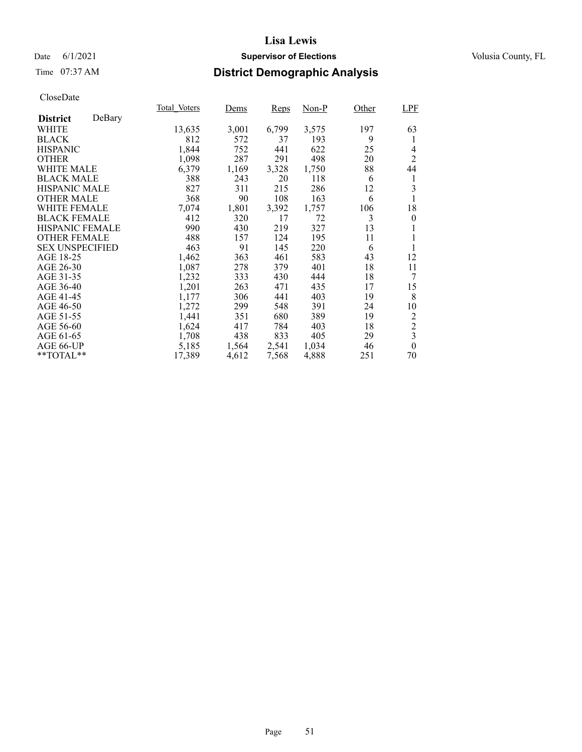### Date 6/1/2021 **Supervisor of Elections Supervisor of Elections** Volusia County, FL

# Time 07:37 AM **District Demographic Analysis**

|                        |        | Total Voters | Dems  | Reps  | Non-P | Other | <b>LPF</b>              |
|------------------------|--------|--------------|-------|-------|-------|-------|-------------------------|
| <b>District</b>        | DeBary |              |       |       |       |       |                         |
| WHITE                  |        | 13,635       | 3,001 | 6,799 | 3,575 | 197   | 63                      |
| <b>BLACK</b>           |        | 812          | 572   | 37    | 193   | 9     | 1                       |
| <b>HISPANIC</b>        |        | 1,844        | 752   | 441   | 622   | 25    | 4                       |
| <b>OTHER</b>           |        | 1,098        | 287   | 291   | 498   | 20    | $\overline{2}$          |
| WHITE MALE             |        | 6,379        | 1,169 | 3,328 | 1,750 | 88    | 44                      |
| <b>BLACK MALE</b>      |        | 388          | 243   | 20    | 118   | 6     | 1                       |
| <b>HISPANIC MALE</b>   |        | 827          | 311   | 215   | 286   | 12    | 3                       |
| <b>OTHER MALE</b>      |        | 368          | 90    | 108   | 163   | 6     | 1                       |
| WHITE FEMALE           |        | 7,074        | 1,801 | 3,392 | 1,757 | 106   | 18                      |
| <b>BLACK FEMALE</b>    |        | 412          | 320   | 17    | 72    | 3     | $\theta$                |
| HISPANIC FEMALE        |        | 990          | 430   | 219   | 327   | 13    |                         |
| <b>OTHER FEMALE</b>    |        | 488          | 157   | 124   | 195   | 11    | 1                       |
| <b>SEX UNSPECIFIED</b> |        | 463          | 91    | 145   | 220   | 6     | 1                       |
| AGE 18-25              |        | 1,462        | 363   | 461   | 583   | 43    | 12                      |
| AGE 26-30              |        | 1,087        | 278   | 379   | 401   | 18    | 11                      |
| AGE 31-35              |        | 1,232        | 333   | 430   | 444   | 18    | 7                       |
| AGE 36-40              |        | 1,201        | 263   | 471   | 435   | 17    | 15                      |
| AGE 41-45              |        | 1,177        | 306   | 441   | 403   | 19    | 8                       |
| AGE 46-50              |        | 1,272        | 299   | 548   | 391   | 24    | 10                      |
| AGE 51-55              |        | 1,441        | 351   | 680   | 389   | 19    | $\overline{c}$          |
| AGE 56-60              |        | 1,624        | 417   | 784   | 403   | 18    | $\overline{c}$          |
| AGE 61-65              |        | 1,708        | 438   | 833   | 405   | 29    | $\overline{\mathbf{3}}$ |
| AGE 66-UP              |        | 5,185        | 1,564 | 2,541 | 1,034 | 46    | $\boldsymbol{0}$        |
| **TOTAL**              |        | 17,389       | 4,612 | 7,568 | 4,888 | 251   | 70                      |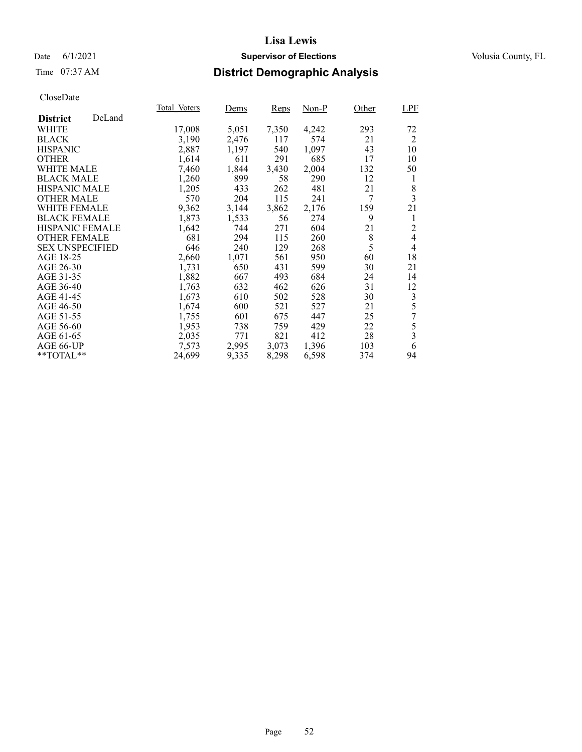### Date 6/1/2021 **Supervisor of Elections Supervisor of Elections** Volusia County, FL

# Time 07:37 AM **District Demographic Analysis**

|                        |        | Total Voters | Dems  | Reps  | Non-P | Other | <b>LPF</b>     |
|------------------------|--------|--------------|-------|-------|-------|-------|----------------|
| <b>District</b>        | DeLand |              |       |       |       |       |                |
| WHITE                  |        | 17,008       | 5,051 | 7,350 | 4,242 | 293   | 72             |
| <b>BLACK</b>           |        | 3,190        | 2,476 | 117   | 574   | 21    | 2              |
| <b>HISPANIC</b>        |        | 2,887        | 1,197 | 540   | 1,097 | 43    | 10             |
| <b>OTHER</b>           |        | 1,614        | 611   | 291   | 685   | 17    | 10             |
| WHITE MALE             |        | 7,460        | 1,844 | 3,430 | 2,004 | 132   | 50             |
| <b>BLACK MALE</b>      |        | 1,260        | 899   | 58    | 290   | 12    | 1              |
| <b>HISPANIC MALE</b>   |        | 1,205        | 433   | 262   | 481   | 21    | 8              |
| <b>OTHER MALE</b>      |        | 570          | 204   | 115   | 241   | 7     | $\overline{3}$ |
| <b>WHITE FEMALE</b>    |        | 9,362        | 3,144 | 3,862 | 2,176 | 159   | 21             |
| <b>BLACK FEMALE</b>    |        | 1,873        | 1,533 | 56    | 274   | 9     | 1              |
| HISPANIC FEMALE        |        | 1,642        | 744   | 271   | 604   | 21    | $\overline{c}$ |
| <b>OTHER FEMALE</b>    |        | 681          | 294   | 115   | 260   | 8     | $\overline{4}$ |
| <b>SEX UNSPECIFIED</b> |        | 646          | 240   | 129   | 268   | 5     | 4              |
| AGE 18-25              |        | 2,660        | 1,071 | 561   | 950   | 60    | 18             |
| AGE 26-30              |        | 1,731        | 650   | 431   | 599   | 30    | 21             |
| AGE 31-35              |        | 1,882        | 667   | 493   | 684   | 24    | 14             |
| AGE 36-40              |        | 1,763        | 632   | 462   | 626   | 31    | 12             |
| AGE 41-45              |        | 1,673        | 610   | 502   | 528   | 30    | 3              |
| AGE 46-50              |        | 1,674        | 600   | 521   | 527   | 21    | 5              |
| AGE 51-55              |        | 1,755        | 601   | 675   | 447   | 25    | 7              |
| AGE 56-60              |        | 1,953        | 738   | 759   | 429   | 22    | 5              |
| AGE 61-65              |        | 2,035        | 771   | 821   | 412   | 28    | 3              |
| AGE 66-UP              |        | 7,573        | 2,995 | 3,073 | 1,396 | 103   | 6              |
| **TOTAL**              |        | 24,699       | 9,335 | 8,298 | 6,598 | 374   | 94             |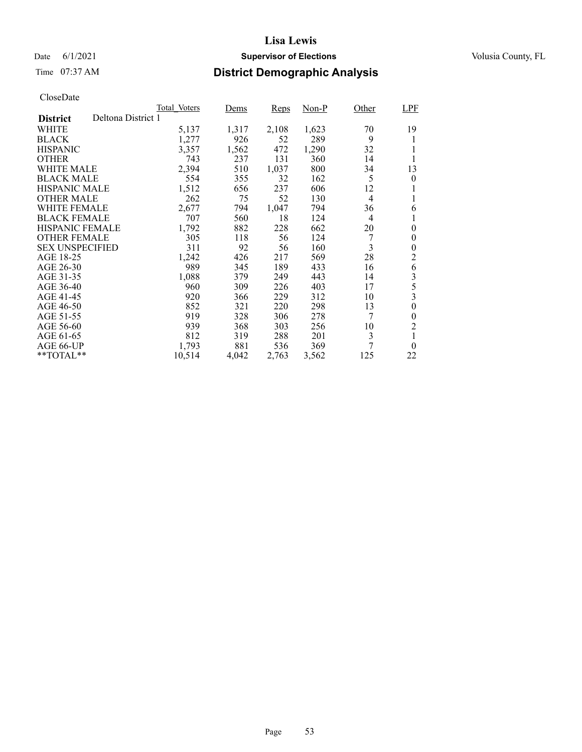### Date 6/1/2021 **Supervisor of Elections Supervisor of Elections** Volusia County, FL

# Time 07:37 AM **District Demographic Analysis**

|                        |                    | Total Voters | Dems  | Reps  | Non-P | Other          | <b>LPF</b>       |
|------------------------|--------------------|--------------|-------|-------|-------|----------------|------------------|
| <b>District</b>        | Deltona District 1 |              |       |       |       |                |                  |
| WHITE                  |                    | 5,137        | 1,317 | 2,108 | 1,623 | 70             | 19               |
| <b>BLACK</b>           |                    | 1,277        | 926   | 52    | 289   | 9              |                  |
| <b>HISPANIC</b>        |                    | 3,357        | 1,562 | 472   | 1,290 | 32             | 1                |
| <b>OTHER</b>           |                    | 743          | 237   | 131   | 360   | 14             | 1                |
| WHITE MALE             |                    | 2,394        | 510   | 1,037 | 800   | 34             | 13               |
| <b>BLACK MALE</b>      |                    | 554          | 355   | 32    | 162   | 5              | $\boldsymbol{0}$ |
| <b>HISPANIC MALE</b>   |                    | 1,512        | 656   | 237   | 606   | 12             | 1                |
| <b>OTHER MALE</b>      |                    | 262          | 75    | 52    | 130   | $\overline{4}$ | 1                |
| WHITE FEMALE           |                    | 2,677        | 794   | 1.047 | 794   | 36             | 6                |
| <b>BLACK FEMALE</b>    |                    | 707          | 560   | 18    | 124   | $\overline{4}$ | 1                |
| <b>HISPANIC FEMALE</b> |                    | 1,792        | 882   | 228   | 662   | 20             | $\boldsymbol{0}$ |
| <b>OTHER FEMALE</b>    |                    | 305          | 118   | 56    | 124   | 7              | 0                |
| <b>SEX UNSPECIFIED</b> |                    | 311          | 92    | 56    | 160   | 3              | $\boldsymbol{0}$ |
| AGE 18-25              |                    | 1,242        | 426   | 217   | 569   | 28             | 2                |
| AGE 26-30              |                    | 989          | 345   | 189   | 433   | 16             | 6                |
| AGE 31-35              |                    | 1,088        | 379   | 249   | 443   | 14             | 3                |
| AGE 36-40              |                    | 960          | 309   | 226   | 403   | 17             | 5                |
| AGE 41-45              |                    | 920          | 366   | 229   | 312   | 10             | 3                |
| AGE 46-50              |                    | 852          | 321   | 220   | 298   | 13             | $\boldsymbol{0}$ |
| AGE 51-55              |                    | 919          | 328   | 306   | 278   | 7              | $\theta$         |
| AGE 56-60              |                    | 939          | 368   | 303   | 256   | 10             | $\overline{2}$   |
| AGE 61-65              |                    | 812          | 319   | 288   | 201   | 3              | 1                |
| AGE 66-UP              |                    | 1,793        | 881   | 536   | 369   | 7              | $\theta$         |
| $*$ $TOTAL**$          |                    | 10,514       | 4,042 | 2,763 | 3,562 | 125            | 22               |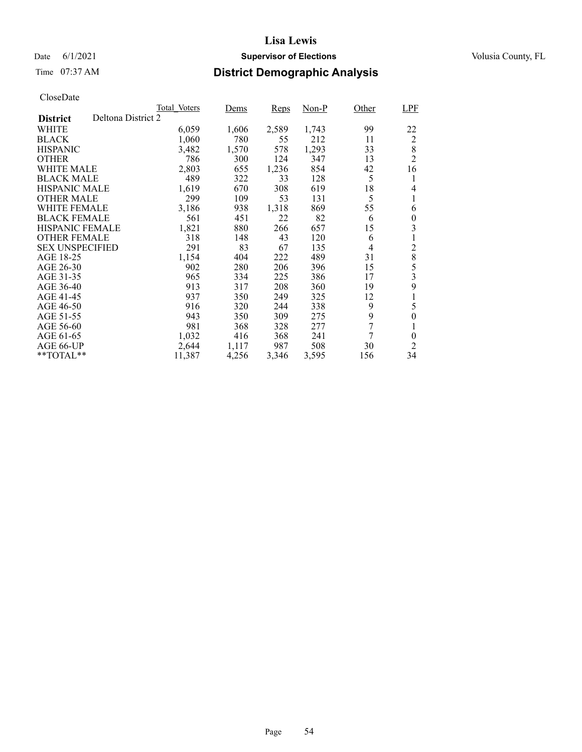### Date 6/1/2021 **Supervisor of Elections Supervisor of Elections** Volusia County, FL

# Time 07:37 AM **District Demographic Analysis**

|                        |                    | Total Voters | Dems  | Reps  | Non-P | Other | <b>LPF</b>       |
|------------------------|--------------------|--------------|-------|-------|-------|-------|------------------|
| <b>District</b>        | Deltona District 2 |              |       |       |       |       |                  |
| WHITE                  |                    | 6,059        | 1,606 | 2,589 | 1,743 | 99    | 22               |
| <b>BLACK</b>           |                    | 1,060        | 780   | 55    | 212   | 11    | 2                |
| <b>HISPANIC</b>        |                    | 3,482        | 1,570 | 578   | 1,293 | 33    | 8                |
| <b>OTHER</b>           |                    | 786          | 300   | 124   | 347   | 13    | $\overline{2}$   |
| WHITE MALE             |                    | 2,803        | 655   | 1,236 | 854   | 42    | 16               |
| <b>BLACK MALE</b>      |                    | 489          | 322   | 33    | 128   | 5     | 1                |
| <b>HISPANIC MALE</b>   |                    | 1,619        | 670   | 308   | 619   | 18    | 4                |
| <b>OTHER MALE</b>      |                    | 299          | 109   | 53    | 131   | 5     | 1                |
| WHITE FEMALE           |                    | 3,186        | 938   | 1,318 | 869   | 55    | 6                |
| <b>BLACK FEMALE</b>    |                    | 561          | 451   | 22    | 82    | 6     | $\theta$         |
| <b>HISPANIC FEMALE</b> |                    | 1,821        | 880   | 266   | 657   | 15    | 3                |
| <b>OTHER FEMALE</b>    |                    | 318          | 148   | 43    | 120   | 6     | 1                |
| <b>SEX UNSPECIFIED</b> |                    | 291          | 83    | 67    | 135   | 4     | $\overline{2}$   |
| AGE 18-25              |                    | 1,154        | 404   | 222   | 489   | 31    | 8                |
| AGE 26-30              |                    | 902          | 280   | 206   | 396   | 15    | 5                |
| AGE 31-35              |                    | 965          | 334   | 225   | 386   | 17    | 3                |
| AGE 36-40              |                    | 913          | 317   | 208   | 360   | 19    | 9                |
| AGE 41-45              |                    | 937          | 350   | 249   | 325   | 12    | 1                |
| AGE 46-50              |                    | 916          | 320   | 244   | 338   | 9     | 5                |
| AGE 51-55              |                    | 943          | 350   | 309   | 275   | 9     | $\boldsymbol{0}$ |
| AGE 56-60              |                    | 981          | 368   | 328   | 277   | 7     | 1                |
| AGE 61-65              |                    | 1,032        | 416   | 368   | 241   | 7     | $\theta$         |
| AGE 66-UP              |                    | 2,644        | 1,117 | 987   | 508   | 30    | 2                |
| **TOTAL**              |                    | 11,387       | 4,256 | 3,346 | 3,595 | 156   | 34               |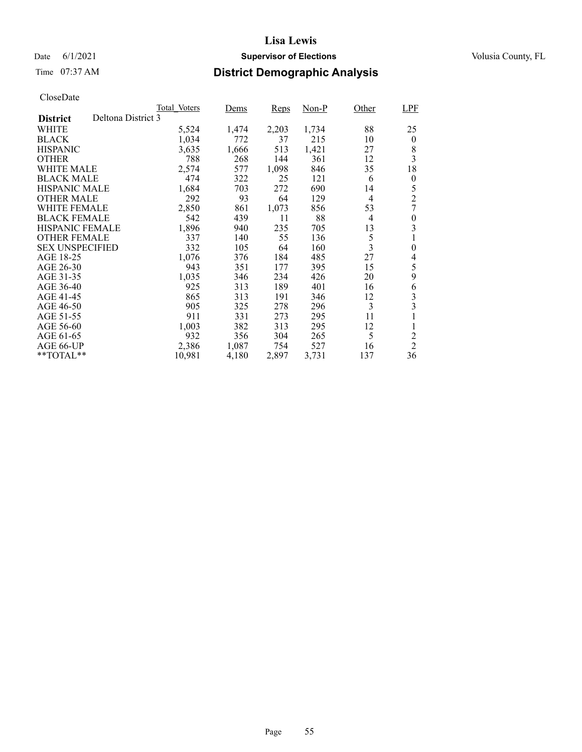### Date 6/1/2021 **Supervisor of Elections Supervisor of Elections** Volusia County, FL

# Time 07:37 AM **District Demographic Analysis**

|                        |                    | Total Voters | Dems  | Reps  | Non-P | Other          | <b>LPF</b>     |
|------------------------|--------------------|--------------|-------|-------|-------|----------------|----------------|
| <b>District</b>        | Deltona District 3 |              |       |       |       |                |                |
| WHITE                  |                    | 5,524        | 1,474 | 2,203 | 1,734 | 88             | 25             |
| <b>BLACK</b>           |                    | 1,034        | 772   | 37    | 215   | 10             | $\theta$       |
| <b>HISPANIC</b>        |                    | 3,635        | 1,666 | 513   | 1,421 | 27             | 8              |
| <b>OTHER</b>           |                    | 788          | 268   | 144   | 361   | 12             | 3              |
| WHITE MALE             |                    | 2,574        | 577   | 1,098 | 846   | 35             | 18             |
| <b>BLACK MALE</b>      |                    | 474          | 322   | 25    | 121   | 6              | 0              |
| <b>HISPANIC MALE</b>   |                    | 1,684        | 703   | 272   | 690   | 14             | 5              |
| <b>OTHER MALE</b>      |                    | 292          | 93    | 64    | 129   | $\overline{4}$ | $\overline{2}$ |
| WHITE FEMALE           |                    | 2,850        | 861   | 1,073 | 856   | 53             | 7              |
| <b>BLACK FEMALE</b>    |                    | 542          | 439   | 11    | 88    | $\overline{4}$ | $\theta$       |
| <b>HISPANIC FEMALE</b> |                    | 1,896        | 940   | 235   | 705   | 13             | 3              |
| <b>OTHER FEMALE</b>    |                    | 337          | 140   | 55    | 136   | 5              | 1              |
| <b>SEX UNSPECIFIED</b> |                    | 332          | 105   | 64    | 160   | 3              | $\overline{0}$ |
| AGE 18-25              |                    | 1,076        | 376   | 184   | 485   | 27             | 4              |
| AGE 26-30              |                    | 943          | 351   | 177   | 395   | 15             | 5              |
| AGE 31-35              |                    | 1,035        | 346   | 234   | 426   | 20             | 9              |
| AGE 36-40              |                    | 925          | 313   | 189   | 401   | 16             | 6              |
| AGE 41-45              |                    | 865          | 313   | 191   | 346   | 12             | 3              |
| AGE 46-50              |                    | 905          | 325   | 278   | 296   | 3              | 3              |
| AGE 51-55              |                    | 911          | 331   | 273   | 295   | 11             | 1              |
| AGE 56-60              |                    | 1,003        | 382   | 313   | 295   | 12             | 1              |
| AGE 61-65              |                    | 932          | 356   | 304   | 265   | 5              | $\overline{2}$ |
| AGE 66-UP              |                    | 2,386        | 1,087 | 754   | 527   | 16             | $\overline{2}$ |
| **TOTAL**              |                    | 10,981       | 4,180 | 2,897 | 3,731 | 137            | 36             |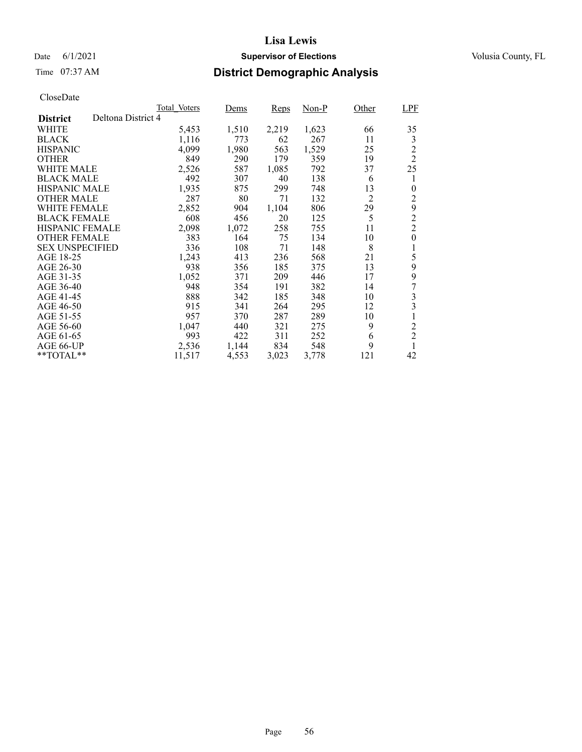### Date 6/1/2021 **Supervisor of Elections Supervisor of Elections** Volusia County, FL

# Time 07:37 AM **District Demographic Analysis**

|                        |                    | Total Voters | Dems  | Reps  | Non-P | Other          | <b>LPF</b>     |
|------------------------|--------------------|--------------|-------|-------|-------|----------------|----------------|
| <b>District</b>        | Deltona District 4 |              |       |       |       |                |                |
| WHITE                  |                    | 5,453        | 1,510 | 2,219 | 1,623 | 66             | 35             |
| <b>BLACK</b>           |                    | 1,116        | 773   | 62    | 267   | 11             | 3              |
| <b>HISPANIC</b>        |                    | 4,099        | 1,980 | 563   | 1,529 | 25             | $\overline{c}$ |
| <b>OTHER</b>           |                    | 849          | 290   | 179   | 359   | 19             | $\overline{c}$ |
| WHITE MALE             |                    | 2,526        | 587   | 1,085 | 792   | 37             | 25             |
| <b>BLACK MALE</b>      |                    | 492          | 307   | 40    | 138   | 6              | 1              |
| <b>HISPANIC MALE</b>   |                    | 1,935        | 875   | 299   | 748   | 13             | 0              |
| <b>OTHER MALE</b>      |                    | 287          | 80    | 71    | 132   | $\overline{2}$ | 2              |
| <b>WHITE FEMALE</b>    |                    | 2,852        | 904   | 1.104 | 806   | 29             | 9              |
| <b>BLACK FEMALE</b>    |                    | 608          | 456   | 20    | 125   | 5              | $\overline{c}$ |
| <b>HISPANIC FEMALE</b> |                    | 2,098        | 1,072 | 258   | 755   | 11             | $\overline{2}$ |
| <b>OTHER FEMALE</b>    |                    | 383          | 164   | 75    | 134   | 10             | $\overline{0}$ |
| <b>SEX UNSPECIFIED</b> |                    | 336          | 108   | 71    | 148   | 8              | 1              |
| AGE 18-25              |                    | 1,243        | 413   | 236   | 568   | 21             | 5              |
| AGE 26-30              |                    | 938          | 356   | 185   | 375   | 13             | 9              |
| AGE 31-35              |                    | 1,052        | 371   | 209   | 446   | 17             | 9              |
| AGE 36-40              |                    | 948          | 354   | 191   | 382   | 14             | 7              |
| AGE 41-45              |                    | 888          | 342   | 185   | 348   | 10             | 3              |
| AGE 46-50              |                    | 915          | 341   | 264   | 295   | 12             | 3              |
| AGE 51-55              |                    | 957          | 370   | 287   | 289   | 10             |                |
| AGE 56-60              |                    | 1,047        | 440   | 321   | 275   | 9              | $\overline{c}$ |
| AGE 61-65              |                    | 993          | 422   | 311   | 252   | 6              | $\overline{c}$ |
| AGE 66-UP              |                    | 2,536        | 1,144 | 834   | 548   | 9              | 1              |
| **TOTAL**              |                    | 11,517       | 4,553 | 3,023 | 3,778 | 121            | 42             |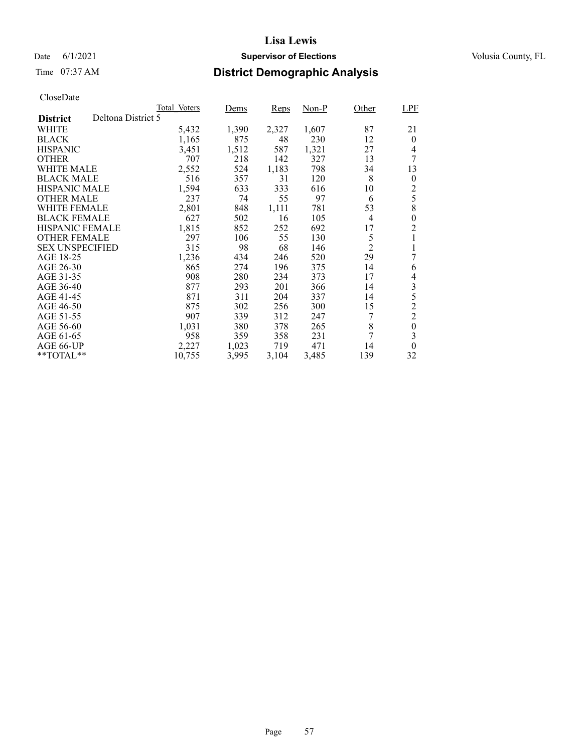### Date 6/1/2021 **Supervisor of Elections Supervisor of Elections** Volusia County, FL

# Time 07:37 AM **District Demographic Analysis**

|                        |                    | Total Voters | Dems  | <b>Reps</b> | Non-P | Other          | <b>LPF</b>       |
|------------------------|--------------------|--------------|-------|-------------|-------|----------------|------------------|
| <b>District</b>        | Deltona District 5 |              |       |             |       |                |                  |
| WHITE                  |                    | 5,432        | 1,390 | 2,327       | 1,607 | 87             | 21               |
| <b>BLACK</b>           |                    | 1,165        | 875   | 48          | 230   | 12             | $\theta$         |
| <b>HISPANIC</b>        |                    | 3,451        | 1,512 | 587         | 1,321 | 27             | $\overline{4}$   |
| <b>OTHER</b>           |                    | 707          | 218   | 142         | 327   | 13             | 7                |
| WHITE MALE             |                    | 2,552        | 524   | 1,183       | 798   | 34             | 13               |
| <b>BLACK MALE</b>      |                    | 516          | 357   | 31          | 120   | 8              | $\boldsymbol{0}$ |
| <b>HISPANIC MALE</b>   |                    | 1,594        | 633   | 333         | 616   | 10             | $\overline{c}$   |
| <b>OTHER MALE</b>      |                    | 237          | 74    | 55          | 97    | 6              | 5                |
| WHITE FEMALE           |                    | 2,801        | 848   | 1,111       | 781   | 53             | 8                |
| <b>BLACK FEMALE</b>    |                    | 627          | 502   | 16          | 105   | $\overline{4}$ | $\theta$         |
| <b>HISPANIC FEMALE</b> |                    | 1,815        | 852   | 252         | 692   | 17             | $\overline{c}$   |
| <b>OTHER FEMALE</b>    |                    | 297          | 106   | 55          | 130   | 5              | 1                |
| <b>SEX UNSPECIFIED</b> |                    | 315          | 98    | 68          | 146   | $\overline{2}$ | 1                |
| AGE 18-25              |                    | 1,236        | 434   | 246         | 520   | 29             | 7                |
| AGE 26-30              |                    | 865          | 274   | 196         | 375   | 14             | 6                |
| AGE 31-35              |                    | 908          | 280   | 234         | 373   | 17             | 4                |
| AGE 36-40              |                    | 877          | 293   | 201         | 366   | 14             | 3                |
| AGE 41-45              |                    | 871          | 311   | 204         | 337   | 14             | 5                |
| AGE 46-50              |                    | 875          | 302   | 256         | 300   | 15             | $\overline{c}$   |
| AGE 51-55              |                    | 907          | 339   | 312         | 247   | 7              | $\overline{c}$   |
| AGE 56-60              |                    | 1,031        | 380   | 378         | 265   | 8              | $\boldsymbol{0}$ |
| AGE 61-65              |                    | 958          | 359   | 358         | 231   | 7              | 3                |
| AGE 66-UP              |                    | 2,227        | 1,023 | 719         | 471   | 14             | $\theta$         |
| $*$ TOTAL $*$          |                    | 10,755       | 3,995 | 3,104       | 3,485 | 139            | 32               |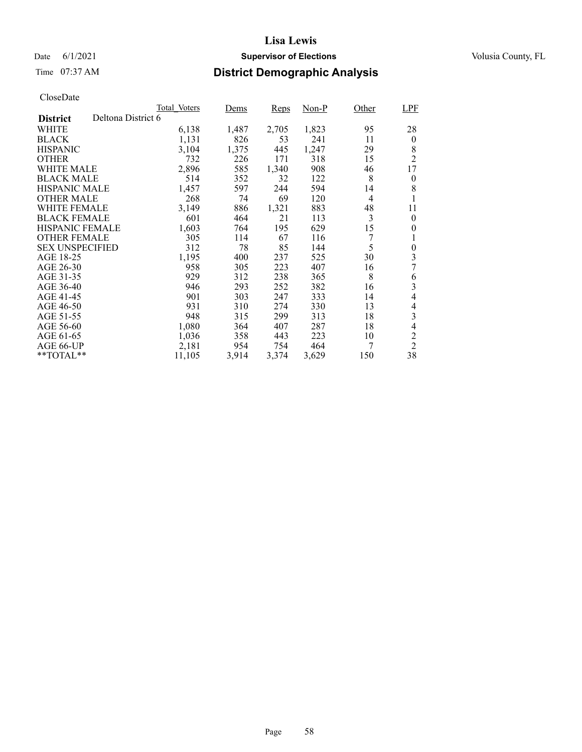# Time 07:37 AM **District Demographic Analysis**

|                        |                    | Total Voters | Dems  | Reps  | Non-P | Other          | <b>LPF</b>       |
|------------------------|--------------------|--------------|-------|-------|-------|----------------|------------------|
| <b>District</b>        | Deltona District 6 |              |       |       |       |                |                  |
| WHITE                  |                    | 6,138        | 1,487 | 2,705 | 1,823 | 95             | 28               |
| <b>BLACK</b>           |                    | 1,131        | 826   | 53    | 241   | 11             | $\bf{0}$         |
| <b>HISPANIC</b>        |                    | 3,104        | 1,375 | 445   | 1,247 | 29             | 8                |
| <b>OTHER</b>           |                    | 732          | 226   | 171   | 318   | 15             | $\overline{2}$   |
| WHITE MALE             |                    | 2,896        | 585   | 1,340 | 908   | 46             | 17               |
| <b>BLACK MALE</b>      |                    | 514          | 352   | 32    | 122   | 8              | $\boldsymbol{0}$ |
| <b>HISPANIC MALE</b>   |                    | 1,457        | 597   | 244   | 594   | 14             | 8                |
| <b>OTHER MALE</b>      |                    | 268          | 74    | 69    | 120   | $\overline{4}$ |                  |
| <b>WHITE FEMALE</b>    |                    | 3,149        | 886   | 1,321 | 883   | 48             | 11               |
| <b>BLACK FEMALE</b>    |                    | 601          | 464   | 21    | 113   | 3              | $\theta$         |
| <b>HISPANIC FEMALE</b> |                    | 1,603        | 764   | 195   | 629   | 15             | 0                |
| <b>OTHER FEMALE</b>    |                    | 305          | 114   | 67    | 116   | 7              | 1                |
| <b>SEX UNSPECIFIED</b> |                    | 312          | 78    | 85    | 144   | 5              | $\theta$         |
| AGE 18-25              |                    | 1,195        | 400   | 237   | 525   | 30             | 3                |
| AGE 26-30              |                    | 958          | 305   | 223   | 407   | 16             | 7                |
| AGE 31-35              |                    | 929          | 312   | 238   | 365   | 8              | 6                |
| AGE 36-40              |                    | 946          | 293   | 252   | 382   | 16             | 3                |
| AGE 41-45              |                    | 901          | 303   | 247   | 333   | 14             | $\overline{4}$   |
| AGE 46-50              |                    | 931          | 310   | 274   | 330   | 13             | $\overline{4}$   |
| AGE 51-55              |                    | 948          | 315   | 299   | 313   | 18             | 3                |
| AGE 56-60              |                    | 1,080        | 364   | 407   | 287   | 18             | $\overline{4}$   |
| AGE 61-65              |                    | 1,036        | 358   | 443   | 223   | 10             | $\overline{c}$   |
| AGE 66-UP              |                    | 2,181        | 954   | 754   | 464   | 7              | $\overline{2}$   |
| $*$ TOTAL $*$          |                    | 11,105       | 3,914 | 3,374 | 3,629 | 150            | 38               |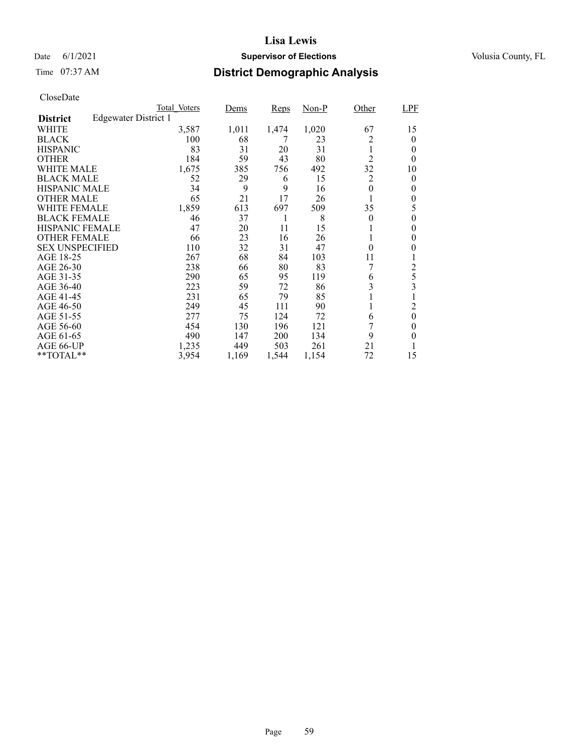### Date 6/1/2021 **Supervisor of Elections Supervisor of Elections** Volusia County, FL

# Time 07:37 AM **District Demographic Analysis**

|                        |                             | Total Voters | Dems  | Reps  | Non-P | Other          | LPF              |
|------------------------|-----------------------------|--------------|-------|-------|-------|----------------|------------------|
| <b>District</b>        | <b>Edgewater District 1</b> |              |       |       |       |                |                  |
| WHITE                  |                             | 3,587        | 1,011 | 1,474 | 1,020 | 67             | 15               |
| <b>BLACK</b>           |                             | 100          | 68    | 7     | 23    | 2              | $\theta$         |
| <b>HISPANIC</b>        |                             | 83           | 31    | 20    | 31    | 1              | 0                |
| <b>OTHER</b>           |                             | 184          | 59    | 43    | 80    | $\overline{2}$ | 0                |
| WHITE MALE             |                             | 1,675        | 385   | 756   | 492   | 32             | 10               |
| <b>BLACK MALE</b>      |                             | 52           | 29    | 6     | 15    | 2              | 0                |
| <b>HISPANIC MALE</b>   |                             | 34           | 9     | 9     | 16    | 0              | 0                |
| <b>OTHER MALE</b>      |                             | 65           | 21    | 17    | 26    |                | 0                |
| WHITE FEMALE           |                             | 1,859        | 613   | 697   | 509   | 35             | 5                |
| <b>BLACK FEMALE</b>    |                             | 46           | 37    | 1     | 8     | $\theta$       | 0                |
| HISPANIC FEMALE        |                             | 47           | 20    | 11    | 15    |                | 0                |
| <b>OTHER FEMALE</b>    |                             | 66           | 23    | 16    | 26    | -1             | 0                |
| <b>SEX UNSPECIFIED</b> |                             | 110          | 32    | 31    | 47    | $\theta$       | 0                |
| AGE 18-25              |                             | 267          | 68    | 84    | 103   | 11             |                  |
| AGE 26-30              |                             | 238          | 66    | 80    | 83    |                | 2                |
| AGE 31-35              |                             | 290          | 65    | 95    | 119   | 6              | 5                |
| AGE 36-40              |                             | 223          | 59    | 72    | 86    | 3              | 3                |
| AGE 41-45              |                             | 231          | 65    | 79    | 85    |                |                  |
| AGE 46-50              |                             | 249          | 45    | 111   | 90    |                | 2                |
| AGE 51-55              |                             | 277          | 75    | 124   | 72    | 6              | $\boldsymbol{0}$ |
| AGE 56-60              |                             | 454          | 130   | 196   | 121   |                | 0                |
| AGE 61-65              |                             | 490          | 147   | 200   | 134   | 9              | 0                |
| AGE 66-UP              |                             | 1,235        | 449   | 503   | 261   | 21             |                  |
| **TOTAL**              |                             | 3,954        | 1,169 | 1,544 | 1,154 | 72             | 15               |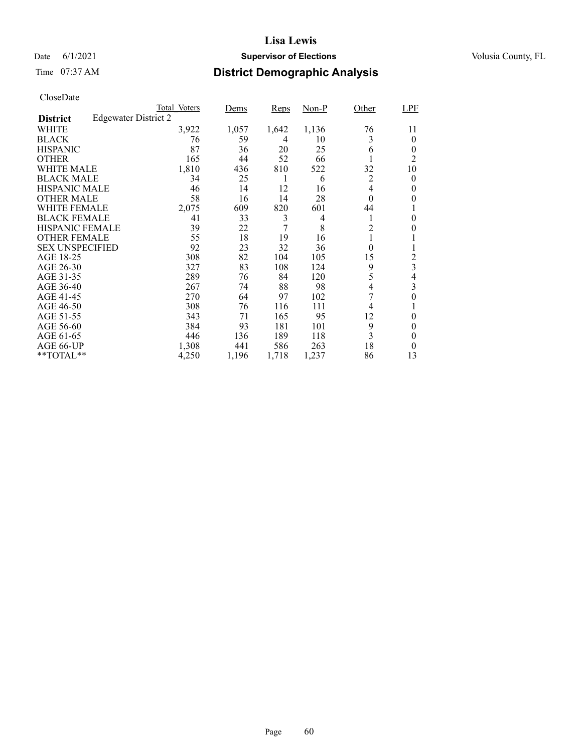### Date 6/1/2021 **Supervisor of Elections Supervisor of Elections** Volusia County, FL

# Time 07:37 AM **District Demographic Analysis**

|                        |                             | Total Voters | Dems  | Reps  | Non-P | Other            | LPF            |
|------------------------|-----------------------------|--------------|-------|-------|-------|------------------|----------------|
| <b>District</b>        | <b>Edgewater District 2</b> |              |       |       |       |                  |                |
| WHITE                  |                             | 3,922        | 1,057 | 1,642 | 1,136 | 76               | 11             |
| <b>BLACK</b>           |                             | 76           | 59    | 4     | 10    | 3                | $\theta$       |
| <b>HISPANIC</b>        |                             | 87           | 36    | 20    | 25    | 6                | $\theta$       |
| <b>OTHER</b>           |                             | 165          | 44    | 52    | 66    |                  | 2              |
| WHITE MALE             |                             | 1,810        | 436   | 810   | 522   | 32               | 10             |
| <b>BLACK MALE</b>      |                             | 34           | 25    | 1     | 6     | 2                | 0              |
| <b>HISPANIC MALE</b>   |                             | 46           | 14    | 12    | 16    | 4                | 0              |
| <b>OTHER MALE</b>      |                             | 58           | 16    | 14    | 28    | $\theta$         | 0              |
| WHITE FEMALE           |                             | 2,075        | 609   | 820   | 601   | 44               |                |
| <b>BLACK FEMALE</b>    |                             | 41           | 33    | 3     | 4     | 1                | 0              |
| HISPANIC FEMALE        |                             | 39           | 22    | 7     | 8     | $\overline{c}$   | 0              |
| <b>OTHER FEMALE</b>    |                             | 55           | 18    | 19    | 16    | 1                |                |
| <b>SEX UNSPECIFIED</b> |                             | 92           | 23    | 32    | 36    | $\boldsymbol{0}$ | 1              |
| AGE 18-25              |                             | 308          | 82    | 104   | 105   | 15               | 2              |
| AGE 26-30              |                             | 327          | 83    | 108   | 124   | 9                | 3              |
| AGE 31-35              |                             | 289          | 76    | 84    | 120   | 5                | 4              |
| AGE 36-40              |                             | 267          | 74    | 88    | 98    | 4                | 3              |
| AGE 41-45              |                             | 270          | 64    | 97    | 102   | 7                | $\overline{0}$ |
| AGE 46-50              |                             | 308          | 76    | 116   | 111   | 4                |                |
| AGE 51-55              |                             | 343          | 71    | 165   | 95    | 12               | $\theta$       |
| AGE 56-60              |                             | 384          | 93    | 181   | 101   | 9                | 0              |
| AGE 61-65              |                             | 446          | 136   | 189   | 118   | 3                | 0              |
| AGE 66-UP              |                             | 1,308        | 441   | 586   | 263   | 18               | 0              |
| **TOTAL**              |                             | 4,250        | 1,196 | 1,718 | 1,237 | 86               | 13             |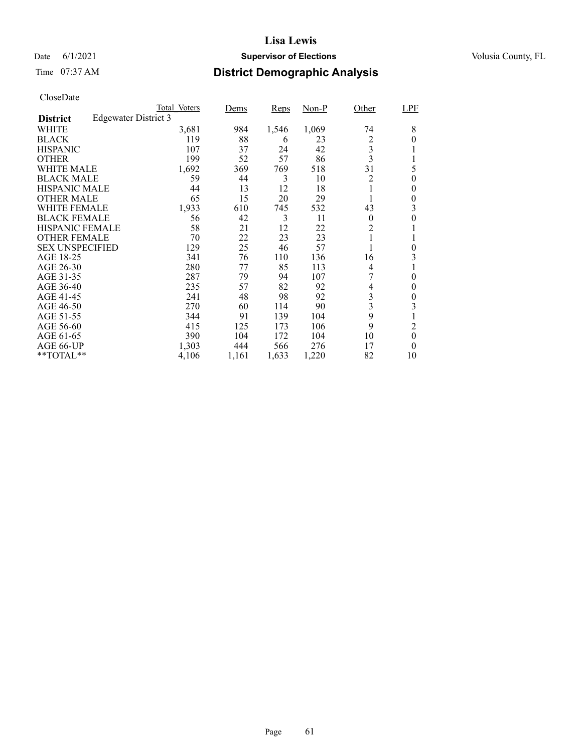### Date 6/1/2021 **Supervisor of Elections Supervisor of Elections** Volusia County, FL

# Time 07:37 AM **District Demographic Analysis**

|                        |                             | Total Voters | Dems  | Reps  | Non-P | Other                   | LPF            |
|------------------------|-----------------------------|--------------|-------|-------|-------|-------------------------|----------------|
| <b>District</b>        | <b>Edgewater District 3</b> |              |       |       |       |                         |                |
| WHITE                  |                             | 3,681        | 984   | 1,546 | 1,069 | 74                      | 8              |
| <b>BLACK</b>           |                             | 119          | 88    | 6     | 23    | 2                       | $\theta$       |
| <b>HISPANIC</b>        |                             | 107          | 37    | 24    | 42    | 3                       |                |
| <b>OTHER</b>           |                             | 199          | 52    | 57    | 86    | $\overline{\mathbf{3}}$ | 1              |
| WHITE MALE             |                             | 1,692        | 369   | 769   | 518   | 31                      | 5              |
| <b>BLACK MALE</b>      |                             | 59           | 44    | 3     | 10    | 2                       | 0              |
| <b>HISPANIC MALE</b>   |                             | 44           | 13    | 12    | 18    |                         | 0              |
| <b>OTHER MALE</b>      |                             | 65           | 15    | 20    | 29    |                         | 0              |
| WHITE FEMALE           |                             | 1,933        | 610   | 745   | 532   | 43                      | 3              |
| <b>BLACK FEMALE</b>    |                             | 56           | 42    | 3     | 11    | $\theta$                | 0              |
| HISPANIC FEMALE        |                             | 58           | 21    | 12    | 22    | $\overline{c}$          |                |
| <b>OTHER FEMALE</b>    |                             | 70           | 22    | 23    | 23    | 1                       |                |
| <b>SEX UNSPECIFIED</b> |                             | 129          | 25    | 46    | 57    |                         | $\overline{0}$ |
| AGE 18-25              |                             | 341          | 76    | 110   | 136   | 16                      | 3              |
| AGE 26-30              |                             | 280          | 77    | 85    | 113   | 4                       |                |
| AGE 31-35              |                             | 287          | 79    | 94    | 107   | 7                       | $\theta$       |
| AGE 36-40              |                             | 235          | 57    | 82    | 92    | 4                       | $\theta$       |
| AGE 41-45              |                             | 241          | 48    | 98    | 92    | 3                       | 0              |
| AGE 46-50              |                             | 270          | 60    | 114   | 90    | 3                       | 3              |
| AGE 51-55              |                             | 344          | 91    | 139   | 104   | 9                       |                |
| AGE 56-60              |                             | 415          | 125   | 173   | 106   | 9                       | 2              |
| AGE 61-65              |                             | 390          | 104   | 172   | 104   | 10                      | $\theta$       |
| AGE 66-UP              |                             | 1,303        | 444   | 566   | 276   | 17                      | $\theta$       |
| **TOTAL**              |                             | 4,106        | 1,161 | 1,633 | 1,220 | 82                      | 10             |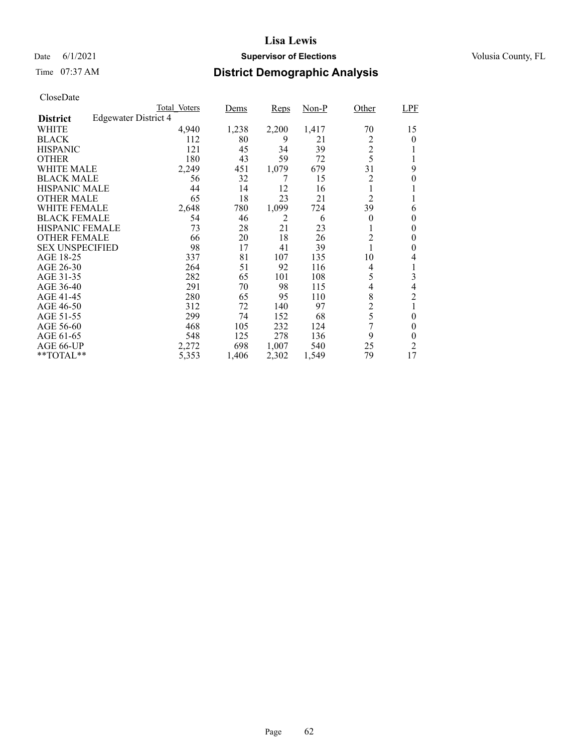### Date 6/1/2021 **Supervisor of Elections Supervisor of Elections** Volusia County, FL

# Time 07:37 AM **District Demographic Analysis**

|                        |                             | Total Voters | Dems  | Reps  | Non-P | Other          | LPF            |
|------------------------|-----------------------------|--------------|-------|-------|-------|----------------|----------------|
| <b>District</b>        | <b>Edgewater District 4</b> |              |       |       |       |                |                |
| WHITE                  |                             | 4,940        | 1,238 | 2,200 | 1,417 | 70             | 15             |
| <b>BLACK</b>           |                             | 112          | 80    | 9     | 21    | 2              | $\theta$       |
| <b>HISPANIC</b>        |                             | 121          | 45    | 34    | 39    | $\overline{c}$ |                |
| <b>OTHER</b>           |                             | 180          | 43    | 59    | 72    | 5              |                |
| WHITE MALE             |                             | 2,249        | 451   | 1,079 | 679   | 31             | 9              |
| <b>BLACK MALE</b>      |                             | 56           | 32    | 7     | 15    | 2              | 0              |
| <b>HISPANIC MALE</b>   |                             | 44           | 14    | 12    | 16    | 1              |                |
| <b>OTHER MALE</b>      |                             | 65           | 18    | 23    | 21    | $\overline{2}$ |                |
| WHITE FEMALE           |                             | 2,648        | 780   | 1,099 | 724   | 39             | 6              |
| <b>BLACK FEMALE</b>    |                             | 54           | 46    | 2     | 6     | $\theta$       | $\theta$       |
| HISPANIC FEMALE        |                             | 73           | 28    | 21    | 23    | 1              | 0              |
| <b>OTHER FEMALE</b>    |                             | 66           | 20    | 18    | 26    | 2              | 0              |
| <b>SEX UNSPECIFIED</b> |                             | 98           | 17    | 41    | 39    | $\mathbf{1}$   | 0              |
| AGE 18-25              |                             | 337          | 81    | 107   | 135   | 10             | 4              |
| AGE 26-30              |                             | 264          | 51    | 92    | 116   | 4              |                |
| AGE 31-35              |                             | 282          | 65    | 101   | 108   | 5              | 3              |
| AGE 36-40              |                             | 291          | 70    | 98    | 115   | 4              | 4              |
| AGE 41-45              |                             | 280          | 65    | 95    | 110   | 8              | $\overline{2}$ |
| AGE 46-50              |                             | 312          | 72    | 140   | 97    | $\overline{c}$ |                |
| AGE 51-55              |                             | 299          | 74    | 152   | 68    | 5              | 0              |
| AGE 56-60              |                             | 468          | 105   | 232   | 124   | 7              | $\theta$       |
| AGE 61-65              |                             | 548          | 125   | 278   | 136   | 9              | 0              |
| AGE 66-UP              |                             | 2,272        | 698   | 1,007 | 540   | 25             | $\overline{2}$ |
| **TOTAL**              |                             | 5,353        | 1,406 | 2,302 | 1,549 | 79             | 17             |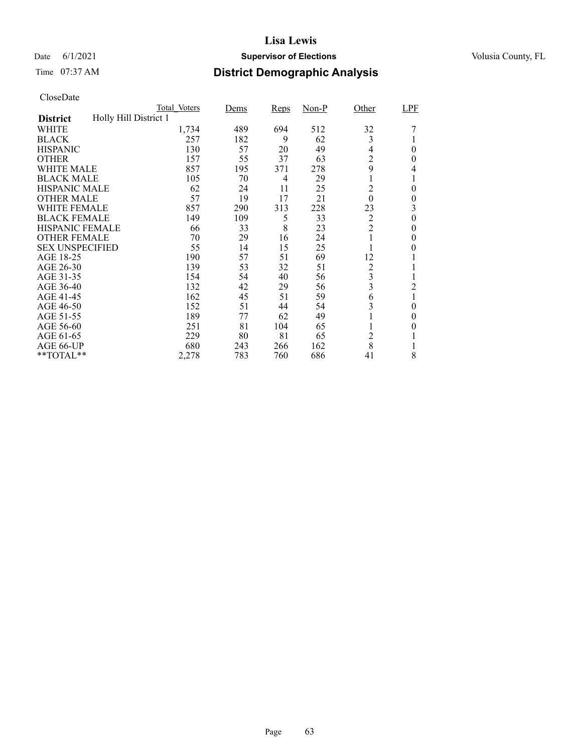### Date 6/1/2021 **Supervisor of Elections Supervisor of Elections** Volusia County, FL

# Time 07:37 AM **District Demographic Analysis**

|                        |                       | Total Voters | Dems | <b>Reps</b> | $Non-P$ | Other            | LPF            |
|------------------------|-----------------------|--------------|------|-------------|---------|------------------|----------------|
| <b>District</b>        | Holly Hill District 1 |              |      |             |         |                  |                |
| WHITE                  |                       | 1,734        | 489  | 694         | 512     | 32               |                |
| <b>BLACK</b>           |                       | 257          | 182  | 9           | 62      | 3                |                |
| <b>HISPANIC</b>        |                       | 130          | 57   | 20          | 49      | 4                | $\theta$       |
| <b>OTHER</b>           |                       | 157          | 55   | 37          | 63      | $\overline{c}$   | 0              |
| WHITE MALE             |                       | 857          | 195  | 371         | 278     | 9                | 4              |
| <b>BLACK MALE</b>      |                       | 105          | 70   | 4           | 29      |                  | 1              |
| <b>HISPANIC MALE</b>   |                       | 62           | 24   | 11          | 25      | $\overline{c}$   | 0              |
| <b>OTHER MALE</b>      |                       | 57           | 19   | 17          | 21      | $\boldsymbol{0}$ | $\theta$       |
| WHITE FEMALE           |                       | 857          | 290  | 313         | 228     | 23               | 3              |
| <b>BLACK FEMALE</b>    |                       | 149          | 109  | 5           | 33      | $\overline{2}$   | $\theta$       |
| <b>HISPANIC FEMALE</b> |                       | 66           | 33   | 8           | 23      | $\overline{2}$   | 0              |
| <b>OTHER FEMALE</b>    |                       | 70           | 29   | 16          | 24      |                  | 0              |
| <b>SEX UNSPECIFIED</b> |                       | 55           | 14   | 15          | 25      |                  | $\mathbf{0}$   |
| AGE 18-25              |                       | 190          | 57   | 51          | 69      | 12               |                |
| AGE 26-30              |                       | 139          | 53   | 32          | 51      | $\overline{c}$   |                |
| AGE 31-35              |                       | 154          | 54   | 40          | 56      | 3                | T              |
| AGE 36-40              |                       | 132          | 42   | 29          | 56      | 3                | $\overline{c}$ |
| AGE 41-45              |                       | 162          | 45   | 51          | 59      | 6                | 1              |
| AGE 46-50              |                       | 152          | 51   | 44          | 54      | 3                | $\theta$       |
| AGE 51-55              |                       | 189          | 77   | 62          | 49      |                  | 0              |
| AGE 56-60              |                       | 251          | 81   | 104         | 65      |                  | 0              |
| AGE 61-65              |                       | 229          | 80   | 81          | 65      | $\overline{c}$   |                |
| AGE 66-UP              |                       | 680          | 243  | 266         | 162     | 8                |                |
| **TOTAL**              |                       | 2,278        | 783  | 760         | 686     | 41               | 8              |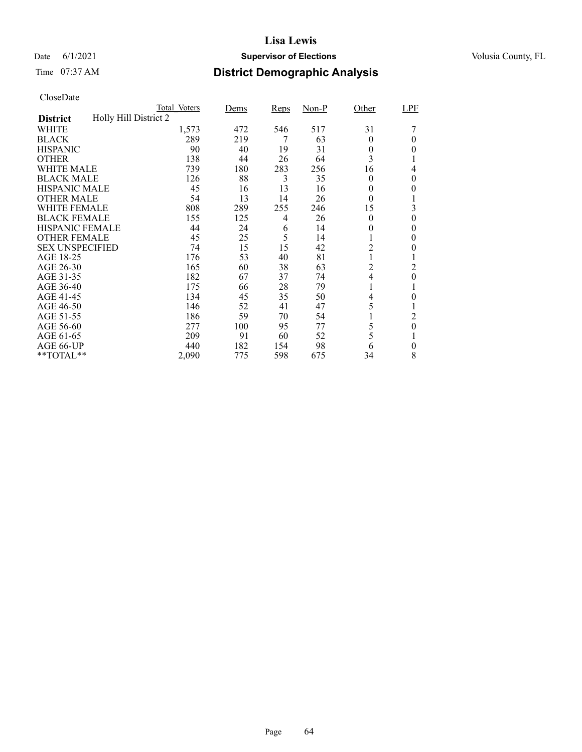### Date 6/1/2021 **Supervisor of Elections Supervisor of Elections** Volusia County, FL

# Time 07:37 AM **District Demographic Analysis**

|                        |                       | Total Voters | Dems | Reps | $Non-P$ | Other    | LPF            |
|------------------------|-----------------------|--------------|------|------|---------|----------|----------------|
| <b>District</b>        | Holly Hill District 2 |              |      |      |         |          |                |
| WHITE                  |                       | 1,573        | 472  | 546  | 517     | 31       |                |
| <b>BLACK</b>           |                       | 289          | 219  | 7    | 63      | $\theta$ | 0              |
| <b>HISPANIC</b>        |                       | 90           | 40   | 19   | 31      | 0        | 0              |
| <b>OTHER</b>           |                       | 138          | 44   | 26   | 64      | 3        |                |
| WHITE MALE             |                       | 739          | 180  | 283  | 256     | 16       | 4              |
| <b>BLACK MALE</b>      |                       | 126          | 88   | 3    | 35      | $\theta$ | 0              |
| <b>HISPANIC MALE</b>   |                       | 45           | 16   | 13   | 16      | 0        | 0              |
| <b>OTHER MALE</b>      |                       | 54           | 13   | 14   | 26      | $\theta$ |                |
| WHITE FEMALE           |                       | 808          | 289  | 255  | 246     | 15       | 3              |
| <b>BLACK FEMALE</b>    |                       | 155          | 125  | 4    | 26      | $\theta$ | $\theta$       |
| <b>HISPANIC FEMALE</b> |                       | 44           | 24   | 6    | 14      | 0        | 0              |
| <b>OTHER FEMALE</b>    |                       | 45           | 25   | 5    | 14      |          | 0              |
| <b>SEX UNSPECIFIED</b> |                       | 74           | 15   | 15   | 42      | 2        | 0              |
| AGE 18-25              |                       | 176          | 53   | 40   | 81      |          |                |
| AGE 26-30              |                       | 165          | 60   | 38   | 63      | 2        | 2              |
| AGE 31-35              |                       | 182          | 67   | 37   | 74      | 4        | 0              |
| AGE 36-40              |                       | 175          | 66   | 28   | 79      |          |                |
| AGE 41-45              |                       | 134          | 45   | 35   | 50      | 4        | 0              |
| AGE 46-50              |                       | 146          | 52   | 41   | 47      | 5        |                |
| AGE 51-55              |                       | 186          | 59   | 70   | 54      |          | 2              |
| AGE 56-60              |                       | 277          | 100  | 95   | 77      | 5        | $\overline{0}$ |
| AGE 61-65              |                       | 209          | 91   | 60   | 52      | 5        |                |
| AGE 66-UP              |                       | 440          | 182  | 154  | 98      | 6        | 0              |
| **TOTAL**              |                       | 2,090        | 775  | 598  | 675     | 34       | 8              |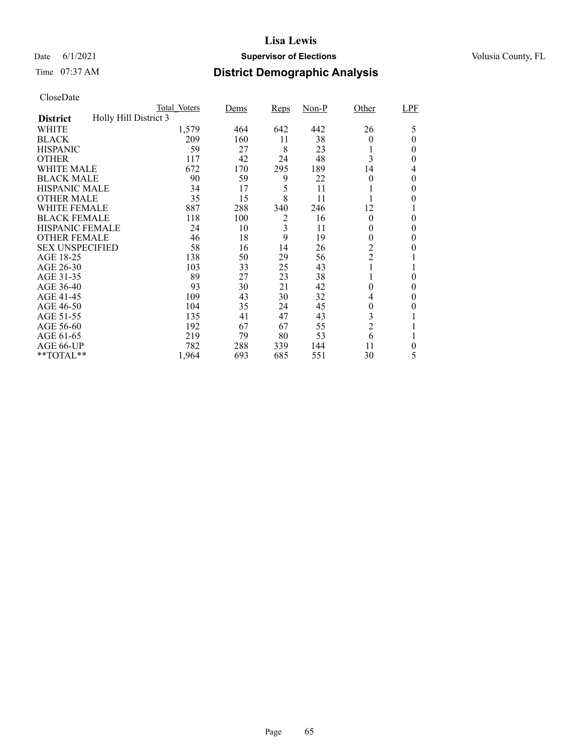### Date 6/1/2021 **Supervisor of Elections Supervisor of Elections** Volusia County, FL

# Time 07:37 AM **District Demographic Analysis**

|                        |                       | Total Voters | Dems | <b>Reps</b> | $Non-P$ | Other          | LPF      |
|------------------------|-----------------------|--------------|------|-------------|---------|----------------|----------|
| <b>District</b>        | Holly Hill District 3 |              |      |             |         |                |          |
| WHITE                  |                       | 1,579        | 464  | 642         | 442     | 26             | 5        |
| <b>BLACK</b>           |                       | 209          | 160  | 11          | 38      | 0              | $\Omega$ |
| <b>HISPANIC</b>        |                       | 59           | 27   | 8           | 23      |                | 0        |
| <b>OTHER</b>           |                       | 117          | 42   | 24          | 48      | 3              | 0        |
| WHITE MALE             |                       | 672          | 170  | 295         | 189     | 14             | 4        |
| <b>BLACK MALE</b>      |                       | 90           | 59   | 9           | 22      | $\theta$       | $\theta$ |
| <b>HISPANIC MALE</b>   |                       | 34           | 17   | 5           | 11      |                | 0        |
| <b>OTHER MALE</b>      |                       | 35           | 15   | 8           | 11      |                | 0        |
| WHITE FEMALE           |                       | 887          | 288  | 340         | 246     | 12             |          |
| <b>BLACK FEMALE</b>    |                       | 118          | 100  | 2           | 16      | $\theta$       | $\theta$ |
| <b>HISPANIC FEMALE</b> |                       | 24           | 10   | 3           | 11      | 0              | 0        |
| <b>OTHER FEMALE</b>    |                       | 46           | 18   | 9           | 19      | $\theta$       | 0        |
| <b>SEX UNSPECIFIED</b> |                       | 58           | 16   | 14          | 26      | $\overline{c}$ | $_{0}$   |
| AGE 18-25              |                       | 138          | 50   | 29          | 56      | $\overline{c}$ |          |
| AGE 26-30              |                       | 103          | 33   | 25          | 43      |                |          |
| AGE 31-35              |                       | 89           | 27   | 23          | 38      |                | 0        |
| AGE 36-40              |                       | 93           | 30   | 21          | 42      | $\theta$       | 0        |
| AGE 41-45              |                       | 109          | 43   | 30          | 32      | 4              | 0        |
| AGE 46-50              |                       | 104          | 35   | 24          | 45      | 0              | 0        |
| AGE 51-55              |                       | 135          | 41   | 47          | 43      | 3              |          |
| AGE 56-60              |                       | 192          | 67   | 67          | 55      | $\overline{2}$ |          |
| AGE 61-65              |                       | 219          | 79   | 80          | 53      | 6              |          |
| AGE 66-UP              |                       | 782          | 288  | 339         | 144     | 11             | 0        |
| **TOTAL**              |                       | 1,964        | 693  | 685         | 551     | 30             | 5        |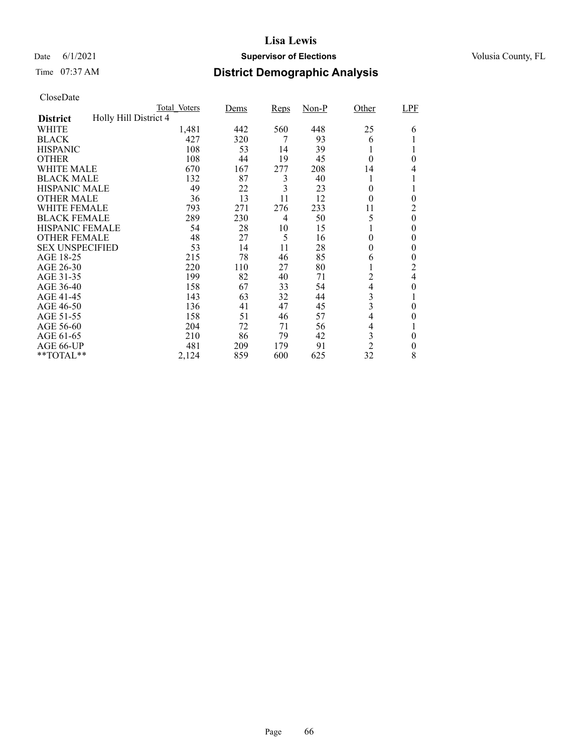### Date 6/1/2021 **Supervisor of Elections Supervisor of Elections** Volusia County, FL

# Time 07:37 AM **District Demographic Analysis**

|                        |                       | Total Voters | Dems | Reps | $Non-P$ | Other          | LPF            |
|------------------------|-----------------------|--------------|------|------|---------|----------------|----------------|
| <b>District</b>        | Holly Hill District 4 |              |      |      |         |                |                |
| WHITE                  |                       | 1,481        | 442  | 560  | 448     | 25             | 6              |
| <b>BLACK</b>           |                       | 427          | 320  | 7    | 93      | 6              |                |
| <b>HISPANIC</b>        |                       | 108          | 53   | 14   | 39      |                |                |
| <b>OTHER</b>           |                       | 108          | 44   | 19   | 45      | $\theta$       | $\theta$       |
| WHITE MALE             |                       | 670          | 167  | 277  | 208     | 14             | 4              |
| <b>BLACK MALE</b>      |                       | 132          | 87   | 3    | 40      |                |                |
| <b>HISPANIC MALE</b>   |                       | 49           | 22   | 3    | 23      | $\theta$       |                |
| <b>OTHER MALE</b>      |                       | 36           | 13   | 11   | 12      | $\theta$       | $\theta$       |
| WHITE FEMALE           |                       | 793          | 271  | 276  | 233     | 11             | 2              |
| <b>BLACK FEMALE</b>    |                       | 289          | 230  | 4    | 50      | 5              | $\overline{0}$ |
| <b>HISPANIC FEMALE</b> |                       | 54           | 28   | 10   | 15      |                | 0              |
| <b>OTHER FEMALE</b>    |                       | 48           | 27   | 5    | 16      | $\theta$       | $\theta$       |
| <b>SEX UNSPECIFIED</b> |                       | 53           | 14   | 11   | 28      | $\theta$       | $\theta$       |
| AGE 18-25              |                       | 215          | 78   | 46   | 85      | 6              | 0              |
| AGE 26-30              |                       | 220          | 110  | 27   | 80      | $\mathbf{I}$   | $\overline{c}$ |
| AGE 31-35              |                       | 199          | 82   | 40   | 71      | 2              | 4              |
| AGE 36-40              |                       | 158          | 67   | 33   | 54      | 4              | 0              |
| AGE 41-45              |                       | 143          | 63   | 32   | 44      | 3              |                |
| AGE 46-50              |                       | 136          | 41   | 47   | 45      | 3              | $\theta$       |
| AGE 51-55              |                       | 158          | 51   | 46   | 57      | 4              | 0              |
| AGE 56-60              |                       | 204          | 72   | 71   | 56      | 4              |                |
| AGE 61-65              |                       | 210          | 86   | 79   | 42      | 3              | 0              |
| AGE 66-UP              |                       | 481          | 209  | 179  | 91      | $\overline{2}$ | 0              |
| **TOTAL**              |                       | 2,124        | 859  | 600  | 625     | 32             | 8              |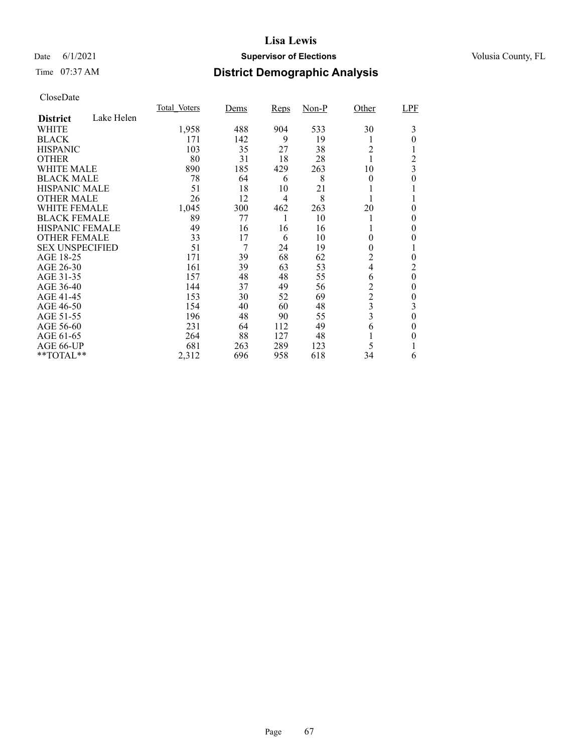### Date 6/1/2021 **Supervisor of Elections Supervisor of Elections** Volusia County, FL

# Time 07:37 AM **District Demographic Analysis**

|                        |            | Total Voters | Dems | Reps           | $Non-P$ | Other          | LPF            |
|------------------------|------------|--------------|------|----------------|---------|----------------|----------------|
| <b>District</b>        | Lake Helen |              |      |                |         |                |                |
| WHITE                  |            | 1,958        | 488  | 904            | 533     | 30             | 3              |
| <b>BLACK</b>           |            | 171          | 142  | 9              | 19      |                | 0              |
| <b>HISPANIC</b>        |            | 103          | 35   | 27             | 38      | $\overline{c}$ |                |
| <b>OTHER</b>           |            | 80           | 31   | 18             | 28      |                | 2              |
| WHITE MALE             |            | 890          | 185  | 429            | 263     | 10             | 3              |
| <b>BLACK MALE</b>      |            | 78           | 64   | 6              | 8       | $\theta$       | 0              |
| <b>HISPANIC MALE</b>   |            | 51           | 18   | 10             | 21      |                |                |
| <b>OTHER MALE</b>      |            | 26           | 12   | $\overline{4}$ | 8       |                |                |
| <b>WHITE FEMALE</b>    |            | 1,045        | 300  | 462            | 263     | 20             | 0              |
| <b>BLACK FEMALE</b>    |            | 89           | 77   |                | 10      |                | 0              |
| HISPANIC FEMALE        |            | 49           | 16   | 16             | 16      |                | 0              |
| <b>OTHER FEMALE</b>    |            | 33           | 17   | 6              | 10      | $\theta$       | 0              |
| <b>SEX UNSPECIFIED</b> |            | 51           | 7    | 24             | 19      | $\theta$       |                |
| AGE 18-25              |            | 171          | 39   | 68             | 62      | 2              | 0              |
| AGE 26-30              |            | 161          | 39   | 63             | 53      | 4              | 2              |
| AGE 31-35              |            | 157          | 48   | 48             | 55      | 6              | $\overline{0}$ |
| AGE 36-40              |            | 144          | 37   | 49             | 56      | $\overline{c}$ | 0              |
| AGE 41-45              |            | 153          | 30   | 52             | 69      | $\overline{c}$ | 0              |
| AGE 46-50              |            | 154          | 40   | 60             | 48      | 3              | 3              |
| AGE 51-55              |            | 196          | 48   | 90             | 55      | 3              | $\theta$       |
| AGE 56-60              |            | 231          | 64   | 112            | 49      | 6              | 0              |
| AGE 61-65              |            | 264          | 88   | 127            | 48      |                | 0              |
| AGE 66-UP              |            | 681          | 263  | 289            | 123     | 5              |                |
| **TOTAL**              |            | 2,312        | 696  | 958            | 618     | 34             | 6              |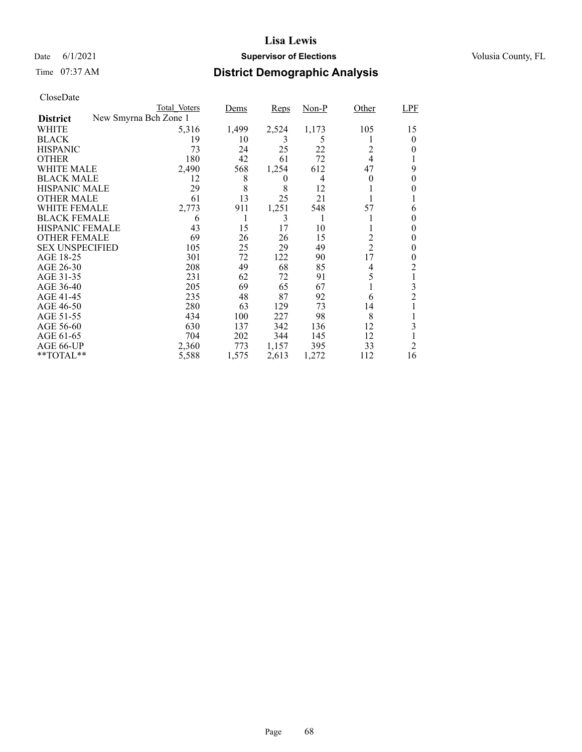### Date 6/1/2021 **Supervisor of Elections Supervisor of Elections** Volusia County, FL

# Time 07:37 AM **District Demographic Analysis**

|                        | Total Voters          | Dems  | Reps           | $Non-P$ | Other          | LPF            |
|------------------------|-----------------------|-------|----------------|---------|----------------|----------------|
| <b>District</b>        | New Smyrna Bch Zone 1 |       |                |         |                |                |
| WHITE                  | 5,316                 | 1,499 | 2,524          | 1,173   | 105            | 15             |
| <b>BLACK</b>           | 19                    | 10    | 3              | 5       |                | 0              |
| <b>HISPANIC</b>        | 73                    | 24    | 25             | 22      | 2              | 0              |
| <b>OTHER</b>           | 180                   | 42    | 61             | 72      | 4              |                |
| WHITE MALE             | 2,490                 | 568   | 1,254          | 612     | 47             | 9              |
| <b>BLACK MALE</b>      | 12                    | 8     | $\overline{0}$ | 4       | 0              | 0              |
| <b>HISPANIC MALE</b>   | 29                    | 8     | 8              | 12      |                |                |
| <b>OTHER MALE</b>      | 61                    | 13    | 25             | 21      |                |                |
| WHITE FEMALE           | 2,773                 | 911   | 1,251          | 548     | 57             | 6              |
| <b>BLACK FEMALE</b>    | 6                     |       | 3              |         |                | 0              |
| <b>HISPANIC FEMALE</b> | 43                    | 15    | 17             | 10      |                | 0              |
| <b>OTHER FEMALE</b>    | 69                    | 26    | 26             | 15      | 2              | 0              |
| <b>SEX UNSPECIFIED</b> | 105                   | 25    | 29             | 49      | $\overline{2}$ | 0              |
| AGE 18-25              | 301                   | 72    | 122            | 90      | 17             | 0              |
| AGE 26-30              | 208                   | 49    | 68             | 85      | 4              | 2              |
| AGE 31-35              | 231                   | 62    | 72             | 91      | 5              |                |
| AGE 36-40              | 205                   | 69    | 65             | 67      |                | 3              |
| AGE 41-45              | 235                   | 48    | 87             | 92      | 6              | $\overline{c}$ |
| AGE 46-50              | 280                   | 63    | 129            | 73      | 14             |                |
| AGE 51-55              | 434                   | 100   | 227            | 98      | 8              |                |
| AGE 56-60              | 630                   | 137   | 342            | 136     | 12             | 3              |
| AGE 61-65              | 704                   | 202   | 344            | 145     | 12             |                |
| AGE 66-UP              | 2,360                 | 773   | 1,157          | 395     | 33             | 2              |
| **TOTAL**              | 5,588                 | 1,575 | 2,613          | 1,272   | 112            | 16             |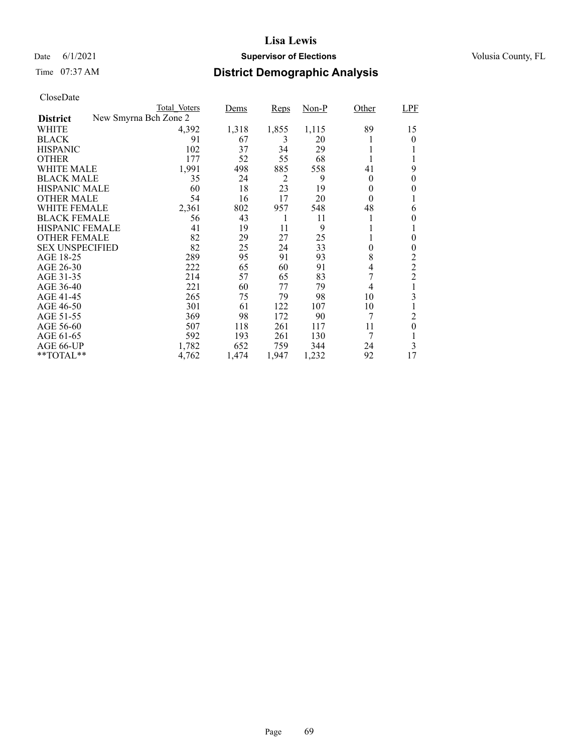### Date 6/1/2021 **Supervisor of Elections Supervisor of Elections** Volusia County, FL

# Time 07:37 AM **District Demographic Analysis**

|                        |                       | Total Voters | Dems  | Reps           | Non-P | Other          | LPF            |
|------------------------|-----------------------|--------------|-------|----------------|-------|----------------|----------------|
| <b>District</b>        | New Smyrna Bch Zone 2 |              |       |                |       |                |                |
| WHITE                  |                       | 4,392        | 1,318 | 1,855          | 1,115 | 89             | 15             |
| <b>BLACK</b>           |                       | 91           | 67    | 3              | 20    |                | $\theta$       |
| <b>HISPANIC</b>        |                       | 102          | 37    | 34             | 29    | 1              |                |
| <b>OTHER</b>           |                       | 177          | 52    | 55             | 68    |                |                |
| WHITE MALE             |                       | 1,991        | 498   | 885            | 558   | 41             | 9              |
| <b>BLACK MALE</b>      |                       | 35           | 24    | $\overline{c}$ | 9     | $\theta$       | 0              |
| <b>HISPANIC MALE</b>   |                       | 60           | 18    | 23             | 19    | 0              | 0              |
| <b>OTHER MALE</b>      |                       | 54           | 16    | 17             | 20    | $\theta$       |                |
| WHITE FEMALE           |                       | 2,361        | 802   | 957            | 548   | 48             | 6              |
| <b>BLACK FEMALE</b>    |                       | 56           | 43    | 1              | 11    |                | 0              |
| <b>HISPANIC FEMALE</b> |                       | 41           | 19    | 11             | 9     |                |                |
| <b>OTHER FEMALE</b>    |                       | 82           | 29    | 27             | 25    |                | 0              |
| <b>SEX UNSPECIFIED</b> |                       | 82           | 25    | 24             | 33    | $\overline{0}$ | 0              |
| AGE 18-25              |                       | 289          | 95    | 91             | 93    | 8              | 2              |
| AGE 26-30              |                       | 222          | 65    | 60             | 91    | 4              | $\mathfrak 2$  |
| AGE 31-35              |                       | 214          | 57    | 65             | 83    | 7              | $\overline{2}$ |
| AGE 36-40              |                       | 221          | 60    | 77             | 79    | 4              |                |
| AGE 41-45              |                       | 265          | 75    | 79             | 98    | 10             | 3              |
| AGE 46-50              |                       | 301          | 61    | 122            | 107   | 10             |                |
| AGE 51-55              |                       | 369          | 98    | 172            | 90    | 7              | 2              |
| AGE 56-60              |                       | 507          | 118   | 261            | 117   | 11             | $\theta$       |
| AGE 61-65              |                       | 592          | 193   | 261            | 130   | 7              |                |
| AGE 66-UP              |                       | 1,782        | 652   | 759            | 344   | 24             | 3              |
| **TOTAL**              |                       | 4,762        | 1,474 | 1,947          | 1,232 | 92             | 17             |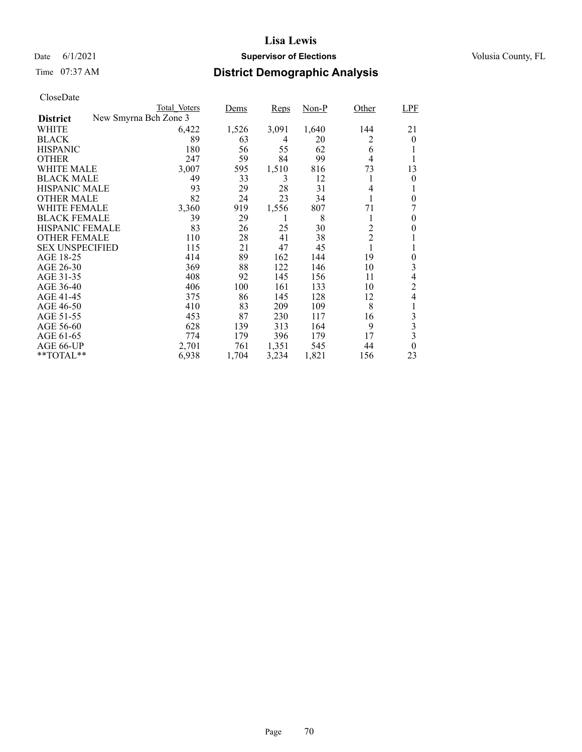### Date 6/1/2021 **Supervisor of Elections Supervisor of Elections** Volusia County, FL

# Time 07:37 AM **District Demographic Analysis**

|                        |                       | Total Voters | Dems  | Reps  | $Non-P$ | Other          | <b>LPF</b>     |
|------------------------|-----------------------|--------------|-------|-------|---------|----------------|----------------|
| <b>District</b>        | New Smyrna Bch Zone 3 |              |       |       |         |                |                |
| WHITE                  |                       | 6,422        | 1,526 | 3,091 | 1,640   | 144            | 21             |
| <b>BLACK</b>           |                       | 89           | 63    | 4     | 20      | 2              | $\overline{0}$ |
| <b>HISPANIC</b>        |                       | 180          | 56    | 55    | 62      | 6              |                |
| <b>OTHER</b>           |                       | 247          | 59    | 84    | 99      | 4              | 1              |
| WHITE MALE             |                       | 3,007        | 595   | 1,510 | 816     | 73             | 13             |
| <b>BLACK MALE</b>      |                       | 49           | 33    | 3     | 12      | 1              | 0              |
| HISPANIC MALE          |                       | 93           | 29    | 28    | 31      | 4              |                |
| <b>OTHER MALE</b>      |                       | 82           | 24    | 23    | 34      |                | $\theta$       |
| WHITE FEMALE           |                       | 3,360        | 919   | 1,556 | 807     | 71             |                |
| <b>BLACK FEMALE</b>    |                       | 39           | 29    | 1     | 8       | 1              | 0              |
| <b>HISPANIC FEMALE</b> |                       | 83           | 26    | 25    | 30      | $\overline{2}$ | 0              |
| <b>OTHER FEMALE</b>    |                       | 110          | 28    | 41    | 38      | $\overline{c}$ |                |
| <b>SEX UNSPECIFIED</b> |                       | 115          | 21    | 47    | 45      | 1              | 1              |
| AGE 18-25              |                       | 414          | 89    | 162   | 144     | 19             | 0              |
| AGE 26-30              |                       | 369          | 88    | 122   | 146     | 10             | 3              |
| AGE 31-35              |                       | 408          | 92    | 145   | 156     | 11             | 4              |
| AGE 36-40              |                       | 406          | 100   | 161   | 133     | 10             | $\overline{c}$ |
| AGE 41-45              |                       | 375          | 86    | 145   | 128     | 12             | 4              |
| AGE 46-50              |                       | 410          | 83    | 209   | 109     | 8              |                |
| AGE 51-55              |                       | 453          | 87    | 230   | 117     | 16             | 3              |
| AGE 56-60              |                       | 628          | 139   | 313   | 164     | 9              | 3              |
| AGE 61-65              |                       | 774          | 179   | 396   | 179     | 17             | 3              |
| AGE 66-UP              |                       | 2,701        | 761   | 1,351 | 545     | 44             | $\theta$       |
| $*$ $TOTAL**$          |                       | 6,938        | 1,704 | 3,234 | 1,821   | 156            | 23             |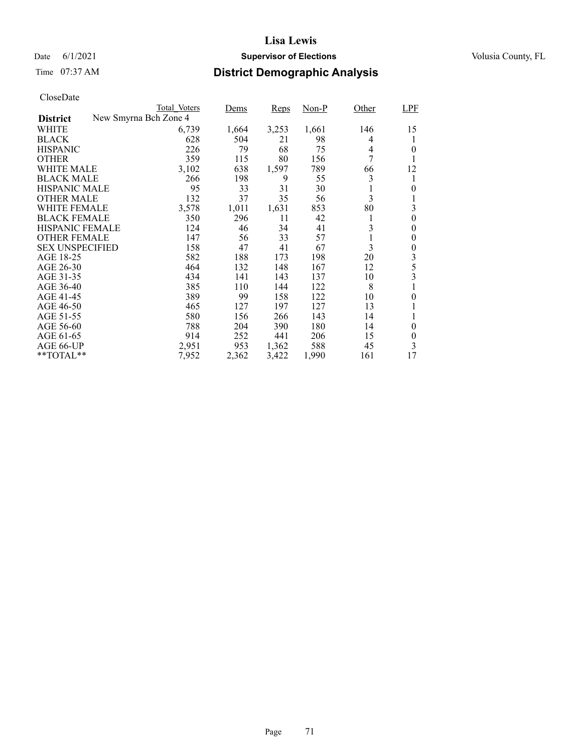### Date 6/1/2021 **Supervisor of Elections Supervisor of Elections** Volusia County, FL

# Time 07:37 AM **District Demographic Analysis**

| CloseDate |
|-----------|
|-----------|

|                        |                       | Total Voters | Dems  | Reps  | Non-P | Other | <b>LPF</b>              |
|------------------------|-----------------------|--------------|-------|-------|-------|-------|-------------------------|
| <b>District</b>        | New Smyrna Bch Zone 4 |              |       |       |       |       |                         |
| WHITE                  |                       | 6,739        | 1,664 | 3,253 | 1,661 | 146   | 15                      |
| <b>BLACK</b>           |                       | 628          | 504   | 21    | 98    | 4     |                         |
| <b>HISPANIC</b>        |                       | 226          | 79    | 68    | 75    | 4     | 0                       |
| <b>OTHER</b>           |                       | 359          | 115   | 80    | 156   | 7     |                         |
| WHITE MALE             |                       | 3,102        | 638   | 1,597 | 789   | 66    | 12                      |
| <b>BLACK MALE</b>      |                       | 266          | 198   | 9     | 55    | 3     |                         |
| <b>HISPANIC MALE</b>   |                       | 95           | 33    | 31    | 30    |       | 0                       |
| <b>OTHER MALE</b>      |                       | 132          | 37    | 35    | 56    | 3     |                         |
| <b>WHITE FEMALE</b>    |                       | 3,578        | 1,011 | 1,631 | 853   | 80    | 3                       |
| <b>BLACK FEMALE</b>    |                       | 350          | 296   | 11    | 42    | 1     | $\theta$                |
| HISPANIC FEMALE        |                       | 124          | 46    | 34    | 41    | 3     | $\theta$                |
| <b>OTHER FEMALE</b>    |                       | 147          | 56    | 33    | 57    | 1     | $\theta$                |
| <b>SEX UNSPECIFIED</b> |                       | 158          | 47    | 41    | 67    | 3     | $\theta$                |
| AGE 18-25              |                       | 582          | 188   | 173   | 198   | 20    | 3                       |
| AGE 26-30              |                       | 464          | 132   | 148   | 167   | 12    | 5                       |
| AGE 31-35              |                       | 434          | 141   | 143   | 137   | 10    | $\overline{\mathbf{3}}$ |
| AGE 36-40              |                       | 385          | 110   | 144   | 122   | 8     |                         |
| AGE 41-45              |                       | 389          | 99    | 158   | 122   | 10    | 0                       |
| AGE 46-50              |                       | 465          | 127   | 197   | 127   | 13    |                         |
| AGE 51-55              |                       | 580          | 156   | 266   | 143   | 14    |                         |
| AGE 56-60              |                       | 788          | 204   | 390   | 180   | 14    | $\overline{0}$          |
| AGE 61-65              |                       | 914          | 252   | 441   | 206   | 15    | $\boldsymbol{0}$        |
| AGE 66-UP              |                       | 2,951        | 953   | 1,362 | 588   | 45    | 3                       |
| **TOTAL**              |                       | 7,952        | 2,362 | 3,422 | 1,990 | 161   | 17                      |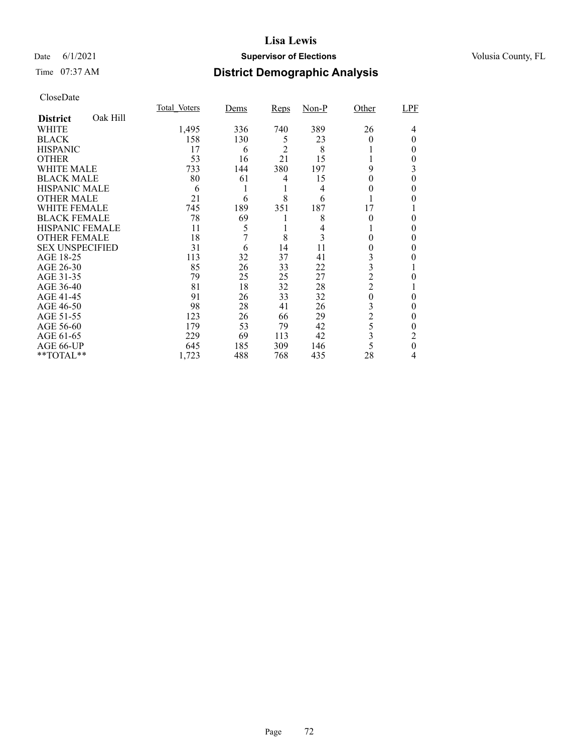### Date 6/1/2021 **Supervisor of Elections Supervisor of Elections** Volusia County, FL

# Time 07:37 AM **District Demographic Analysis**

|                        |          | Total Voters | Dems | Reps           | $Non-P$ | Other          | LPF |
|------------------------|----------|--------------|------|----------------|---------|----------------|-----|
| <b>District</b>        | Oak Hill |              |      |                |         |                |     |
| WHITE                  |          | 1,495        | 336  | 740            | 389     | 26             | 4   |
| <b>BLACK</b>           |          | 158          | 130  | 5              | 23      | 0              | 0   |
| <b>HISPANIC</b>        |          | 17           | 6    | $\mathfrak{D}$ | 8       |                | 0   |
| <b>OTHER</b>           |          | 53           | 16   | 21             | 15      |                | 0   |
| WHITE MALE             |          | 733          | 144  | 380            | 197     | 9              | 3   |
| <b>BLACK MALE</b>      |          | 80           | 61   | 4              | 15      | 0              | 0   |
| <b>HISPANIC MALE</b>   |          | 6            |      |                | 4       | 0              | 0   |
| <b>OTHER MALE</b>      |          | 21           | 6    | 8              | 6       |                | 0   |
| <b>WHITE FEMALE</b>    |          | 745          | 189  | 351            | 187     | 17             |     |
| <b>BLACK FEMALE</b>    |          | 78           | 69   |                | 8       | $\theta$       | 0   |
| <b>HISPANIC FEMALE</b> |          | 11           | 5    |                | 4       |                | 0   |
| <b>OTHER FEMALE</b>    |          | 18           | 7    | 8              | 3       | 0              | 0   |
| <b>SEX UNSPECIFIED</b> |          | 31           | 6    | 14             | 11      | 0              | 0   |
| AGE 18-25              |          | 113          | 32   | 37             | 41      | 3              |     |
| AGE 26-30              |          | 85           | 26   | 33             | 22      | 3              |     |
| AGE 31-35              |          | 79           | 25   | 25             | 27      | $\overline{2}$ | 0   |
| AGE 36-40              |          | 81           | 18   | 32             | 28      | $\overline{c}$ |     |
| AGE 41-45              |          | 91           | 26   | 33             | 32      | $\theta$       | 0   |
| AGE 46-50              |          | 98           | 28   | 41             | 26      | 3              | 0   |
| AGE 51-55              |          | 123          | 26   | 66             | 29      | $\overline{c}$ | 0   |
| AGE 56-60              |          | 179          | 53   | 79             | 42      | 5              | 0   |
| AGE 61-65              |          | 229          | 69   | 113            | 42      | 3              | 2   |
| AGE 66-UP              |          | 645          | 185  | 309            | 146     | 5              | 0   |
| **TOTAL**              |          | 1,723        | 488  | 768            | 435     | 28             | 4   |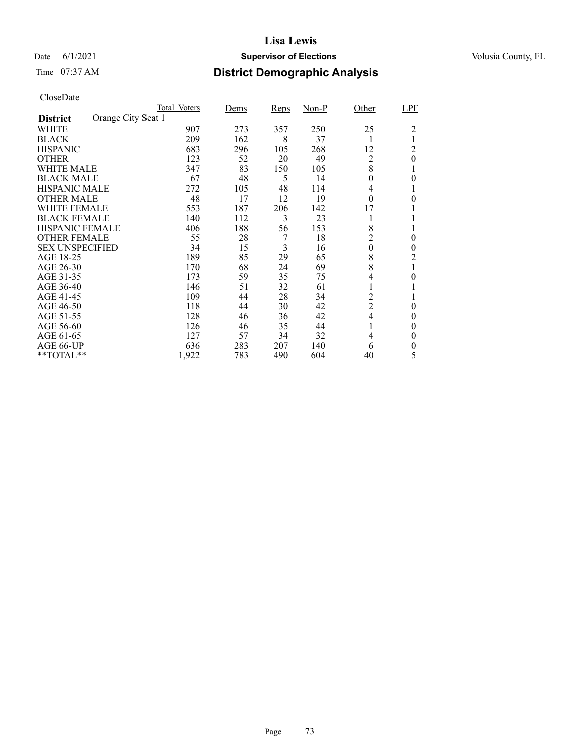### Date 6/1/2021 **Supervisor of Elections Supervisor of Elections** Volusia County, FL

## Time 07:37 AM **District Demographic Analysis**

|                        |                    | Total Voters | Dems | <b>Reps</b> | $Non-P$ | Other            | LPF      |
|------------------------|--------------------|--------------|------|-------------|---------|------------------|----------|
| <b>District</b>        | Orange City Seat 1 |              |      |             |         |                  |          |
| WHITE                  |                    | 907          | 273  | 357         | 250     | 25               | 2        |
| <b>BLACK</b>           |                    | 209          | 162  | 8           | 37      |                  | 1        |
| <b>HISPANIC</b>        |                    | 683          | 296  | 105         | 268     | 12               | 2        |
| <b>OTHER</b>           |                    | 123          | 52   | 20          | 49      | 2                | $\theta$ |
| WHITE MALE             |                    | 347          | 83   | 150         | 105     | 8                |          |
| <b>BLACK MALE</b>      |                    | 67           | 48   | 5           | 14      | 0                | $\theta$ |
| <b>HISPANIC MALE</b>   |                    | 272          | 105  | 48          | 114     | 4                |          |
| <b>OTHER MALE</b>      |                    | 48           | 17   | 12          | 19      | $\theta$         | 0        |
| WHITE FEMALE           |                    | 553          | 187  | 206         | 142     | 17               |          |
| <b>BLACK FEMALE</b>    |                    | 140          | 112  | 3           | 23      |                  |          |
| <b>HISPANIC FEMALE</b> |                    | 406          | 188  | 56          | 153     | 8                |          |
| <b>OTHER FEMALE</b>    |                    | 55           | 28   | 7           | 18      | 2                | 0        |
| <b>SEX UNSPECIFIED</b> |                    | 34           | 15   | 3           | 16      | $\boldsymbol{0}$ | $\theta$ |
| AGE 18-25              |                    | 189          | 85   | 29          | 65      | 8                | 2        |
| AGE 26-30              |                    | 170          | 68   | 24          | 69      | 8                | 1        |
| AGE 31-35              |                    | 173          | 59   | 35          | 75      | 4                | 0        |
| AGE 36-40              |                    | 146          | 51   | 32          | 61      |                  |          |
| AGE 41-45              |                    | 109          | 44   | 28          | 34      | $\overline{c}$   |          |
| AGE 46-50              |                    | 118          | 44   | 30          | 42      | $\overline{2}$   | $\theta$ |
| AGE 51-55              |                    | 128          | 46   | 36          | 42      | 4                | 0        |
| AGE 56-60              |                    | 126          | 46   | 35          | 44      |                  | $\Omega$ |
| AGE 61-65              |                    | 127          | 57   | 34          | 32      | 4                | $\theta$ |
| AGE 66-UP              |                    | 636          | 283  | 207         | 140     | 6                | 0        |
| **TOTAL**              |                    | 1,922        | 783  | 490         | 604     | 40               | 5        |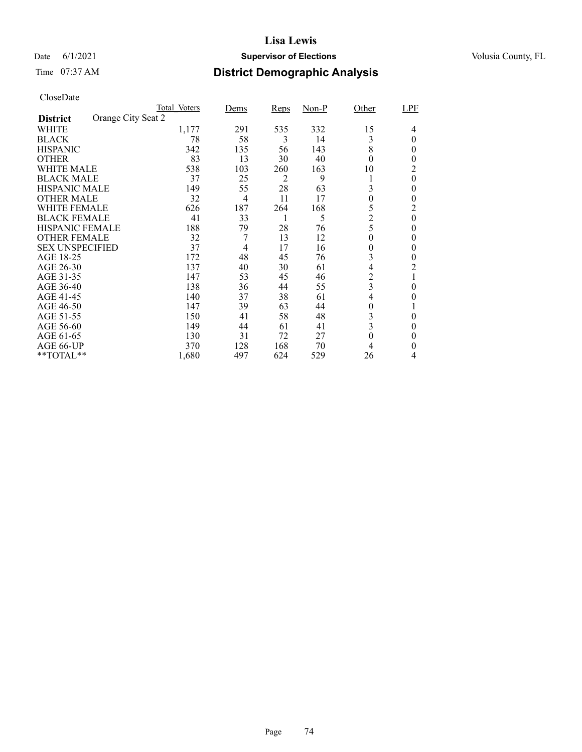### Date 6/1/2021 **Supervisor of Elections Supervisor of Elections** Volusia County, FL

## Time 07:37 AM **District Demographic Analysis**

|                        | Total Voters       |       | Dems | <b>Reps</b> | $Non-P$ | Other            | LPF      |
|------------------------|--------------------|-------|------|-------------|---------|------------------|----------|
| <b>District</b>        | Orange City Seat 2 |       |      |             |         |                  |          |
| WHITE                  |                    | 1,177 | 291  | 535         | 332     | 15               | 4        |
| <b>BLACK</b>           |                    | 78    | 58   | 3           | 14      | 3                | $\theta$ |
| <b>HISPANIC</b>        |                    | 342   | 135  | 56          | 143     | 8                | 0        |
| <b>OTHER</b>           |                    | 83    | 13   | 30          | 40      | $\theta$         | 0        |
| WHITE MALE             |                    | 538   | 103  | 260         | 163     | 10               | 2        |
| <b>BLACK MALE</b>      |                    | 37    | 25   | 2           | 9       |                  | $\theta$ |
| <b>HISPANIC MALE</b>   |                    | 149   | 55   | 28          | 63      | 3                | 0        |
| <b>OTHER MALE</b>      |                    | 32    | 4    | 11          | 17      | $\boldsymbol{0}$ | 0        |
| WHITE FEMALE           |                    | 626   | 187  | 264         | 168     | 5                | 2        |
| <b>BLACK FEMALE</b>    |                    | 41    | 33   |             | 5       | $\overline{c}$   | $\theta$ |
| <b>HISPANIC FEMALE</b> |                    | 188   | 79   | 28          | 76      | 5                | 0        |
| <b>OTHER FEMALE</b>    |                    | 32    | 7    | 13          | 12      | $\theta$         | $\theta$ |
| <b>SEX UNSPECIFIED</b> |                    | 37    | 4    | 17          | 16      | 0                | 0        |
| AGE 18-25              |                    | 172   | 48   | 45          | 76      | 3                | 0        |
| AGE 26-30              |                    | 137   | 40   | 30          | 61      | 4                | 2        |
| AGE 31-35              |                    | 147   | 53   | 45          | 46      | $\overline{c}$   |          |
| AGE 36-40              |                    | 138   | 36   | 44          | 55      | 3                | 0        |
| AGE 41-45              |                    | 140   | 37   | 38          | 61      | 4                | 0        |
| AGE 46-50              |                    | 147   | 39   | 63          | 44      | 0                |          |
| AGE 51-55              |                    | 150   | 41   | 58          | 48      | 3                | 0        |
| AGE 56-60              |                    | 149   | 44   | 61          | 41      | 3                | 0        |
| AGE 61-65              |                    | 130   | 31   | 72          | 27      | $\theta$         | 0        |
| AGE 66-UP              |                    | 370   | 128  | 168         | 70      | 4                | 0        |
| **TOTAL**              |                    | 1,680 | 497  | 624         | 529     | 26               | 4        |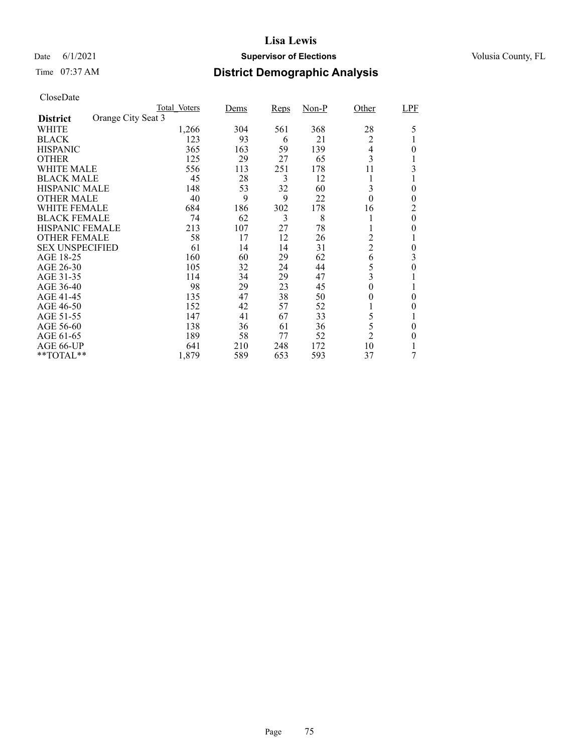### Date 6/1/2021 **Supervisor of Elections Supervisor of Elections** Volusia County, FL

## Time 07:37 AM **District Demographic Analysis**

|                        |                    | Total Voters | Dems | Reps | <u>Non-P</u> | Other            | LPF      |
|------------------------|--------------------|--------------|------|------|--------------|------------------|----------|
| <b>District</b>        | Orange City Seat 3 |              |      |      |              |                  |          |
| WHITE                  |                    | 1,266        | 304  | 561  | 368          | 28               | 5        |
| <b>BLACK</b>           |                    | 123          | 93   | 6    | 21           | $\overline{c}$   |          |
| <b>HISPANIC</b>        |                    | 365          | 163  | 59   | 139          | 4                | 0        |
| <b>OTHER</b>           |                    | 125          | 29   | 27   | 65           | 3                |          |
| WHITE MALE             |                    | 556          | 113  | 251  | 178          | 11               | 3        |
| <b>BLACK MALE</b>      |                    | 45           | 28   | 3    | 12           |                  |          |
| <b>HISPANIC MALE</b>   |                    | 148          | 53   | 32   | 60           | 3                | 0        |
| <b>OTHER MALE</b>      |                    | 40           | 9    | 9    | 22           | $\boldsymbol{0}$ | $\theta$ |
| WHITE FEMALE           |                    | 684          | 186  | 302  | 178          | 16               | 2        |
| <b>BLACK FEMALE</b>    |                    | 74           | 62   | 3    | 8            |                  | $\theta$ |
| <b>HISPANIC FEMALE</b> |                    | 213          | 107  | 27   | 78           |                  | 0        |
| <b>OTHER FEMALE</b>    |                    | 58           | 17   | 12   | 26           | 2                |          |
| <b>SEX UNSPECIFIED</b> |                    | 61           | 14   | 14   | 31           | $\overline{c}$   | $\theta$ |
| AGE 18-25              |                    | 160          | 60   | 29   | 62           | 6                | 3        |
| AGE 26-30              |                    | 105          | 32   | 24   | 44           | 5                | 0        |
| AGE 31-35              |                    | 114          | 34   | 29   | 47           | 3                |          |
| AGE 36-40              |                    | 98           | 29   | 23   | 45           | 0                |          |
| AGE 41-45              |                    | 135          | 47   | 38   | 50           | 0                | 0        |
| AGE 46-50              |                    | 152          | 42   | 57   | 52           |                  | 0        |
| AGE 51-55              |                    | 147          | 41   | 67   | 33           | 5                |          |
| AGE 56-60              |                    | 138          | 36   | 61   | 36           | 5                | 0        |
| AGE 61-65              |                    | 189          | 58   | 77   | 52           | $\overline{2}$   | 0        |
| AGE 66-UP              |                    | 641          | 210  | 248  | 172          | 10               |          |
| **TOTAL**              |                    | 1,879        | 589  | 653  | 593          | 37               |          |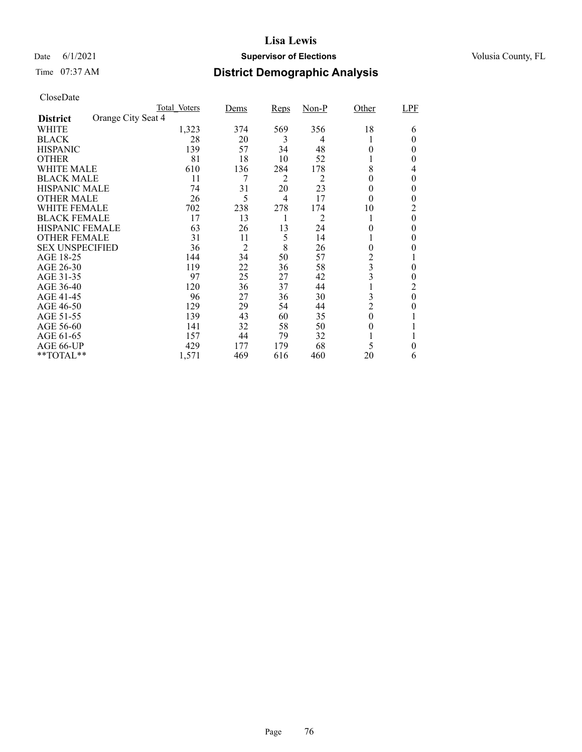### Date 6/1/2021 **Supervisor of Elections Supervisor of Elections** Volusia County, FL

## Time 07:37 AM **District Demographic Analysis**

|                                       | Total Voters | Dems | Reps           | $Non-P$ | Other          | LPF      |
|---------------------------------------|--------------|------|----------------|---------|----------------|----------|
| Orange City Seat 4<br><b>District</b> |              |      |                |         |                |          |
| WHITE                                 | 1,323        | 374  | 569            | 356     | 18             | 6        |
| <b>BLACK</b>                          | 28           | 20   | 3              | 4       |                | $_{0}$   |
| <b>HISPANIC</b>                       | 139          | 57   | 34             | 48      | $\Omega$       | 0        |
| <b>OTHER</b>                          | 81           | 18   | 10             | 52      |                | $_{0}$   |
| WHITE MALE                            | 610          | 136  | 284            | 178     | 8              | 4        |
| <b>BLACK MALE</b>                     | 11           | 7    | 2              | 2       | $^{(1)}$       | 0        |
| <b>HISPANIC MALE</b>                  | 74           | 31   | 20             | 23      | $\theta$       | $\theta$ |
| <b>OTHER MALE</b>                     | 26           | 5    | $\overline{4}$ | 17      | $\theta$       | 0        |
| <b>WHITE FEMALE</b>                   | 702          | 238  | 278            | 174     | 10             | 2        |
| <b>BLACK FEMALE</b>                   | 17           | 13   |                | 2       |                | $\theta$ |
| <b>HISPANIC FEMALE</b>                | 63           | 26   | 13             | 24      | 0              | 0        |
| <b>OTHER FEMALE</b>                   | 31           | 11   | 5              | 14      |                | $\theta$ |
| <b>SEX UNSPECIFIED</b>                | 36           | 2    | 8              | 26      | 0              |          |
| AGE 18-25                             | 144          | 34   | 50             | 57      | 2              |          |
| AGE 26-30                             | 119          | 22   | 36             | 58      | 3              | 0        |
| AGE 31-35                             | 97           | 25   | 27             | 42      | 3              | 0        |
| AGE 36-40                             | 120          | 36   | 37             | 44      |                | 2        |
| AGE 41-45                             | 96           | 27   | 36             | 30      | 3              | $\theta$ |
| AGE 46-50                             | 129          | 29   | 54             | 44      | $\overline{c}$ | 0        |
| AGE 51-55                             | 139          | 43   | 60             | 35      | $\theta$       |          |
| AGE 56-60                             | 141          | 32   | 58             | 50      | $\theta$       |          |
| AGE 61-65                             | 157          | 44   | 79             | 32      |                |          |
| AGE 66-UP                             | 429          | 177  | 179            | 68      | 5              | 0        |
| **TOTAL**                             | 1,571        | 469  | 616            | 460     | 20             | 6        |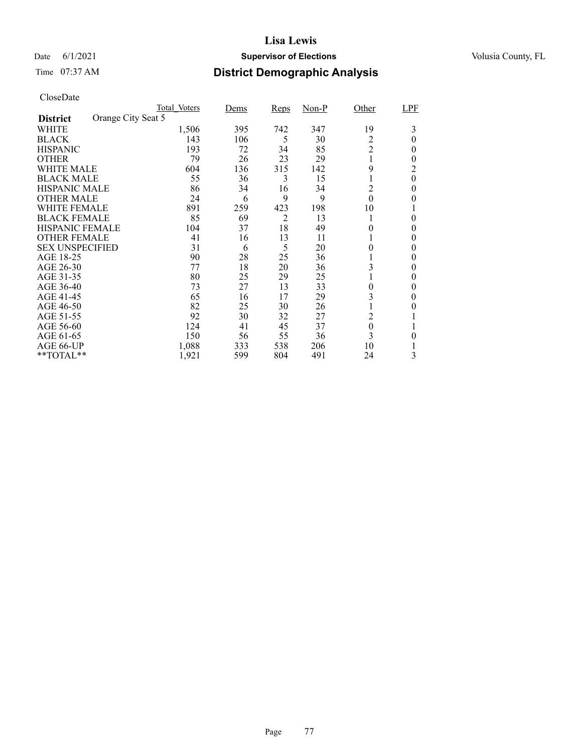### Date 6/1/2021 **Supervisor of Elections Supervisor of Elections** Volusia County, FL

## Time 07:37 AM **District Demographic Analysis**

|                        |                    | Total Voters | Dems | <b>Reps</b> | $Non-P$ | Other            | LPF      |
|------------------------|--------------------|--------------|------|-------------|---------|------------------|----------|
| <b>District</b>        | Orange City Seat 5 |              |      |             |         |                  |          |
| WHITE                  |                    | 1,506        | 395  | 742         | 347     | 19               | 3        |
| <b>BLACK</b>           |                    | 143          | 106  | 5           | 30      | 2                | $\Omega$ |
| <b>HISPANIC</b>        |                    | 193          | 72   | 34          | 85      | $\overline{2}$   | 0        |
| <b>OTHER</b>           |                    | 79           | 26   | 23          | 29      |                  | $_{0}$   |
| WHITE MALE             |                    | 604          | 136  | 315         | 142     | 9                | 2        |
| <b>BLACK MALE</b>      |                    | 55           | 36   | 3           | 15      |                  | $\theta$ |
| <b>HISPANIC MALE</b>   |                    | 86           | 34   | 16          | 34      | 2                | 0        |
| <b>OTHER MALE</b>      |                    | 24           | 6    | 9           | 9       | $\theta$         | 0        |
| WHITE FEMALE           |                    | 891          | 259  | 423         | 198     | 10               |          |
| <b>BLACK FEMALE</b>    |                    | 85           | 69   | 2           | 13      |                  | 0        |
| <b>HISPANIC FEMALE</b> |                    | 104          | 37   | 18          | 49      | 0                | 0        |
| <b>OTHER FEMALE</b>    |                    | 41           | 16   | 13          | 11      |                  | $\theta$ |
| <b>SEX UNSPECIFIED</b> |                    | 31           | 6    | 5           | 20      | 0                | $\theta$ |
| AGE 18-25              |                    | 90           | 28   | 25          | 36      |                  | $\theta$ |
| AGE 26-30              |                    | 77           | 18   | 20          | 36      | 3                | $\theta$ |
| AGE 31-35              |                    | 80           | 25   | 29          | 25      |                  | 0        |
| AGE 36-40              |                    | 73           | 27   | 13          | 33      | 0                | 0        |
| AGE 41-45              |                    | 65           | 16   | 17          | 29      | 3                | 0        |
| AGE 46-50              |                    | 82           | 25   | 30          | 26      |                  | 0        |
| AGE 51-55              |                    | 92           | 30   | 32          | 27      | 2                |          |
| AGE 56-60              |                    | 124          | 41   | 45          | 37      | $\boldsymbol{0}$ |          |
| AGE 61-65              |                    | 150          | 56   | 55          | 36      | 3                | 0        |
| AGE 66-UP              |                    | 1,088        | 333  | 538         | 206     | 10               |          |
| **TOTAL**              |                    | 1,921        | 599  | 804         | 491     | 24               | 3        |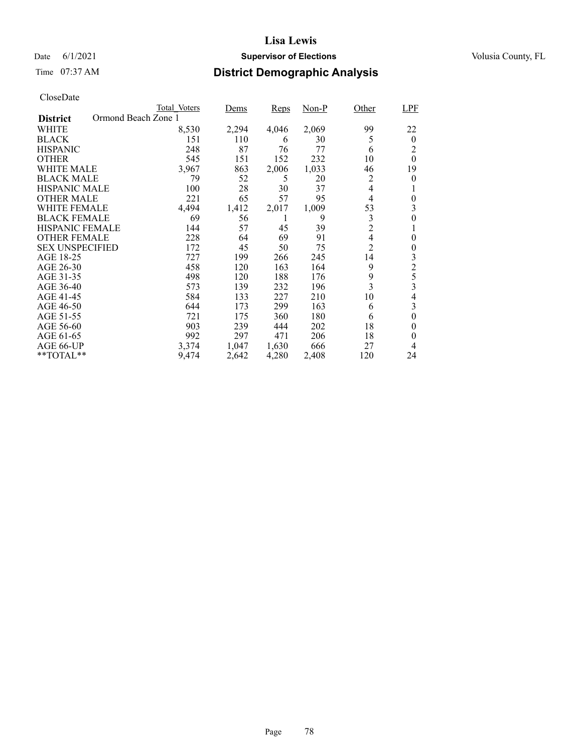## Date 6/1/2021 **Supervisor of Elections Supervisor of Elections** Volusia County, FL

## Time 07:37 AM **District Demographic Analysis**

|                        |                     | Total Voters | Dems  | Reps  | $Non-P$ | Other                   | <b>LPF</b>     |
|------------------------|---------------------|--------------|-------|-------|---------|-------------------------|----------------|
| <b>District</b>        | Ormond Beach Zone 1 |              |       |       |         |                         |                |
| WHITE                  |                     | 8,530        | 2,294 | 4,046 | 2,069   | 99                      | 22             |
| <b>BLACK</b>           |                     | 151          | 110   | 6     | 30      | 5                       | $\theta$       |
| <b>HISPANIC</b>        |                     | 248          | 87    | 76    | 77      | 6                       | 2              |
| <b>OTHER</b>           |                     | 545          | 151   | 152   | 232     | 10                      | $\theta$       |
| <b>WHITE MALE</b>      |                     | 3,967        | 863   | 2,006 | 1,033   | 46                      | 19             |
| <b>BLACK MALE</b>      |                     | 79           | 52    | 5     | 20      | 2                       | 0              |
| <b>HISPANIC MALE</b>   |                     | 100          | 28    | 30    | 37      | 4                       | 1              |
| <b>OTHER MALE</b>      |                     | 221          | 65    | 57    | 95      | $\overline{4}$          | 0              |
| WHITE FEMALE           |                     | 4,494        | 1,412 | 2,017 | 1,009   | 53                      | 3              |
| <b>BLACK FEMALE</b>    |                     | 69           | 56    | 1     | 9       | $\mathfrak{Z}$          | 0              |
| <b>HISPANIC FEMALE</b> |                     | 144          | 57    | 45    | 39      | $\overline{c}$          | 1              |
| <b>OTHER FEMALE</b>    |                     | 228          | 64    | 69    | 91      | $\overline{4}$          | $\theta$       |
| <b>SEX UNSPECIFIED</b> |                     | 172          | 45    | 50    | 75      | $\overline{2}$          | 0              |
| AGE 18-25              |                     | 727          | 199   | 266   | 245     | 14                      | 3              |
| AGE 26-30              |                     | 458          | 120   | 163   | 164     | 9                       | $\overline{c}$ |
| AGE 31-35              |                     | 498          | 120   | 188   | 176     | 9                       | 5              |
| AGE 36-40              |                     | 573          | 139   | 232   | 196     | $\overline{\mathbf{3}}$ | 3              |
| AGE 41-45              |                     | 584          | 133   | 227   | 210     | 10                      | 4              |
| AGE 46-50              |                     | 644          | 173   | 299   | 163     | 6                       | 3              |
| AGE 51-55              |                     | 721          | 175   | 360   | 180     | 6                       | $\overline{0}$ |
| AGE 56-60              |                     | 903          | 239   | 444   | 202     | 18                      | 0              |
| AGE 61-65              |                     | 992          | 297   | 471   | 206     | 18                      | 0              |
| AGE 66-UP              |                     | 3,374        | 1,047 | 1,630 | 666     | 27                      | 4              |
| $*$ $TOTAL**$          |                     | 9,474        | 2,642 | 4,280 | 2,408   | 120                     | 24             |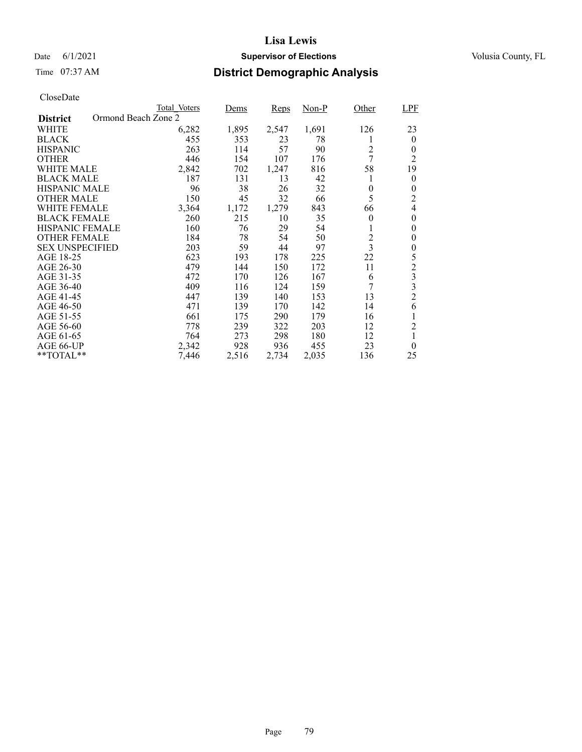## Date 6/1/2021 **Supervisor of Elections Supervisor of Elections** Volusia County, FL

## Time 07:37 AM **District Demographic Analysis**

|                        |                     | Total Voters | Dems  | Reps  | Non-P | Other                   | <b>LPF</b>       |
|------------------------|---------------------|--------------|-------|-------|-------|-------------------------|------------------|
| <b>District</b>        | Ormond Beach Zone 2 |              |       |       |       |                         |                  |
| WHITE                  |                     | 6,282        | 1,895 | 2,547 | 1,691 | 126                     | 23               |
| <b>BLACK</b>           |                     | 455          | 353   | 23    | 78    | 1                       | $\theta$         |
| <b>HISPANIC</b>        |                     | 263          | 114   | 57    | 90    | $\overline{2}$          | $\theta$         |
| <b>OTHER</b>           |                     | 446          | 154   | 107   | 176   | 7                       | 2                |
| <b>WHITE MALE</b>      |                     | 2,842        | 702   | 1,247 | 816   | 58                      | 19               |
| <b>BLACK MALE</b>      |                     | 187          | 131   | 13    | 42    | l                       | $\theta$         |
| <b>HISPANIC MALE</b>   |                     | 96           | 38    | 26    | 32    | 0                       | 0                |
| <b>OTHER MALE</b>      |                     | 150          | 45    | 32    | 66    | 5                       | $\overline{c}$   |
| WHITE FEMALE           |                     | 3,364        | 1,172 | 1,279 | 843   | 66                      | $\overline{4}$   |
| <b>BLACK FEMALE</b>    |                     | 260          | 215   | 10    | 35    | $\theta$                | $\theta$         |
| HISPANIC FEMALE        |                     | 160          | 76    | 29    | 54    | 1                       | $\theta$         |
| <b>OTHER FEMALE</b>    |                     | 184          | 78    | 54    | 50    | $\overline{c}$          | 0                |
| <b>SEX UNSPECIFIED</b> |                     | 203          | 59    | 44    | 97    | $\overline{\mathbf{3}}$ | $\boldsymbol{0}$ |
| AGE 18-25              |                     | 623          | 193   | 178   | 225   | 22                      | 5                |
| AGE 26-30              |                     | 479          | 144   | 150   | 172   | 11                      | $\overline{c}$   |
| AGE 31-35              |                     | 472          | 170   | 126   | 167   | 6                       | 3                |
| AGE 36-40              |                     | 409          | 116   | 124   | 159   | 7                       | 3                |
| AGE 41-45              |                     | 447          | 139   | 140   | 153   | 13                      | $\overline{c}$   |
| AGE 46-50              |                     | 471          | 139   | 170   | 142   | 14                      | 6                |
| AGE 51-55              |                     | 661          | 175   | 290   | 179   | 16                      |                  |
| AGE 56-60              |                     | 778          | 239   | 322   | 203   | 12                      | $\overline{c}$   |
| AGE 61-65              |                     | 764          | 273   | 298   | 180   | 12                      | 1                |
| AGE 66-UP              |                     | 2,342        | 928   | 936   | 455   | 23                      | $\theta$         |
| **TOTAL**              |                     | 7,446        | 2,516 | 2,734 | 2,035 | 136                     | 25               |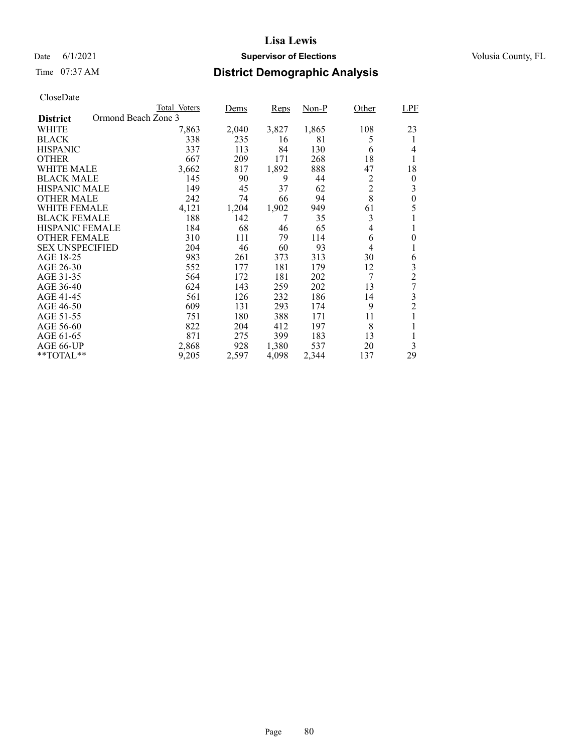## Date 6/1/2021 **Supervisor of Elections Supervisor of Elections** Volusia County, FL

## Time 07:37 AM **District Demographic Analysis**

|                        | Total Voters        | Dems  | Reps  | Non-P | Other          | <b>LPF</b>       |
|------------------------|---------------------|-------|-------|-------|----------------|------------------|
| <b>District</b>        | Ormond Beach Zone 3 |       |       |       |                |                  |
| WHITE                  | 7,863               | 2,040 | 3,827 | 1,865 | 108            | 23               |
| <b>BLACK</b>           | 338                 | 235   | 16    | 81    | 5              | 1                |
| <b>HISPANIC</b>        | 337                 | 113   | 84    | 130   | 6              | 4                |
| <b>OTHER</b>           | 667                 | 209   | 171   | 268   | 18             | 1                |
| WHITE MALE             | 3,662               | 817   | 1,892 | 888   | 47             | 18               |
| <b>BLACK MALE</b>      | 145                 | 90    | 9     | 44    | 2              | $\boldsymbol{0}$ |
| <b>HISPANIC MALE</b>   | 149                 | 45    | 37    | 62    | $\overline{c}$ | 3                |
| <b>OTHER MALE</b>      | 242                 | 74    | 66    | 94    | 8              | $\boldsymbol{0}$ |
| <b>WHITE FEMALE</b>    | 4,121               | 1,204 | 1,902 | 949   | 61             | 5                |
| <b>BLACK FEMALE</b>    | 188                 | 142   | 7     | 35    | 3              |                  |
| <b>HISPANIC FEMALE</b> | 184                 | 68    | 46    | 65    | 4              | 1                |
| <b>OTHER FEMALE</b>    | 310                 | 111   | 79    | 114   | 6              | $\overline{0}$   |
| <b>SEX UNSPECIFIED</b> | 204                 | 46    | 60    | 93    | 4              |                  |
| AGE 18-25              | 983                 | 261   | 373   | 313   | 30             | 6                |
| AGE 26-30              | 552                 | 177   | 181   | 179   | 12             | 3                |
| AGE 31-35              | 564                 | 172   | 181   | 202   | 7              | $\overline{c}$   |
| AGE 36-40              | 624                 | 143   | 259   | 202   | 13             | 7                |
| AGE 41-45              | 561                 | 126   | 232   | 186   | 14             | 3                |
| AGE 46-50              | 609                 | 131   | 293   | 174   | 9              | $\overline{2}$   |
| AGE 51-55              | 751                 | 180   | 388   | 171   | 11             |                  |
| AGE 56-60              | 822                 | 204   | 412   | 197   | 8              |                  |
| AGE 61-65              | 871                 | 275   | 399   | 183   | 13             | 1                |
| AGE 66-UP              | 2,868               | 928   | 1,380 | 537   | 20             | 3                |
| $*$ $TOTAL**$          | 9,205               | 2,597 | 4,098 | 2,344 | 137            | 29               |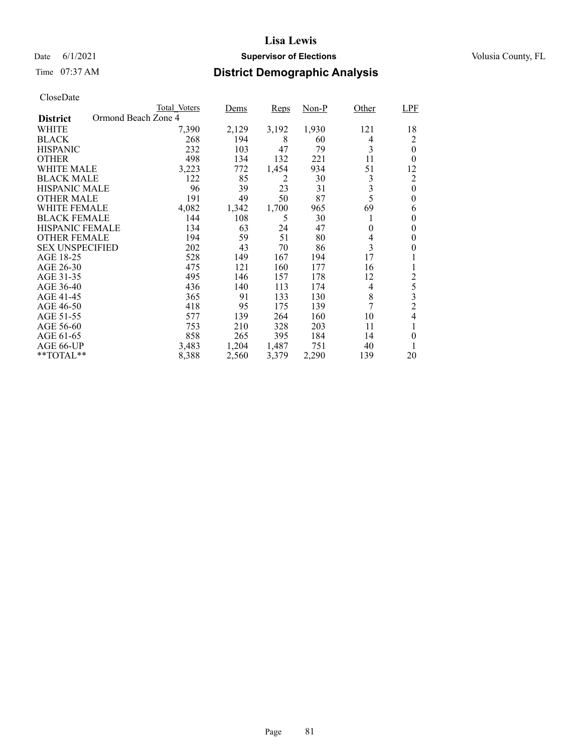## Date 6/1/2021 **Supervisor of Elections Supervisor of Elections** Volusia County, FL

## Time 07:37 AM **District Demographic Analysis**

|                                        | Total Voters | Dems  | Reps  | Non-P | Other    | <b>LPF</b>     |
|----------------------------------------|--------------|-------|-------|-------|----------|----------------|
| Ormond Beach Zone 4<br><b>District</b> |              |       |       |       |          |                |
| WHITE                                  | 7,390        | 2,129 | 3,192 | 1,930 | 121      | 18             |
| <b>BLACK</b>                           | 268          | 194   | 8     | 60    | 4        | 2              |
| <b>HISPANIC</b>                        | 232          | 103   | 47    | 79    | 3        | $\theta$       |
| <b>OTHER</b>                           | 498          | 134   | 132   | 221   | 11       | $\theta$       |
| WHITE MALE                             | 3,223        | 772   | 1,454 | 934   | 51       | 12             |
| <b>BLACK MALE</b>                      | 122          | 85    | 2     | 30    | 3        | $\overline{c}$ |
| <b>HISPANIC MALE</b>                   | 96           | 39    | 23    | 31    | 3        | $\overline{0}$ |
| <b>OTHER MALE</b>                      | 191          | 49    | 50    | 87    | 5        | $\theta$       |
| WHITE FEMALE                           | 4,082        | 1,342 | 1,700 | 965   | 69       | 6              |
| <b>BLACK FEMALE</b>                    | 144          | 108   | 5     | 30    | 1        | 0              |
| <b>HISPANIC FEMALE</b>                 | 134          | 63    | 24    | 47    | $\theta$ | 0              |
| <b>OTHER FEMALE</b>                    | 194          | 59    | 51    | 80    | 4        | 0              |
| <b>SEX UNSPECIFIED</b>                 | 202          | 43    | 70    | 86    | 3        | 0              |
| AGE 18-25                              | 528          | 149   | 167   | 194   | 17       |                |
| AGE 26-30                              | 475          | 121   | 160   | 177   | 16       |                |
| AGE 31-35                              | 495          | 146   | 157   | 178   | 12       | $\mathfrak 2$  |
| AGE 36-40                              | 436          | 140   | 113   | 174   | 4        | 5              |
| AGE 41-45                              | 365          | 91    | 133   | 130   | 8        | 3              |
| AGE 46-50                              | 418          | 95    | 175   | 139   | 7        | $\overline{c}$ |
| AGE 51-55                              | 577          | 139   | 264   | 160   | 10       | 4              |
| AGE 56-60                              | 753          | 210   | 328   | 203   | 11       | 1              |
| AGE 61-65                              | 858          | 265   | 395   | 184   | 14       | $\theta$       |
| AGE 66-UP                              | 3,483        | 1,204 | 1,487 | 751   | 40       |                |
| **TOTAL**                              | 8,388        | 2,560 | 3,379 | 2,290 | 139      | 20             |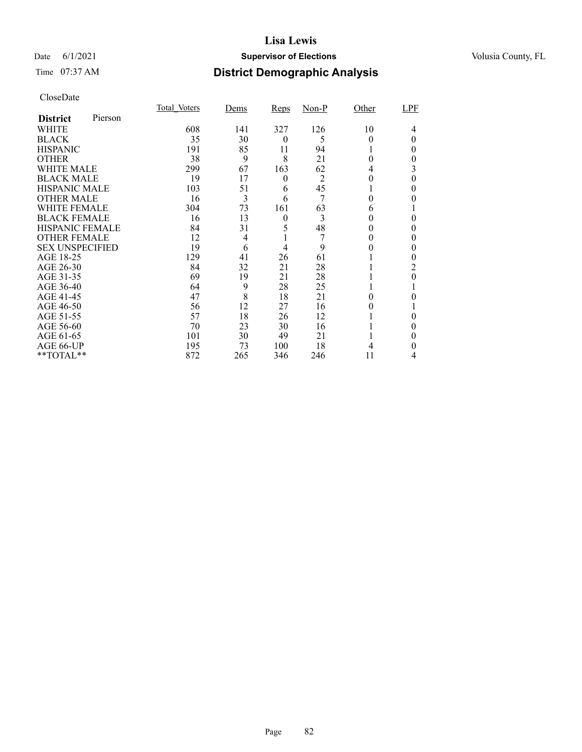### Date 6/1/2021 **Supervisor of Elections Supervisor of Elections** Volusia County, FL

## Time 07:37 AM **District Demographic Analysis**

|                        |         | Total Voters | Dems           | Reps     | $Non-P$        | Other    | LPF |
|------------------------|---------|--------------|----------------|----------|----------------|----------|-----|
| <b>District</b>        | Pierson |              |                |          |                |          |     |
| WHITE                  |         | 608          | 141            | 327      | 126            | 10       | 4   |
| <b>BLACK</b>           |         | 35           | 30             | $\theta$ | 5              | 0        | 0   |
| <b>HISPANIC</b>        |         | 191          | 85             | 11       | 94             |          | 0   |
| <b>OTHER</b>           |         | 38           | 9              | 8        | 21             | $\Omega$ | 0   |
| WHITE MALE             |         | 299          | 67             | 163      | 62             | 4        | 3   |
| <b>BLACK MALE</b>      |         | 19           | 17             | 0        | $\overline{2}$ | 0        | 0   |
| <b>HISPANIC MALE</b>   |         | 103          | 51             | 6        | 45             |          | 0   |
| <b>OTHER MALE</b>      |         | 16           | 3              | 6        | 7              | 0        | 0   |
| <b>WHITE FEMALE</b>    |         | 304          | 73             | 161      | 63             | 6        |     |
| <b>BLACK FEMALE</b>    |         | 16           | 13             | $\theta$ | 3              | 0        | 0   |
| <b>HISPANIC FEMALE</b> |         | 84           | 31             | 5        | 48             |          | 0   |
| <b>OTHER FEMALE</b>    |         | 12           | $\overline{4}$ |          |                | 0        | 0   |
| <b>SEX UNSPECIFIED</b> |         | 19           | 6              | 4        | 9              |          | 0   |
| AGE 18-25              |         | 129          | 41             | 26       | 61             |          |     |
| AGE 26-30              |         | 84           | 32             | 21       | 28             |          | 2   |
| AGE 31-35              |         | 69           | 19             | 21       | 28             |          | 0   |
| AGE 36-40              |         | 64           | 9              | 28       | 25             |          |     |
| AGE 41-45              |         | 47           | 8              | 18       | 21             |          |     |
| AGE 46-50              |         | 56           | 12             | 27       | 16             |          |     |
| AGE 51-55              |         | 57           | 18             | 26       | 12             |          |     |
| AGE 56-60              |         | 70           | 23             | 30       | 16             |          | 0   |
| AGE 61-65              |         | 101          | 30             | 49       | 21             |          | 0   |
| AGE 66-UP              |         | 195          | 73             | 100      | 18             |          | 0   |
| **TOTAL**              |         | 872          | 265            | 346      | 246            | 11       | 4   |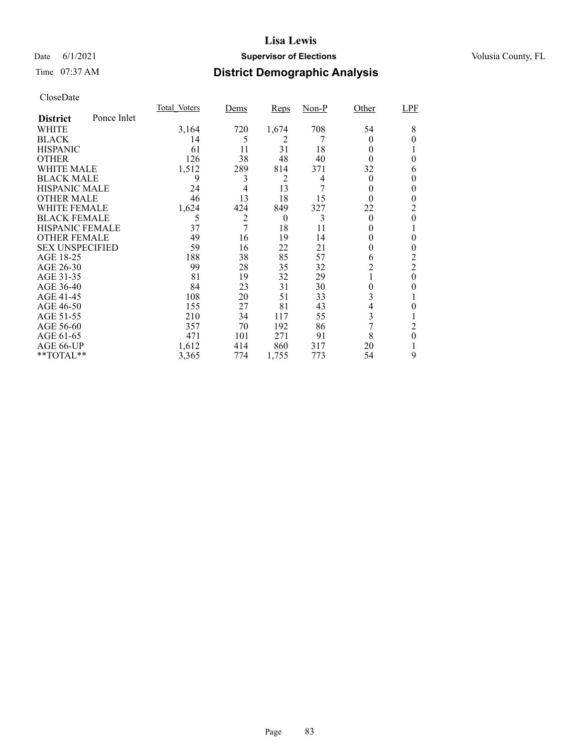### Date 6/1/2021 **Supervisor of Elections Supervisor of Elections** Volusia County, FL

## Time 07:37 AM **District Demographic Analysis**

|                        |             | Total Voters | <u>Dems</u> | <b>Reps</b> | $Non-P$ | Other    | <b>LPF</b>     |
|------------------------|-------------|--------------|-------------|-------------|---------|----------|----------------|
| <b>District</b>        | Ponce Inlet |              |             |             |         |          |                |
| WHITE                  |             | 3,164        | 720         | 1,674       | 708     | 54       | 8              |
| <b>BLACK</b>           |             | 14           | 5           | 2           |         | $\Omega$ | 0              |
| <b>HISPANIC</b>        |             | 61           | 11          | 31          | 18      | 0        |                |
| <b>OTHER</b>           |             | 126          | 38          | 48          | 40      | 0        | 0              |
| WHITE MALE             |             | 1,512        | 289         | 814         | 371     | 32       | 6              |
| <b>BLACK MALE</b>      |             | 9            | 3           | 2           | 4       | $\theta$ | 0              |
| <b>HISPANIC MALE</b>   |             | 24           | 4           | 13          | 7       | 0        | 0              |
| <b>OTHER MALE</b>      |             | 46           | 13          | 18          | 15      | 0        | 0              |
| <b>WHITE FEMALE</b>    |             | 1,624        | 424         | 849         | 327     | 22       | 2              |
| <b>BLACK FEMALE</b>    |             | 5            | 2           | $\theta$    | 3       | $\theta$ | 0              |
| <b>HISPANIC FEMALE</b> |             | 37           | 7           | 18          | 11      | $_{0}$   |                |
| <b>OTHER FEMALE</b>    |             | 49           | 16          | 19          | 14      | $\theta$ | 0              |
| <b>SEX UNSPECIFIED</b> |             | 59           | 16          | 22          | 21      | $_{0}$   | 0              |
| AGE 18-25              |             | 188          | 38          | 85          | 57      | 6        | 2              |
| AGE 26-30              |             | 99           | 28          | 35          | 32      | 2        | $\overline{2}$ |
| AGE 31-35              |             | 81           | 19          | 32          | 29      |          | 0              |
| AGE 36-40              |             | 84           | 23          | 31          | 30      | 0        | 0              |
| AGE 41-45              |             | 108          | 20          | 51          | 33      | 3        |                |
| AGE 46-50              |             | 155          | 27          | 81          | 43      | 4        | 0              |
| AGE 51-55              |             | 210          | 34          | 117         | 55      | 3        |                |
| AGE 56-60              |             | 357          | 70          | 192         | 86      | 7        | 2              |
| AGE 61-65              |             | 471          | 101         | 271         | 91      | 8        | 0              |
| AGE 66-UP              |             | 1,612        | 414         | 860         | 317     | 20       |                |
| **TOTAL**              |             | 3,365        | 774         | 1,755       | 773     | 54       | 9              |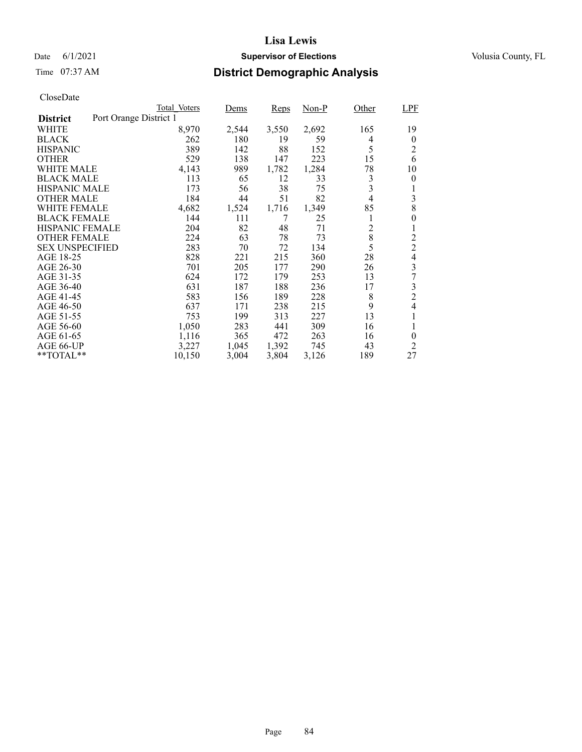### Date 6/1/2021 **Supervisor of Elections Supervisor of Elections** Volusia County, FL

## Time 07:37 AM **District Demographic Analysis**

|                        |                        | Total Voters | Dems  | Reps  | $Non-P$ | Other          | LPF            |
|------------------------|------------------------|--------------|-------|-------|---------|----------------|----------------|
| <b>District</b>        | Port Orange District 1 |              |       |       |         |                |                |
| WHITE                  |                        | 8,970        | 2,544 | 3,550 | 2,692   | 165            | 19             |
| <b>BLACK</b>           |                        | 262          | 180   | 19    | 59      | 4              | $\theta$       |
| <b>HISPANIC</b>        |                        | 389          | 142   | 88    | 152     | 5              | $\overline{2}$ |
| <b>OTHER</b>           |                        | 529          | 138   | 147   | 223     | 15             | 6              |
| WHITE MALE             |                        | 4,143        | 989   | 1,782 | 1,284   | 78             | 10             |
| <b>BLACK MALE</b>      |                        | 113          | 65    | 12    | 33      | 3              | $\theta$       |
| <b>HISPANIC MALE</b>   |                        | 173          | 56    | 38    | 75      | 3              |                |
| <b>OTHER MALE</b>      |                        | 184          | 44    | 51    | 82      | $\overline{4}$ | 3              |
| WHITE FEMALE           |                        | 4,682        | 1,524 | 1,716 | 1,349   | 85             | 8              |
| <b>BLACK FEMALE</b>    |                        | 144          | 111   | 7     | 25      | 1              | 0              |
| <b>HISPANIC FEMALE</b> |                        | 204          | 82    | 48    | 71      | $\overline{2}$ | 1              |
| <b>OTHER FEMALE</b>    |                        | 224          | 63    | 78    | 73      | 8              | $\overline{c}$ |
| <b>SEX UNSPECIFIED</b> |                        | 283          | 70    | 72    | 134     | 5              | $\overline{c}$ |
| AGE 18-25              |                        | 828          | 221   | 215   | 360     | 28             | 4              |
| AGE 26-30              |                        | 701          | 205   | 177   | 290     | 26             | 3              |
| AGE 31-35              |                        | 624          | 172   | 179   | 253     | 13             | 7              |
| AGE 36-40              |                        | 631          | 187   | 188   | 236     | 17             | 3              |
| AGE 41-45              |                        | 583          | 156   | 189   | 228     | 8              | $\overline{c}$ |
| AGE 46-50              |                        | 637          | 171   | 238   | 215     | 9              | 4              |
| AGE 51-55              |                        | 753          | 199   | 313   | 227     | 13             |                |
| AGE 56-60              |                        | 1,050        | 283   | 441   | 309     | 16             | 1              |
| AGE 61-65              |                        | 1,116        | 365   | 472   | 263     | 16             | $\theta$       |
| AGE 66-UP              |                        | 3,227        | 1,045 | 1,392 | 745     | 43             | 2              |
| $*$ $TOTAL**$          |                        | 10,150       | 3,004 | 3,804 | 3,126   | 189            | 27             |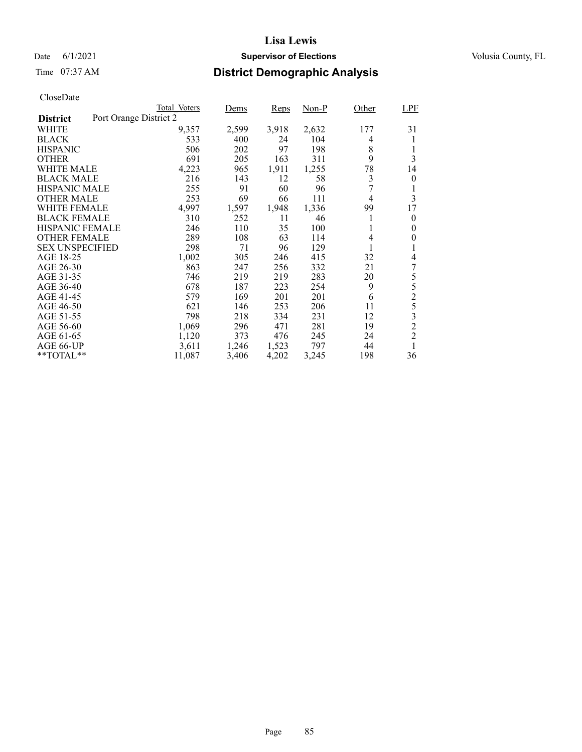### Date 6/1/2021 **Supervisor of Elections Supervisor of Elections** Volusia County, FL

## Time 07:37 AM **District Demographic Analysis**

|                        | Total Voters           | Dems  | Reps  | $Non-P$ | Other          | <b>LPF</b>     |
|------------------------|------------------------|-------|-------|---------|----------------|----------------|
| <b>District</b>        | Port Orange District 2 |       |       |         |                |                |
| WHITE                  | 9,357                  | 2,599 | 3,918 | 2,632   | 177            | 31             |
| <b>BLACK</b>           | 533                    | 400   | 24    | 104     | 4              | 1              |
| <b>HISPANIC</b>        | 506                    | 202   | 97    | 198     | 8              | 1              |
| <b>OTHER</b>           | 691                    | 205   | 163   | 311     | 9              | 3              |
| WHITE MALE             | 4,223                  | 965   | 1,911 | 1,255   | 78             | 14             |
| <b>BLACK MALE</b>      | 216                    | 143   | 12    | 58      | 3              | 0              |
| <b>HISPANIC MALE</b>   | 255                    | 91    | 60    | 96      | 7              | 1              |
| <b>OTHER MALE</b>      | 253                    | 69    | 66    | 111     | $\overline{4}$ | 3              |
| WHITE FEMALE           | 4,997                  | 1,597 | 1,948 | 1,336   | 99             | 17             |
| <b>BLACK FEMALE</b>    | 310                    | 252   | 11    | 46      | 1              | $\theta$       |
| HISPANIC FEMALE        | 246                    | 110   | 35    | 100     | 1              | 0              |
| <b>OTHER FEMALE</b>    | 289                    | 108   | 63    | 114     | 4              | 0              |
| <b>SEX UNSPECIFIED</b> | 298                    | 71    | 96    | 129     | 1              | 1              |
| AGE 18-25              | 1,002                  | 305   | 246   | 415     | 32             | 4              |
| AGE 26-30              | 863                    | 247   | 256   | 332     | 21             | 7              |
| AGE 31-35              | 746                    | 219   | 219   | 283     | 20             | 5              |
| AGE 36-40              | 678                    | 187   | 223   | 254     | 9              | 5              |
| AGE 41-45              | 579                    | 169   | 201   | 201     | 6              | $\overline{2}$ |
| AGE 46-50              | 621                    | 146   | 253   | 206     | 11             | 5              |
| AGE 51-55              | 798                    | 218   | 334   | 231     | 12             | 3              |
| AGE 56-60              | 1,069                  | 296   | 471   | 281     | 19             | $\overline{c}$ |
| AGE 61-65              | 1,120                  | 373   | 476   | 245     | 24             | $\overline{2}$ |
| AGE 66-UP              | 3,611                  | 1,246 | 1,523 | 797     | 44             | 1              |
| **TOTAL**              | 11,087                 | 3,406 | 4,202 | 3,245   | 198            | 36             |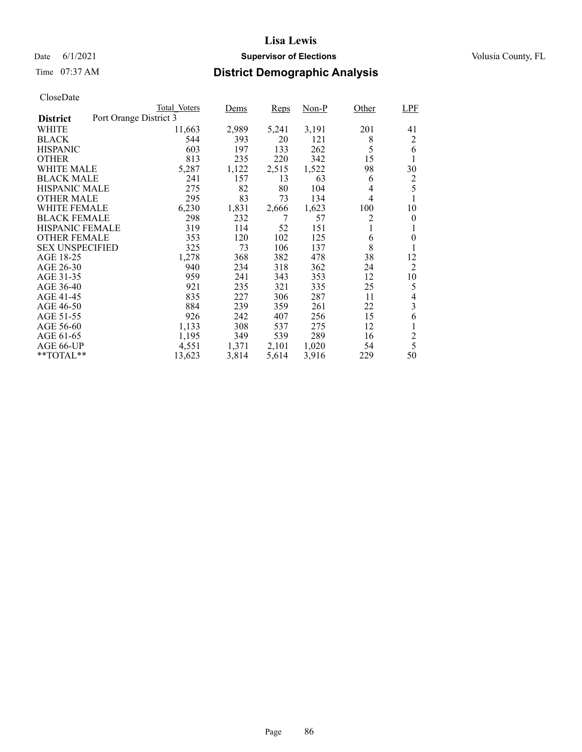### Date 6/1/2021 **Supervisor of Elections Supervisor of Elections** Volusia County, FL

## Time 07:37 AM **District Demographic Analysis**

| Total Voters | Dems                                           | Reps  | $Non-P$ | Other          | <b>LPF</b>     |
|--------------|------------------------------------------------|-------|---------|----------------|----------------|
|              |                                                |       |         |                |                |
|              | 2,989                                          | 5,241 | 3,191   | 201            | 41             |
| 544          | 393                                            | 20    | 121     | 8              | 2              |
| 603          | 197                                            | 133   | 262     |                | 6              |
| 813          | 235                                            | 220   | 342     | 15             | 1              |
| 5,287        | 1,122                                          | 2,515 | 1,522   | 98             | 30             |
| 241          | 157                                            | 13    | 63      | 6              | 2              |
| 275          | 82                                             | 80    | 104     | 4              | 5              |
| 295          |                                                | 73    | 134     | $\overline{4}$ |                |
| 6,230        | 1,831                                          | 2,666 | 1,623   | 100            | 10             |
| 298          | 232                                            | 7     | 57      | 2              | 0              |
| 319          | 114                                            | 52    | 151     | 1              | 1              |
| 353          | 120                                            | 102   | 125     | 6              | $\overline{0}$ |
| 325          | 73                                             | 106   | 137     |                |                |
| 1,278        | 368                                            | 382   | 478     | 38             | 12             |
| 940          | 234                                            | 318   | 362     | 24             | 2              |
| 959          | 241                                            | 343   | 353     | 12             | 10             |
|              | 235                                            | 321   | 335     | 25             | 5              |
|              | 227                                            | 306   | 287     | 11             | 4              |
| 884          | 239                                            | 359   | 261     | 22             | 3              |
| 926          | 242                                            | 407   | 256     | 15             | 6              |
| 1,133        | 308                                            | 537   | 275     | 12             | 1              |
| 1,195        | 349                                            | 539   | 289     | 16             | $\overline{c}$ |
| 4,551        | 1,371                                          | 2,101 | 1,020   | 54             | 5              |
| 13,623       | 3,814                                          | 5,614 | 3,916   | 229            | 50             |
|              | Port Orange District 3<br>11,663<br>921<br>835 | 83    |         |                | 5<br>8         |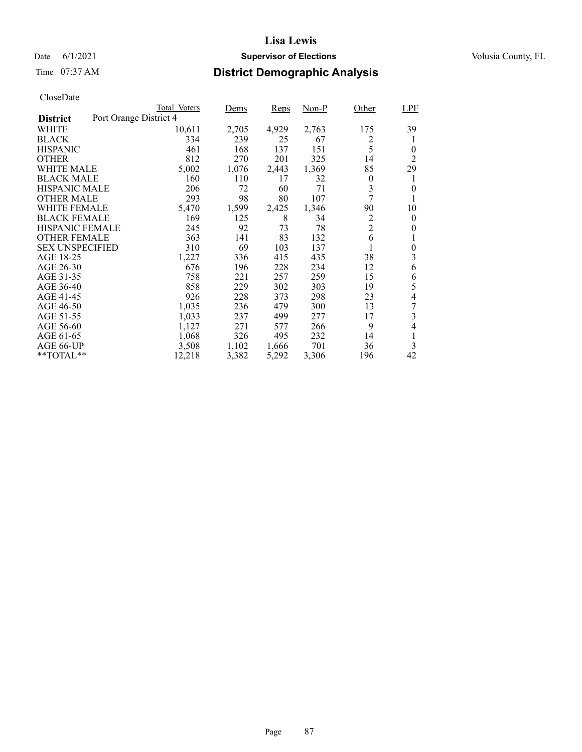### Date 6/1/2021 **Supervisor of Elections Supervisor of Elections** Volusia County, FL

## Time 07:37 AM **District Demographic Analysis**

|                        | Total Voters           | Dems  | Reps  | Non-P | Other          | <b>LPF</b>       |
|------------------------|------------------------|-------|-------|-------|----------------|------------------|
| <b>District</b>        | Port Orange District 4 |       |       |       |                |                  |
| WHITE                  | 10,611                 | 2,705 | 4,929 | 2,763 | 175            | 39               |
| <b>BLACK</b>           | 334                    | 239   | 25    | 67    | 2              | 1                |
| <b>HISPANIC</b>        | 461                    | 168   | 137   | 151   | 5              | 0                |
| <b>OTHER</b>           | 812                    | 270   | 201   | 325   | 14             | 2                |
| WHITE MALE             | 5,002                  | 1,076 | 2,443 | 1,369 | 85             | 29               |
| <b>BLACK MALE</b>      | 160                    | 110   | 17    | 32    | $\overline{0}$ | 1                |
| <b>HISPANIC MALE</b>   | 206                    | 72    | 60    | 71    | 3              | 0                |
| <b>OTHER MALE</b>      | 293                    | 98    | 80    | 107   | 7              |                  |
| WHITE FEMALE           | 5,470                  | 1,599 | 2,425 | 1,346 | 90             | 10               |
| <b>BLACK FEMALE</b>    | 169                    | 125   | 8     | 34    | 2              | 0                |
| <b>HISPANIC FEMALE</b> | 245                    | 92    | 73    | 78    | $\overline{2}$ | 0                |
| <b>OTHER FEMALE</b>    | 363                    | 141   | 83    | 132   | 6              | 1                |
| <b>SEX UNSPECIFIED</b> | 310                    | 69    | 103   | 137   |                | $\boldsymbol{0}$ |
| AGE 18-25              | 1,227                  | 336   | 415   | 435   | 38             | 3                |
| AGE 26-30              | 676                    | 196   | 228   | 234   | 12             | 6                |
| AGE 31-35              | 758                    | 221   | 257   | 259   | 15             | 6                |
| AGE 36-40              | 858                    | 229   | 302   | 303   | 19             | 5                |
| AGE 41-45              | 926                    | 228   | 373   | 298   | 23             | 4                |
| AGE 46-50              | 1,035                  | 236   | 479   | 300   | 13             |                  |
| AGE 51-55              | 1,033                  | 237   | 499   | 277   | 17             | 3                |
| AGE 56-60              | 1,127                  | 271   | 577   | 266   | 9              | 4                |
| AGE 61-65              | 1,068                  | 326   | 495   | 232   | 14             | 1                |
| AGE 66-UP              | 3,508                  | 1,102 | 1,666 | 701   | 36             | 3                |
| $*$ $TOTAL**$          | 12,218                 | 3,382 | 5,292 | 3,306 | 196            | 42               |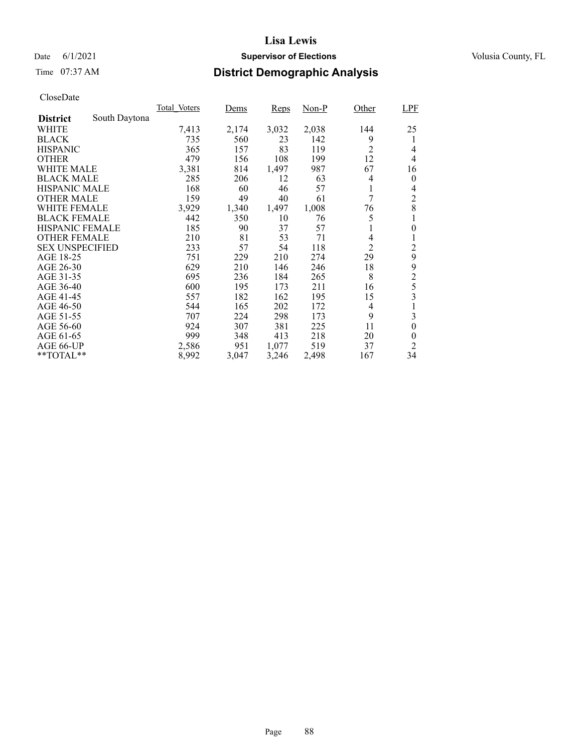### Date 6/1/2021 **Supervisor of Elections Supervisor of Elections** Volusia County, FL

## Time 07:37 AM **District Demographic Analysis**

|                        |               | Total Voters | Dems  | Reps  | Non-P | Other          | <b>LPF</b>       |
|------------------------|---------------|--------------|-------|-------|-------|----------------|------------------|
| <b>District</b>        | South Daytona |              |       |       |       |                |                  |
| WHITE                  |               | 7,413        | 2,174 | 3,032 | 2,038 | 144            | 25               |
| <b>BLACK</b>           |               | 735          | 560   | 23    | 142   | 9              | 1                |
| <b>HISPANIC</b>        |               | 365          | 157   | 83    | 119   | $\overline{2}$ | 4                |
| <b>OTHER</b>           |               | 479          | 156   | 108   | 199   | 12             | 4                |
| WHITE MALE             |               | 3,381        | 814   | 1,497 | 987   | 67             | 16               |
| <b>BLACK MALE</b>      |               | 285          | 206   | 12    | 63    | 4              | $\theta$         |
| <b>HISPANIC MALE</b>   |               | 168          | 60    | 46    | 57    | 1              | 4                |
| <b>OTHER MALE</b>      |               | 159          | 49    | 40    | 61    | 7              | $\overline{c}$   |
| WHITE FEMALE           |               | 3,929        | 1,340 | 1,497 | 1,008 | 76             | 8                |
| <b>BLACK FEMALE</b>    |               | 442          | 350   | 10    | 76    | 5              |                  |
| <b>HISPANIC FEMALE</b> |               | 185          | 90    | 37    | 57    | 1              | $\boldsymbol{0}$ |
| <b>OTHER FEMALE</b>    |               | 210          | 81    | 53    | 71    | 4              | 1                |
| <b>SEX UNSPECIFIED</b> |               | 233          | 57    | 54    | 118   | $\overline{2}$ | $\overline{c}$   |
| AGE 18-25              |               | 751          | 229   | 210   | 274   | 29             | 9                |
| AGE 26-30              |               | 629          | 210   | 146   | 246   | 18             | 9                |
| AGE 31-35              |               | 695          | 236   | 184   | 265   | 8              | $\overline{c}$   |
| AGE 36-40              |               | 600          | 195   | 173   | 211   | 16             | 5                |
| AGE 41-45              |               | 557          | 182   | 162   | 195   | 15             | 3                |
| AGE 46-50              |               | 544          | 165   | 202   | 172   | 4              |                  |
| AGE 51-55              |               | 707          | 224   | 298   | 173   | 9              | 3                |
| AGE 56-60              |               | 924          | 307   | 381   | 225   | 11             | $\boldsymbol{0}$ |
| AGE 61-65              |               | 999          | 348   | 413   | 218   | 20             | $\theta$         |
| AGE 66-UP              |               | 2,586        | 951   | 1,077 | 519   | 37             | $\overline{2}$   |
| $*$ $TOTAL**$          |               | 8,992        | 3,047 | 3,246 | 2,498 | 167            | 34               |